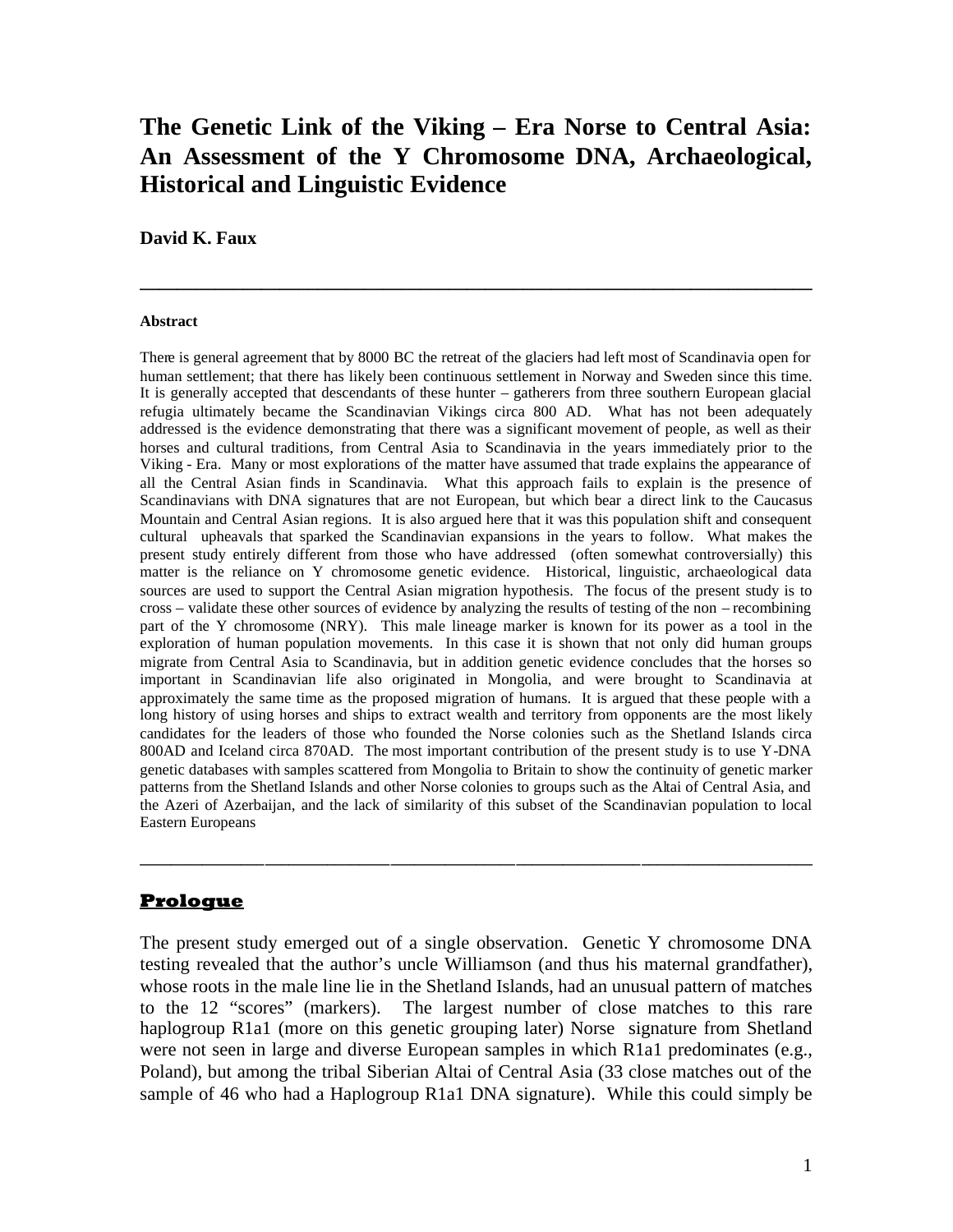# **The Genetic Link of the Viking – Era Norse to Central Asia: An Assessment of the Y Chromosome DNA, Archaeological, Historical and Linguistic Evidence**

**\_\_\_\_\_\_\_\_\_\_\_\_\_\_\_\_\_\_\_\_\_\_\_\_\_\_\_\_\_\_\_\_\_\_\_\_\_\_\_\_\_\_\_\_\_\_\_\_\_\_\_\_\_\_\_\_\_\_\_\_\_\_\_\_\_\_\_\_\_\_\_\_**

#### **David K. Faux**

#### **Abstract**

There is general agreement that by 8000 BC the retreat of the glaciers had left most of Scandinavia open for human settlement; that there has likely been continuous settlement in Norway and Sweden since this time. It is generally accepted that descendants of these hunter – gatherers from three southern European glacial refugia ultimately became the Scandinavian Vikings circa 800 AD. What has not been adequately addressed is the evidence demonstrating that there was a significant movement of people, as well as their horses and cultural traditions, from Central Asia to Scandinavia in the years immediately prior to the Viking - Era. Many or most explorations of the matter have assumed that trade explains the appearance of all the Central Asian finds in Scandinavia. What this approach fails to explain is the presence of Scandinavians with DNA signatures that are not European, but which bear a direct link to the Caucasus Mountain and Central Asian regions. It is also argued here that it was this population shift and consequent cultural upheavals that sparked the Scandinavian expansions in the years to follow. What makes the present study entirely different from those who have addressed (often somewhat controversially) this matter is the reliance on Y chromosome genetic evidence. Historical, linguistic, archaeological data sources are used to support the Central Asian migration hypothesis. The focus of the present study is to cross – validate these other sources of evidence by analyzing the results of testing of the non – recombining part of the Y chromosome (NRY). This male lineage marker is known for its power as a tool in the exploration of human population movements. In this case it is shown that not only did human groups migrate from Central Asia to Scandinavia, but in addition genetic evidence concludes that the horses so important in Scandinavian life also originated in Mongolia, and were brought to Scandinavia at approximately the same time as the proposed migration of humans. It is argued that these people with a long history of using horses and ships to extract wealth and territory from opponents are the most likely candidates for the leaders of those who founded the Norse colonies such as the Shetland Islands circa 800AD and Iceland circa 870AD. The most important contribution of the present study is to use Y-DNA genetic databases with samples scattered from Mongolia to Britain to show the continuity of genetic marker patterns from the Shetland Islands and other Norse colonies to groups such as the Altai of Central Asia, and the Azeri of Azerbaijan, and the lack of similarity of this subset of the Scandinavian population to local Eastern Europeans

#### **Prologue**

The present study emerged out of a single observation. Genetic Y chromosome DNA testing revealed that the author's uncle Williamson (and thus his maternal grandfather), whose roots in the male line lie in the Shetland Islands, had an unusual pattern of matches to the 12 "scores" (markers). The largest number of close matches to this rare haplogroup R1a1 (more on this genetic grouping later) Norse signature from Shetland were not seen in large and diverse European samples in which R1a1 predominates (e.g., Poland), but among the tribal Siberian Altai of Central Asia (33 close matches out of the sample of 46 who had a Haplogroup R1a1 DNA signature). While this could simply be

**\_\_\_\_\_\_\_\_\_\_\_\_\_\_\_\_\_\_\_\_\_\_\_\_\_\_\_\_\_\_\_\_\_\_\_\_\_\_\_\_\_\_\_\_\_\_\_\_\_\_\_\_\_\_\_\_\_\_\_\_\_\_\_\_\_\_\_\_\_\_\_\_\_\_\_\_\_\_\_\_\_\_\_\_\_\_**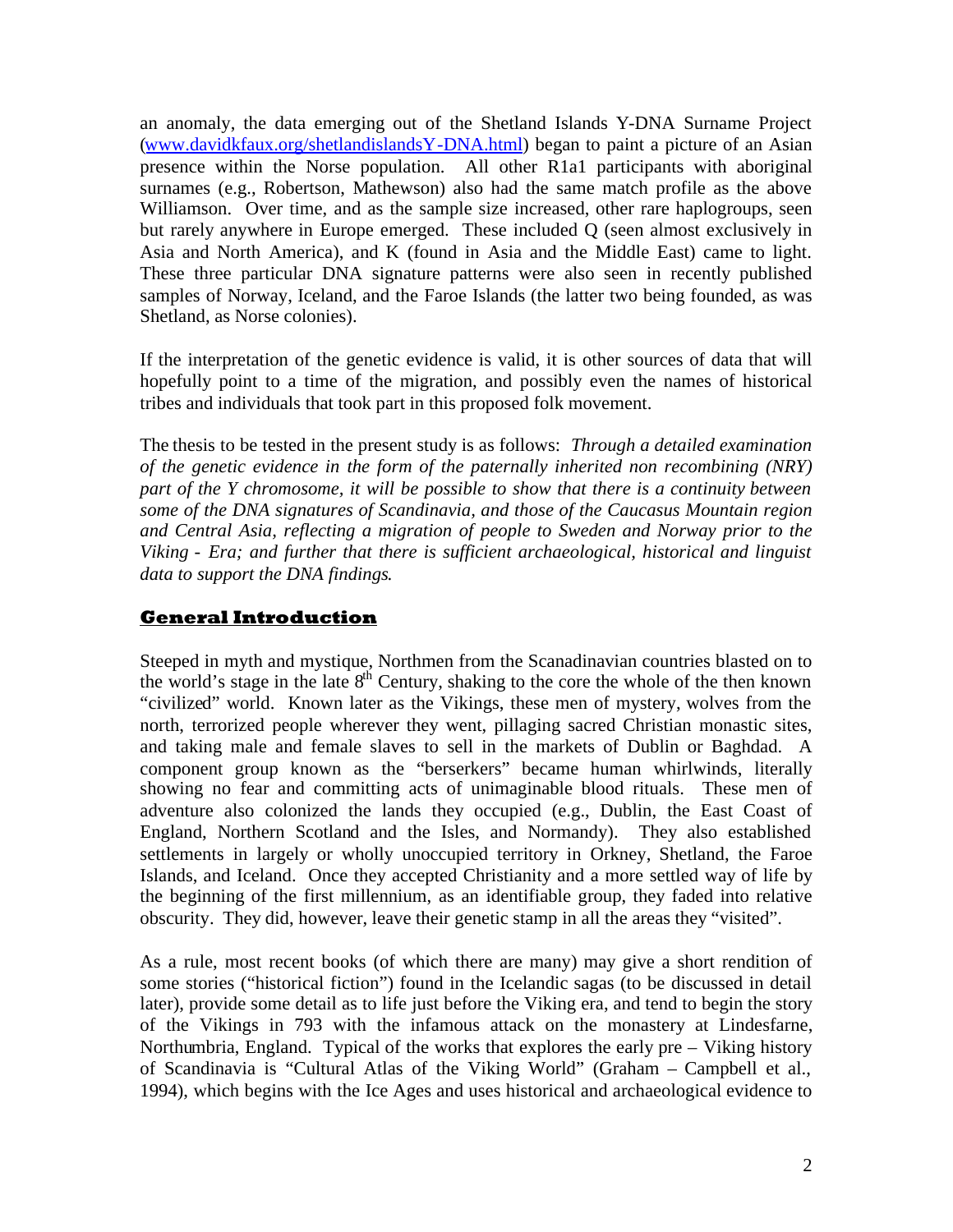an anomaly, the data emerging out of the Shetland Islands Y-DNA Surname Project ([www.davidkfaux.org/shetlandislandsY-DNA.html\)](http://www.davidkfaux.org/shetlandislandsY-DNA.html) began to paint a picture of an Asian presence within the Norse population. All other R1a1 participants with aboriginal surnames (e.g., Robertson, Mathewson) also had the same match profile as the above Williamson. Over time, and as the sample size increased, other rare haplogroups, seen but rarely anywhere in Europe emerged. These included Q (seen almost exclusively in Asia and North America), and K (found in Asia and the Middle East) came to light. These three particular DNA signature patterns were also seen in recently published samples of Norway, Iceland, and the Faroe Islands (the latter two being founded, as was Shetland, as Norse colonies).

If the interpretation of the genetic evidence is valid, it is other sources of data that will hopefully point to a time of the migration, and possibly even the names of historical tribes and individuals that took part in this proposed folk movement.

The thesis to be tested in the present study is as follows: *Through a detailed examination of the genetic evidence in the form of the paternally inherited non recombining (NRY) part of the Y chromosome, it will be possible to show that there is a continuity between some of the DNA signatures of Scandinavia, and those of the Caucasus Mountain region and Central Asia, reflecting a migration of people to Sweden and Norway prior to the Viking - Era; and further that there is sufficient archaeological, historical and linguist data to support the DNA findings*.

### **General Introduction**

Steeped in myth and mystique, Northmen from the Scanadinavian countries blasted on to the world's stage in the late  $8<sup>th</sup>$  Century, shaking to the core the whole of the then known "civilized" world. Known later as the Vikings, these men of mystery, wolves from the north, terrorized people wherever they went, pillaging sacred Christian monastic sites, and taking male and female slaves to sell in the markets of Dublin or Baghdad. A component group known as the "berserkers" became human whirlwinds, literally showing no fear and committing acts of unimaginable blood rituals. These men of adventure also colonized the lands they occupied (e.g., Dublin, the East Coast of England, Northern Scotland and the Isles, and Normandy). They also established settlements in largely or wholly unoccupied territory in Orkney, Shetland, the Faroe Islands, and Iceland. Once they accepted Christianity and a more settled way of life by the beginning of the first millennium, as an identifiable group, they faded into relative obscurity. They did, however, leave their genetic stamp in all the areas they "visited".

As a rule, most recent books (of which there are many) may give a short rendition of some stories ("historical fiction") found in the Icelandic sagas (to be discussed in detail later), provide some detail as to life just before the Viking era, and tend to begin the story of the Vikings in 793 with the infamous attack on the monastery at Lindesfarne, Northumbria, England. Typical of the works that explores the early pre – Viking history of Scandinavia is "Cultural Atlas of the Viking World" (Graham – Campbell et al., 1994), which begins with the Ice Ages and uses historical and archaeological evidence to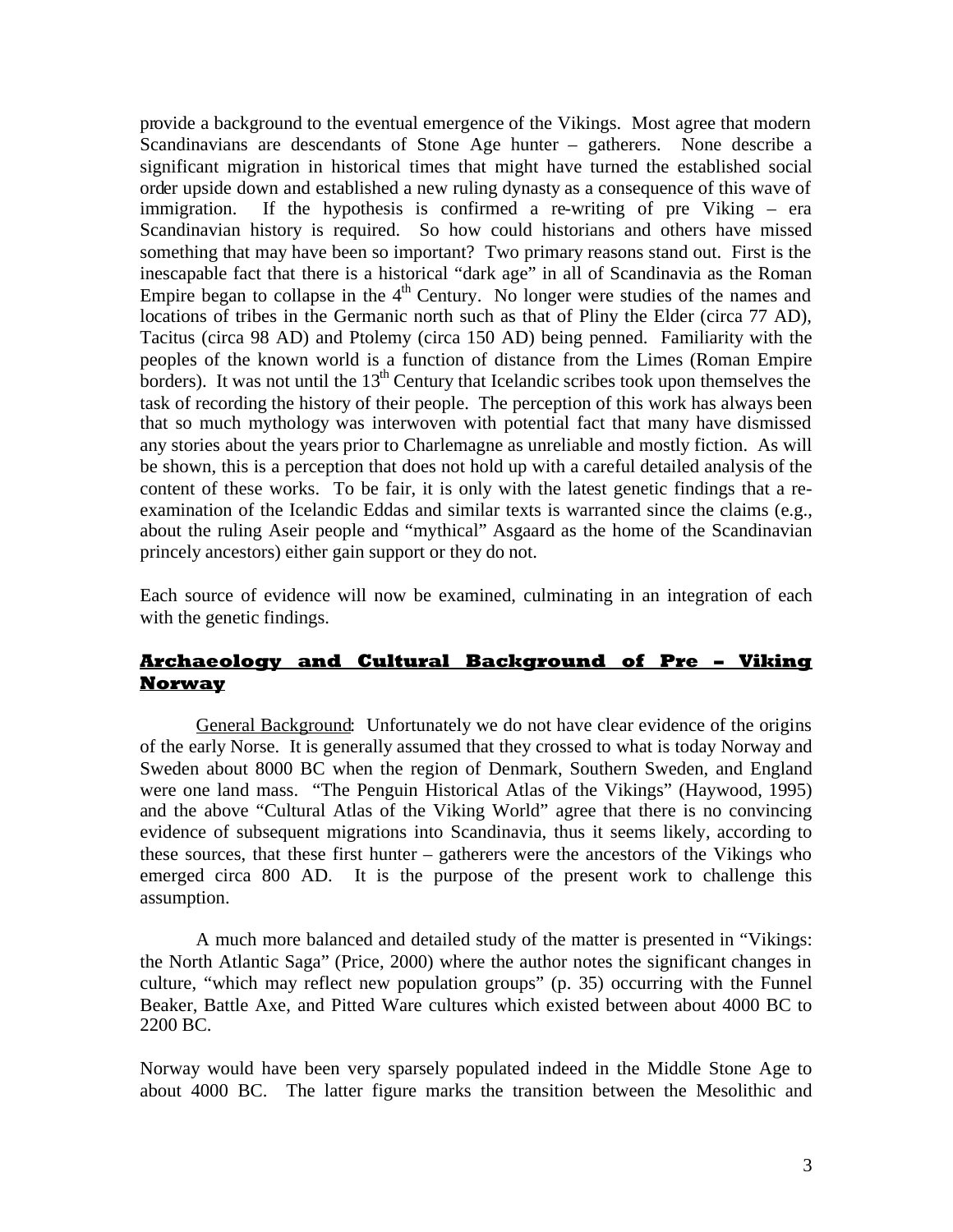provide a background to the eventual emergence of the Vikings. Most agree that modern Scandinavians are descendants of Stone Age hunter – gatherers. None describe a significant migration in historical times that might have turned the established social order upside down and established a new ruling dynasty as a consequence of this wave of immigration. If the hypothesis is confirmed a re-writing of pre Viking – era Scandinavian history is required. So how could historians and others have missed something that may have been so important? Two primary reasons stand out. First is the inescapable fact that there is a historical "dark age" in all of Scandinavia as the Roman Empire began to collapse in the  $4<sup>th</sup>$  Century. No longer were studies of the names and locations of tribes in the Germanic north such as that of Pliny the Elder (circa 77 AD), Tacitus (circa 98 AD) and Ptolemy (circa 150 AD) being penned. Familiarity with the peoples of the known world is a function of distance from the Limes (Roman Empire borders). It was not until the  $13<sup>th</sup>$  Century that Icelandic scribes took upon themselves the task of recording the history of their people. The perception of this work has always been that so much mythology was interwoven with potential fact that many have dismissed any stories about the years prior to Charlemagne as unreliable and mostly fiction. As will be shown, this is a perception that does not hold up with a careful detailed analysis of the content of these works. To be fair, it is only with the latest genetic findings that a reexamination of the Icelandic Eddas and similar texts is warranted since the claims (e.g., about the ruling Aseir people and "mythical" Asgaard as the home of the Scandinavian princely ancestors) either gain support or they do not.

Each source of evidence will now be examined, culminating in an integration of each with the genetic findings.

### **Archaeology and Cultural Background of Pre – Viking Norway**

General Background: Unfortunately we do not have clear evidence of the origins of the early Norse. It is generally assumed that they crossed to what is today Norway and Sweden about 8000 BC when the region of Denmark, Southern Sweden, and England were one land mass. "The Penguin Historical Atlas of the Vikings" (Haywood, 1995) and the above "Cultural Atlas of the Viking World" agree that there is no convincing evidence of subsequent migrations into Scandinavia, thus it seems likely, according to these sources, that these first hunter – gatherers were the ancestors of the Vikings who emerged circa 800 AD. It is the purpose of the present work to challenge this assumption.

A much more balanced and detailed study of the matter is presented in "Vikings: the North Atlantic Saga" (Price, 2000) where the author notes the significant changes in culture, "which may reflect new population groups" (p. 35) occurring with the Funnel Beaker, Battle Axe, and Pitted Ware cultures which existed between about 4000 BC to 2200 BC.

Norway would have been very sparsely populated indeed in the Middle Stone Age to about 4000 BC. The latter figure marks the transition between the Mesolithic and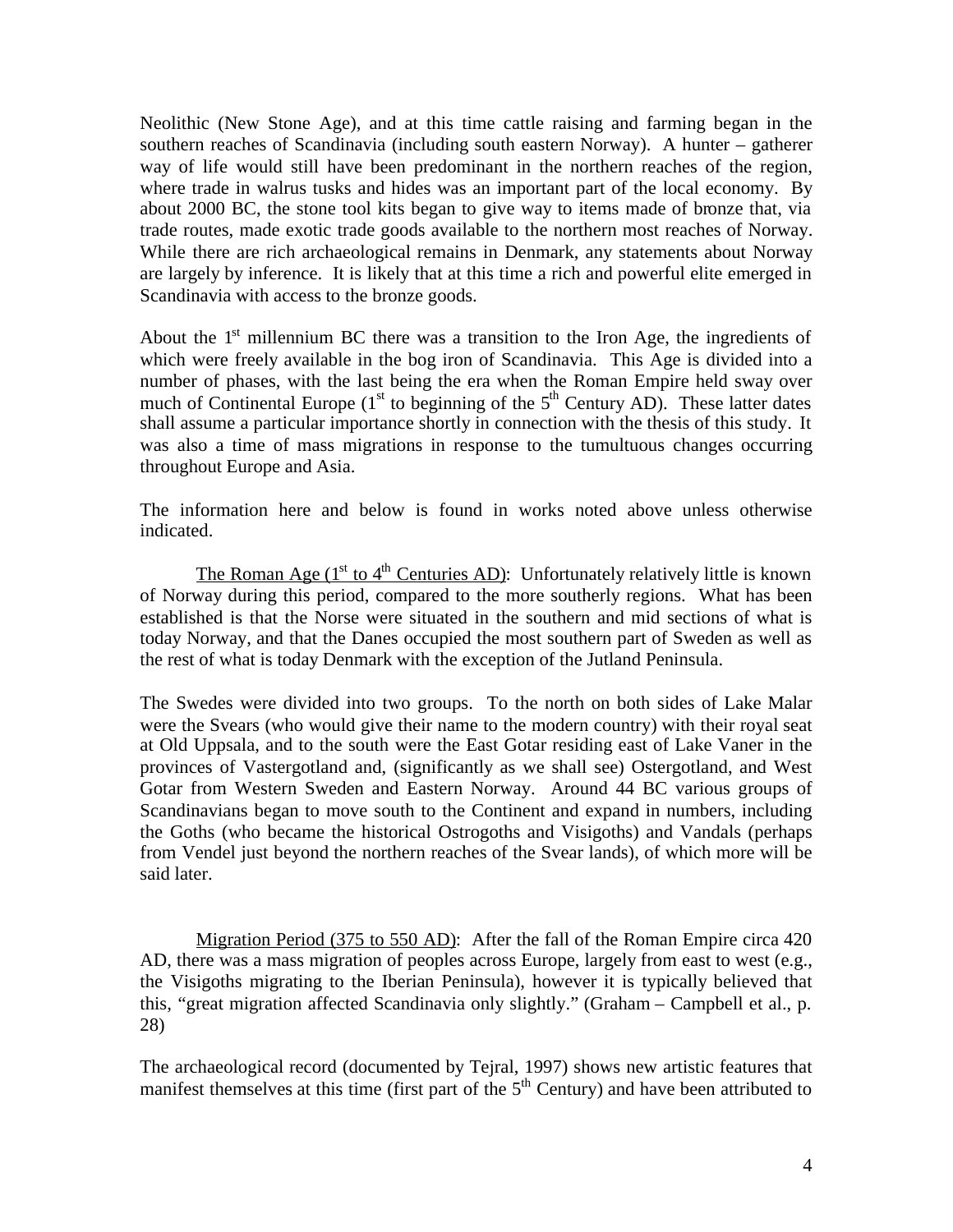Neolithic (New Stone Age), and at this time cattle raising and farming began in the southern reaches of Scandinavia (including south eastern Norway). A hunter – gatherer way of life would still have been predominant in the northern reaches of the region, where trade in walrus tusks and hides was an important part of the local economy. By about 2000 BC, the stone tool kits began to give way to items made of bronze that, via trade routes, made exotic trade goods available to the northern most reaches of Norway. While there are rich archaeological remains in Denmark, any statements about Norway are largely by inference. It is likely that at this time a rich and powerful elite emerged in Scandinavia with access to the bronze goods.

About the  $1<sup>st</sup>$  millennium BC there was a transition to the Iron Age, the ingredients of which were freely available in the bog iron of Scandinavia. This Age is divided into a number of phases, with the last being the era when the Roman Empire held sway over much of Continental Europe  $(1<sup>st</sup>$  to beginning of the  $5<sup>th</sup>$  Century AD). These latter dates shall assume a particular importance shortly in connection with the thesis of this study. It was also a time of mass migrations in response to the tumultuous changes occurring throughout Europe and Asia.

The information here and below is found in works noted above unless otherwise indicated.

The Roman Age  $(1<sup>st</sup>$  to  $4<sup>th</sup>$  Centuries AD): Unfortunately relatively little is known of Norway during this period, compared to the more southerly regions. What has been established is that the Norse were situated in the southern and mid sections of what is today Norway, and that the Danes occupied the most southern part of Sweden as well as the rest of what is today Denmark with the exception of the Jutland Peninsula.

The Swedes were divided into two groups. To the north on both sides of Lake Malar were the Svears (who would give their name to the modern country) with their royal seat at Old Uppsala, and to the south were the East Gotar residing east of Lake Vaner in the provinces of Vastergotland and, (significantly as we shall see) Ostergotland, and West Gotar from Western Sweden and Eastern Norway. Around 44 BC various groups of Scandinavians began to move south to the Continent and expand in numbers, including the Goths (who became the historical Ostrogoths and Visigoths) and Vandals (perhaps from Vendel just beyond the northern reaches of the Svear lands), of which more will be said later.

Migration Period (375 to 550 AD): After the fall of the Roman Empire circa 420 AD, there was a mass migration of peoples across Europe, largely from east to west (e.g., the Visigoths migrating to the Iberian Peninsula), however it is typically believed that this, "great migration affected Scandinavia only slightly." (Graham – Campbell et al., p. 28)

The archaeological record (documented by Tejral, 1997) shows new artistic features that manifest themselves at this time (first part of the  $5<sup>th</sup>$  Century) and have been attributed to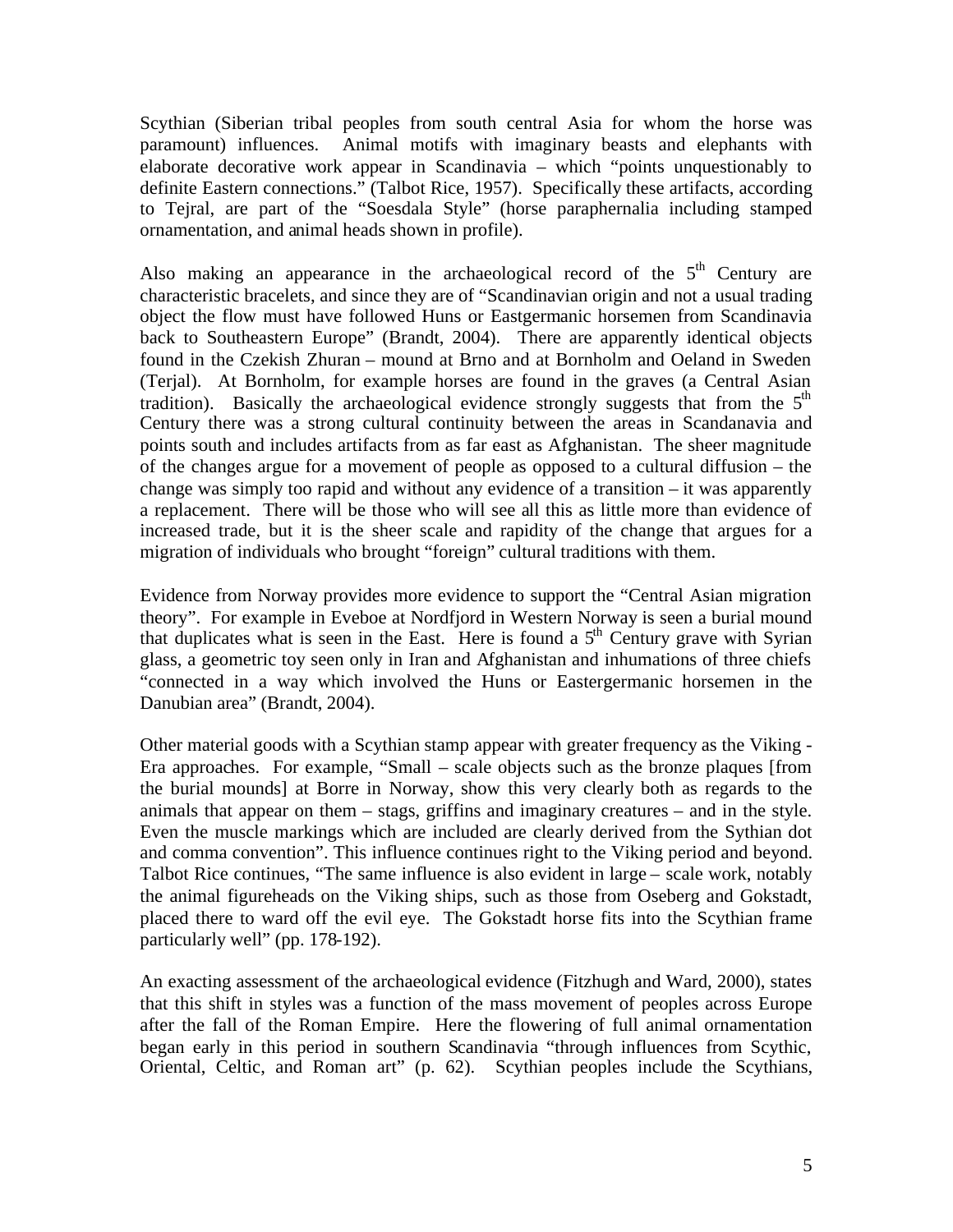Scythian (Siberian tribal peoples from south central Asia for whom the horse was paramount) influences. Animal motifs with imaginary beasts and elephants with elaborate decorative work appear in Scandinavia – which "points unquestionably to definite Eastern connections." (Talbot Rice, 1957). Specifically these artifacts, according to Tejral, are part of the "Soesdala Style" (horse paraphernalia including stamped ornamentation, and animal heads shown in profile).

Also making an appearance in the archaeological record of the  $5<sup>th</sup>$  Century are characteristic bracelets, and since they are of "Scandinavian origin and not a usual trading object the flow must have followed Huns or Eastgermanic horsemen from Scandinavia back to Southeastern Europe" (Brandt, 2004). There are apparently identical objects found in the Czekish Zhuran – mound at Brno and at Bornholm and Oeland in Sweden (Terjal). At Bornholm, for example horses are found in the graves (a Central Asian tradition). Basically the archaeological evidence strongly suggests that from the  $5<sup>th</sup>$ Century there was a strong cultural continuity between the areas in Scandanavia and points south and includes artifacts from as far east as Afghanistan. The sheer magnitude of the changes argue for a movement of people as opposed to a cultural diffusion – the change was simply too rapid and without any evidence of a transition – it was apparently a replacement. There will be those who will see all this as little more than evidence of increased trade, but it is the sheer scale and rapidity of the change that argues for a migration of individuals who brought "foreign" cultural traditions with them.

Evidence from Norway provides more evidence to support the "Central Asian migration theory". For example in Eveboe at Nordfjord in Western Norway is seen a burial mound that duplicates what is seen in the East. Here is found a  $5<sup>th</sup>$  Century grave with Syrian glass, a geometric toy seen only in Iran and Afghanistan and inhumations of three chiefs "connected in a way which involved the Huns or Eastergermanic horsemen in the Danubian area" (Brandt, 2004).

Other material goods with a Scythian stamp appear with greater frequency as the Viking - Era approaches. For example, "Small – scale objects such as the bronze plaques [from the burial mounds] at Borre in Norway, show this very clearly both as regards to the animals that appear on them – stags, griffins and imaginary creatures – and in the style. Even the muscle markings which are included are clearly derived from the Sythian dot and comma convention". This influence continues right to the Viking period and beyond. Talbot Rice continues, "The same influence is also evident in large – scale work, notably the animal figureheads on the Viking ships, such as those from Oseberg and Gokstadt, placed there to ward off the evil eye. The Gokstadt horse fits into the Scythian frame particularly well" (pp. 178-192).

An exacting assessment of the archaeological evidence (Fitzhugh and Ward, 2000), states that this shift in styles was a function of the mass movement of peoples across Europe after the fall of the Roman Empire. Here the flowering of full animal ornamentation began early in this period in southern Scandinavia "through influences from Scythic, Oriental, Celtic, and Roman art" (p. 62). Scythian peoples include the Scythians,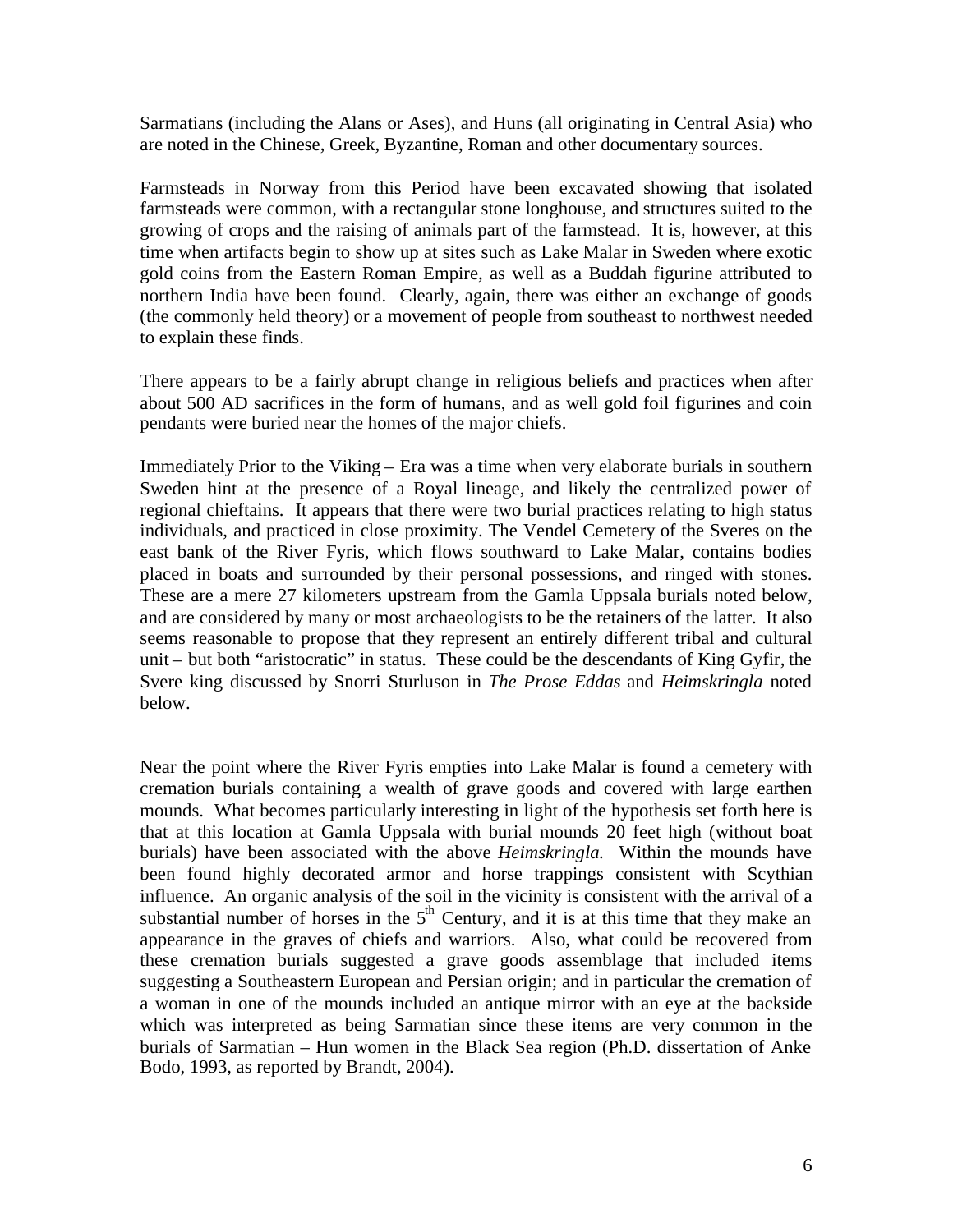Sarmatians (including the Alans or Ases), and Huns (all originating in Central Asia) who are noted in the Chinese, Greek, Byzantine, Roman and other documentary sources.

Farmsteads in Norway from this Period have been excavated showing that isolated farmsteads were common, with a rectangular stone longhouse, and structures suited to the growing of crops and the raising of animals part of the farmstead. It is, however, at this time when artifacts begin to show up at sites such as Lake Malar in Sweden where exotic gold coins from the Eastern Roman Empire, as well as a Buddah figurine attributed to northern India have been found. Clearly, again, there was either an exchange of goods (the commonly held theory) or a movement of people from southeast to northwest needed to explain these finds.

There appears to be a fairly abrupt change in religious beliefs and practices when after about 500 AD sacrifices in the form of humans, and as well gold foil figurines and coin pendants were buried near the homes of the major chiefs.

Immediately Prior to the Viking – Era was a time when very elaborate burials in southern Sweden hint at the presence of a Royal lineage, and likely the centralized power of regional chieftains. It appears that there were two burial practices relating to high status individuals, and practiced in close proximity. The Vendel Cemetery of the Sveres on the east bank of the River Fyris, which flows southward to Lake Malar, contains bodies placed in boats and surrounded by their personal possessions, and ringed with stones. These are a mere 27 kilometers upstream from the Gamla Uppsala burials noted below, and are considered by many or most archaeologists to be the retainers of the latter. It also seems reasonable to propose that they represent an entirely different tribal and cultural unit – but both "aristocratic" in status. These could be the descendants of King Gyfir, the Svere king discussed by Snorri Sturluson in *The Prose Eddas* and *Heimskringla* noted below.

Near the point where the River Fyris empties into Lake Malar is found a cemetery with cremation burials containing a wealth of grave goods and covered with large earthen mounds. What becomes particularly interesting in light of the hypothesis set forth here is that at this location at Gamla Uppsala with burial mounds 20 feet high (without boat burials) have been associated with the above *Heimskringla*. Within the mounds have been found highly decorated armor and horse trappings consistent with Scythian influence. An organic analysis of the soil in the vicinity is consistent with the arrival of a substantial number of horses in the  $5<sup>th</sup>$  Century, and it is at this time that they make an appearance in the graves of chiefs and warriors. Also, what could be recovered from these cremation burials suggested a grave goods assemblage that included items suggesting a Southeastern European and Persian origin; and in particular the cremation of a woman in one of the mounds included an antique mirror with an eye at the backside which was interpreted as being Sarmatian since these items are very common in the burials of Sarmatian – Hun women in the Black Sea region (Ph.D. dissertation of Anke Bodo, 1993, as reported by Brandt, 2004).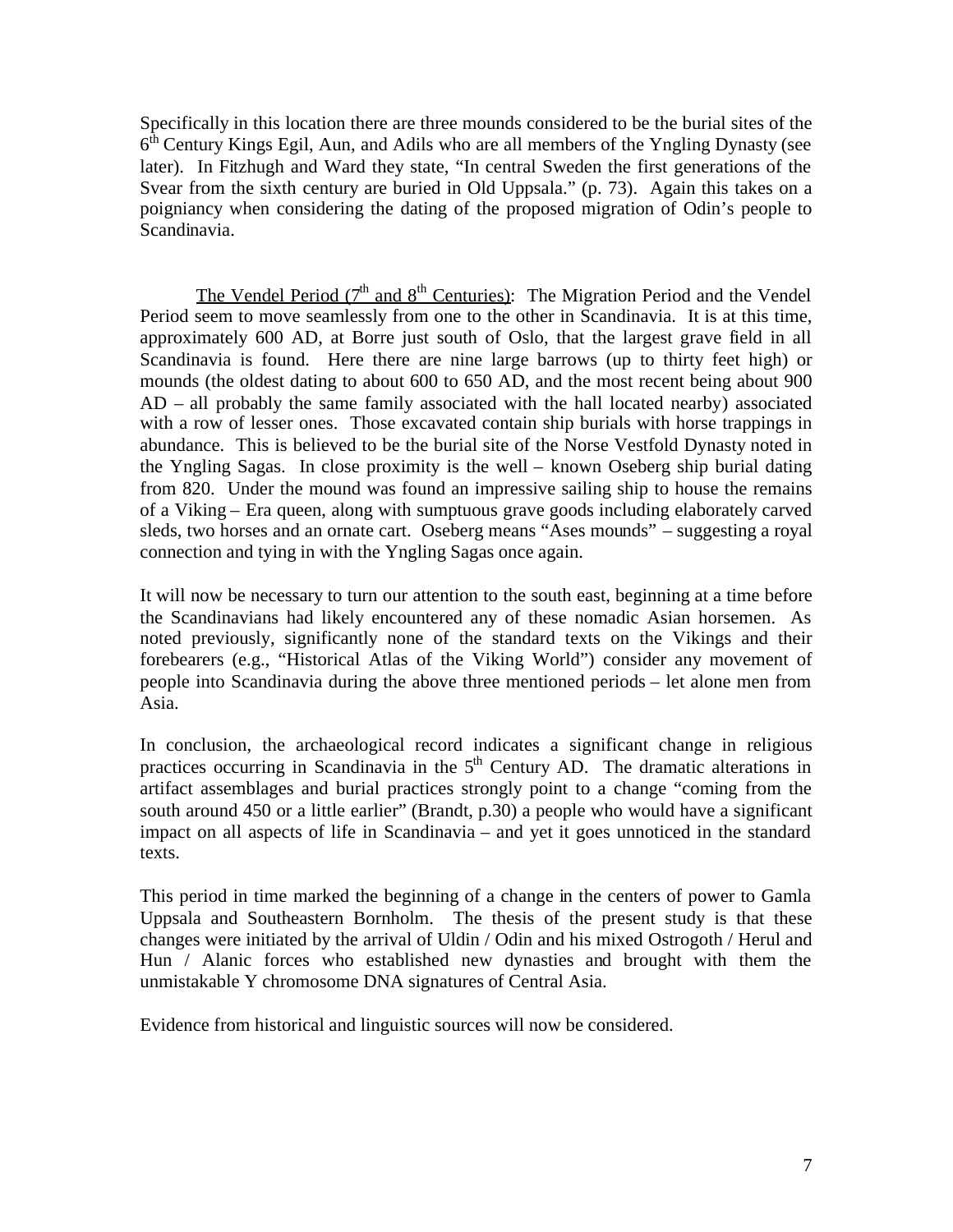Specifically in this location there are three mounds considered to be the burial sites of the 6<sup>th</sup> Century Kings Egil, Aun, and Adils who are all members of the Yngling Dynasty (see later). In Fitzhugh and Ward they state, "In central Sweden the first generations of the Svear from the sixth century are buried in Old Uppsala." (p. 73). Again this takes on a poigniancy when considering the dating of the proposed migration of Odin's people to Scandinavia.

The Vendel Period  $(7<sup>th</sup>$  and  $8<sup>th</sup>$  Centuries): The Migration Period and the Vendel Period seem to move seamlessly from one to the other in Scandinavia. It is at this time, approximately 600 AD, at Borre just south of Oslo, that the largest grave field in all Scandinavia is found. Here there are nine large barrows (up to thirty feet high) or mounds (the oldest dating to about 600 to 650 AD, and the most recent being about 900 AD – all probably the same family associated with the hall located nearby) associated with a row of lesser ones. Those excavated contain ship burials with horse trappings in abundance. This is believed to be the burial site of the Norse Vestfold Dynasty noted in the Yngling Sagas. In close proximity is the well – known Oseberg ship burial dating from 820. Under the mound was found an impressive sailing ship to house the remains of a Viking – Era queen, along with sumptuous grave goods including elaborately carved sleds, two horses and an ornate cart. Oseberg means "Ases mounds" – suggesting a royal connection and tying in with the Yngling Sagas once again.

It will now be necessary to turn our attention to the south east, beginning at a time before the Scandinavians had likely encountered any of these nomadic Asian horsemen. As noted previously, significantly none of the standard texts on the Vikings and their forebearers (e.g., "Historical Atlas of the Viking World") consider any movement of people into Scandinavia during the above three mentioned periods – let alone men from Asia.

In conclusion, the archaeological record indicates a significant change in religious practices occurring in Scandinavia in the  $5<sup>th</sup>$  Century AD. The dramatic alterations in artifact assemblages and burial practices strongly point to a change "coming from the south around 450 or a little earlier" (Brandt, p.30) a people who would have a significant impact on all aspects of life in Scandinavia – and yet it goes unnoticed in the standard texts.

This period in time marked the beginning of a change in the centers of power to Gamla Uppsala and Southeastern Bornholm. The thesis of the present study is that these changes were initiated by the arrival of Uldin / Odin and his mixed Ostrogoth / Herul and Hun / Alanic forces who established new dynasties and brought with them the unmistakable Y chromosome DNA signatures of Central Asia.

Evidence from historical and linguistic sources will now be considered.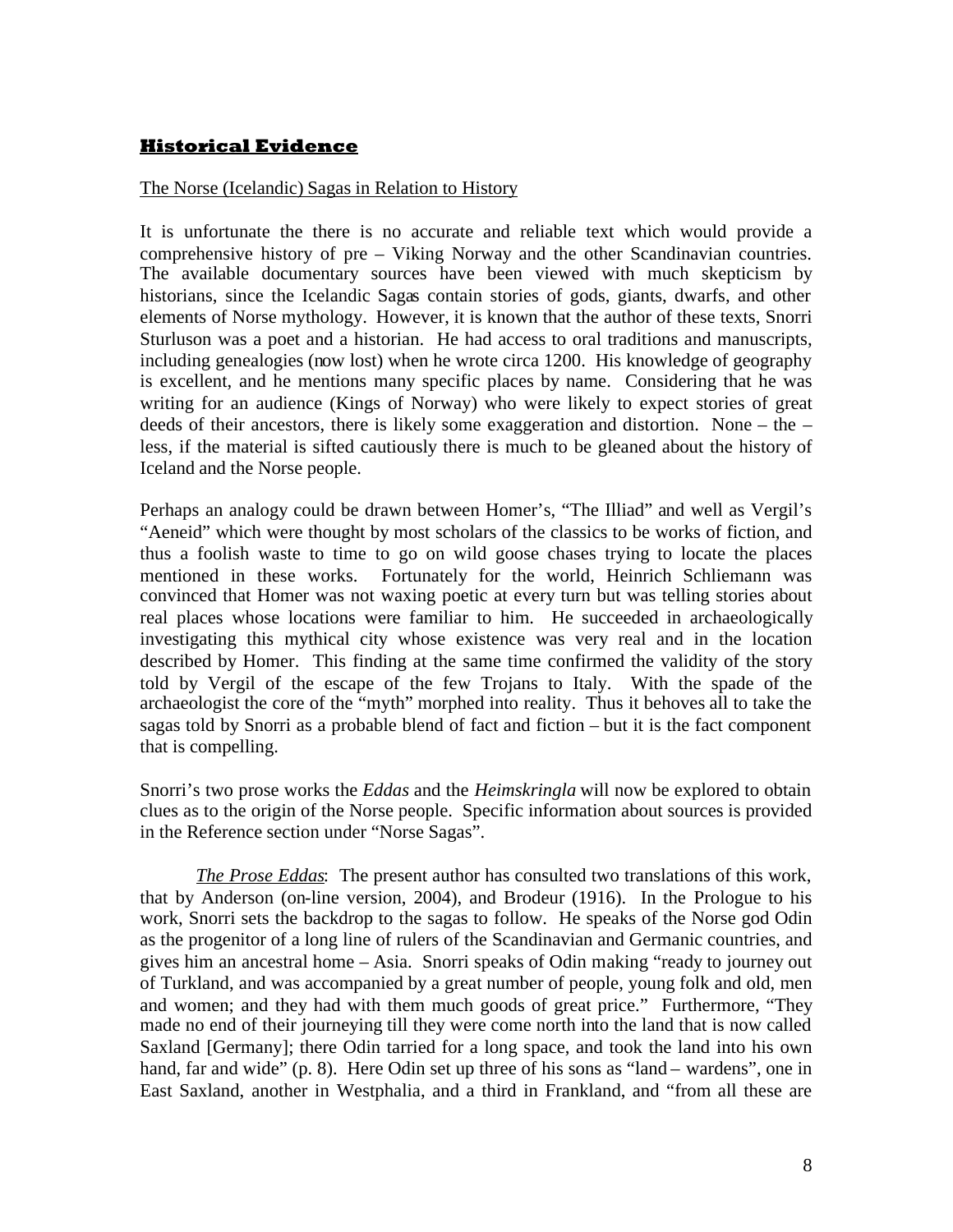## **Historical Evidence**

### The Norse (Icelandic) Sagas in Relation to History

It is unfortunate the there is no accurate and reliable text which would provide a comprehensive history of pre – Viking Norway and the other Scandinavian countries. The available documentary sources have been viewed with much skepticism by historians, since the Icelandic Sagas contain stories of gods, giants, dwarfs, and other elements of Norse mythology. However, it is known that the author of these texts, Snorri Sturluson was a poet and a historian. He had access to oral traditions and manuscripts, including genealogies (now lost) when he wrote circa 1200. His knowledge of geography is excellent, and he mentions many specific places by name. Considering that he was writing for an audience (Kings of Norway) who were likely to expect stories of great deeds of their ancestors, there is likely some exaggeration and distortion. None – the – less, if the material is sifted cautiously there is much to be gleaned about the history of Iceland and the Norse people.

Perhaps an analogy could be drawn between Homer's, "The Illiad" and well as Vergil's "Aeneid" which were thought by most scholars of the classics to be works of fiction, and thus a foolish waste to time to go on wild goose chases trying to locate the places mentioned in these works. Fortunately for the world, Heinrich Schliemann was convinced that Homer was not waxing poetic at every turn but was telling stories about real places whose locations were familiar to him. He succeeded in archaeologically investigating this mythical city whose existence was very real and in the location described by Homer. This finding at the same time confirmed the validity of the story told by Vergil of the escape of the few Trojans to Italy. With the spade of the archaeologist the core of the "myth" morphed into reality. Thus it behoves all to take the sagas told by Snorri as a probable blend of fact and fiction – but it is the fact component that is compelling.

Snorri's two prose works the *Eddas* and the *Heimskringla* will now be explored to obtain clues as to the origin of the Norse people. Specific information about sources is provided in the Reference section under "Norse Sagas".

*The Prose Eddas*: The present author has consulted two translations of this work, that by Anderson (on-line version, 2004), and Brodeur (1916). In the Prologue to his work, Snorri sets the backdrop to the sagas to follow. He speaks of the Norse god Odin as the progenitor of a long line of rulers of the Scandinavian and Germanic countries, and gives him an ancestral home – Asia. Snorri speaks of Odin making "ready to journey out of Turkland, and was accompanied by a great number of people, young folk and old, men and women; and they had with them much goods of great price." Furthermore, "They made no end of their journeying till they were come north into the land that is now called Saxland [Germany]; there Odin tarried for a long space, and took the land into his own hand, far and wide" (p. 8). Here Odin set up three of his sons as "land – wardens", one in East Saxland, another in Westphalia, and a third in Frankland, and "from all these are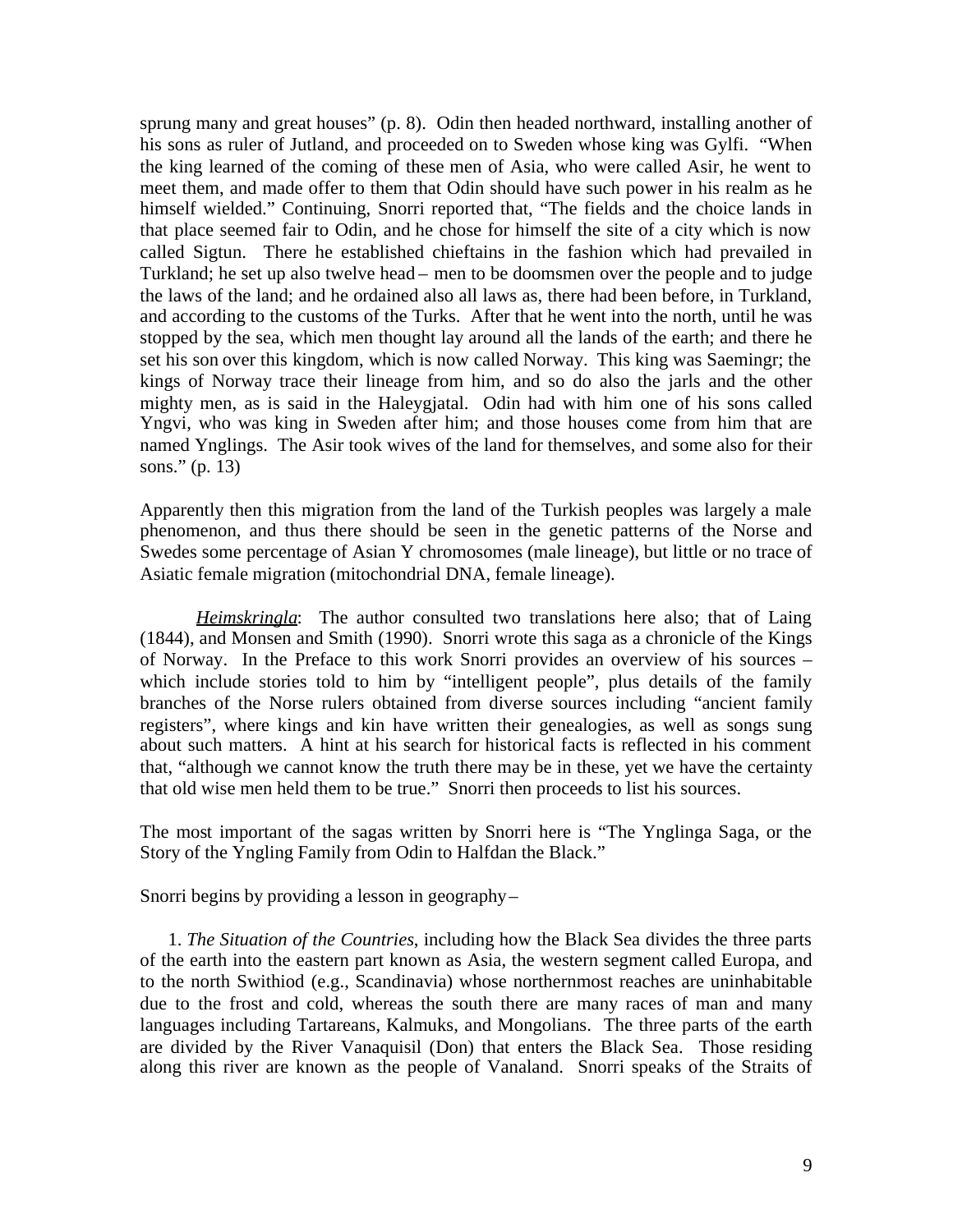sprung many and great houses" (p. 8). Odin then headed northward, installing another of his sons as ruler of Jutland, and proceeded on to Sweden whose king was Gylfi. "When the king learned of the coming of these men of Asia, who were called Asir, he went to meet them, and made offer to them that Odin should have such power in his realm as he himself wielded." Continuing, Snorri reported that, "The fields and the choice lands in that place seemed fair to Odin, and he chose for himself the site of a city which is now called Sigtun. There he established chieftains in the fashion which had prevailed in Turkland; he set up also twelve head – men to be doomsmen over the people and to judge the laws of the land; and he ordained also all laws as, there had been before, in Turkland, and according to the customs of the Turks. After that he went into the north, until he was stopped by the sea, which men thought lay around all the lands of the earth; and there he set his son over this kingdom, which is now called Norway. This king was Saemingr; the kings of Norway trace their lineage from him, and so do also the jarls and the other mighty men, as is said in the Haleygjatal. Odin had with him one of his sons called Yngvi, who was king in Sweden after him; and those houses come from him that are named Ynglings. The Asir took wives of the land for themselves, and some also for their sons." (p. 13)

Apparently then this migration from the land of the Turkish peoples was largely a male phenomenon, and thus there should be seen in the genetic patterns of the Norse and Swedes some percentage of Asian Y chromosomes (male lineage), but little or no trace of Asiatic female migration (mitochondrial DNA, female lineage).

*Heimskringla*: The author consulted two translations here also; that of Laing (1844), and Monsen and Smith (1990). Snorri wrote this saga as a chronicle of the Kings of Norway. In the Preface to this work Snorri provides an overview of his sources – which include stories told to him by "intelligent people", plus details of the family branches of the Norse rulers obtained from diverse sources including "ancient family registers", where kings and kin have written their genealogies, as well as songs sung about such matters. A hint at his search for historical facts is reflected in his comment that, "although we cannot know the truth there may be in these, yet we have the certainty that old wise men held them to be true." Snorri then proceeds to list his sources.

The most important of the sagas written by Snorri here is "The Ynglinga Saga, or the Story of the Yngling Family from Odin to Halfdan the Black."

Snorri begins by providing a lesson in geography–

1. *The Situation of the Countries*, including how the Black Sea divides the three parts of the earth into the eastern part known as Asia, the western segment called Europa, and to the north Swithiod (e.g., Scandinavia) whose northernmost reaches are uninhabitable due to the frost and cold, whereas the south there are many races of man and many languages including Tartareans, Kalmuks, and Mongolians. The three parts of the earth are divided by the River Vanaquisil (Don) that enters the Black Sea. Those residing along this river are known as the people of Vanaland. Snorri speaks of the Straits of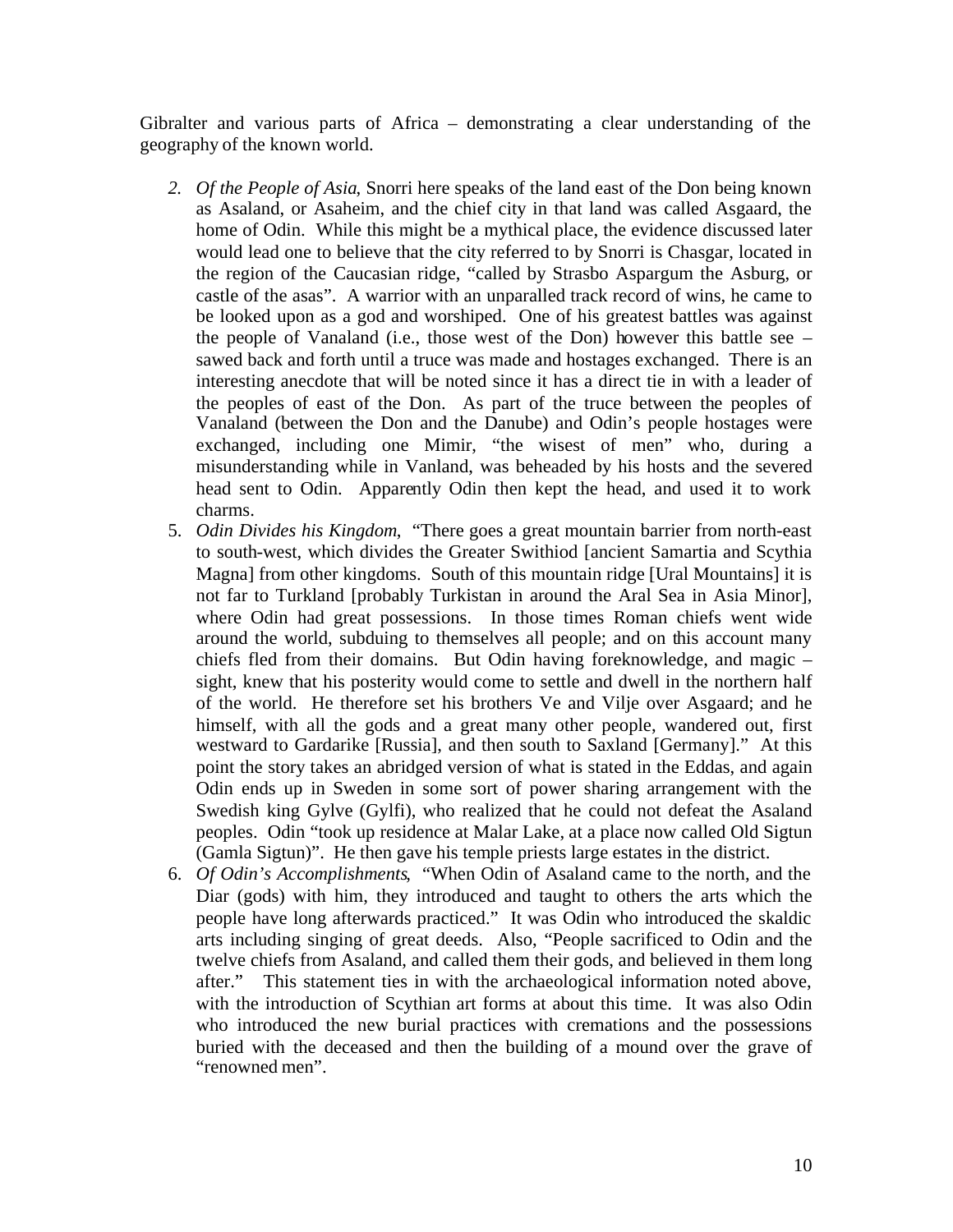Gibralter and various parts of Africa – demonstrating a clear understanding of the geography of the known world.

- *2. Of the People of Asia*, Snorri here speaks of the land east of the Don being known as Asaland, or Asaheim, and the chief city in that land was called Asgaard, the home of Odin. While this might be a mythical place, the evidence discussed later would lead one to believe that the city referred to by Snorri is Chasgar, located in the region of the Caucasian ridge, "called by Strasbo Aspargum the Asburg, or castle of the asas". A warrior with an unparalled track record of wins, he came to be looked upon as a god and worshiped. One of his greatest battles was against the people of Vanaland (i.e., those west of the Don) however this battle see – sawed back and forth until a truce was made and hostages exchanged. There is an interesting anecdote that will be noted since it has a direct tie in with a leader of the peoples of east of the Don. As part of the truce between the peoples of Vanaland (between the Don and the Danube) and Odin's people hostages were exchanged, including one Mimir, "the wisest of men" who, during a misunderstanding while in Vanland, was beheaded by his hosts and the severed head sent to Odin. Apparently Odin then kept the head, and used it to work charms.
- 5. *Odin Divides his Kingdom*, "There goes a great mountain barrier from north-east to south-west, which divides the Greater Swithiod [ancient Samartia and Scythia Magna] from other kingdoms. South of this mountain ridge [Ural Mountains] it is not far to Turkland [probably Turkistan in around the Aral Sea in Asia Minor], where Odin had great possessions. In those times Roman chiefs went wide around the world, subduing to themselves all people; and on this account many chiefs fled from their domains. But Odin having foreknowledge, and magic – sight, knew that his posterity would come to settle and dwell in the northern half of the world. He therefore set his brothers Ve and Vilje over Asgaard; and he himself, with all the gods and a great many other people, wandered out, first westward to Gardarike [Russia], and then south to Saxland [Germany]." At this point the story takes an abridged version of what is stated in the Eddas, and again Odin ends up in Sweden in some sort of power sharing arrangement with the Swedish king Gylve (Gylfi), who realized that he could not defeat the Asaland peoples. Odin "took up residence at Malar Lake, at a place now called Old Sigtun (Gamla Sigtun)". He then gave his temple priests large estates in the district.
- 6. *Of Odin's Accomplishments*, "When Odin of Asaland came to the north, and the Diar (gods) with him, they introduced and taught to others the arts which the people have long afterwards practiced." It was Odin who introduced the skaldic arts including singing of great deeds. Also, "People sacrificed to Odin and the twelve chiefs from Asaland, and called them their gods, and believed in them long after." This statement ties in with the archaeological information noted above, with the introduction of Scythian art forms at about this time. It was also Odin who introduced the new burial practices with cremations and the possessions buried with the deceased and then the building of a mound over the grave of "renowned men".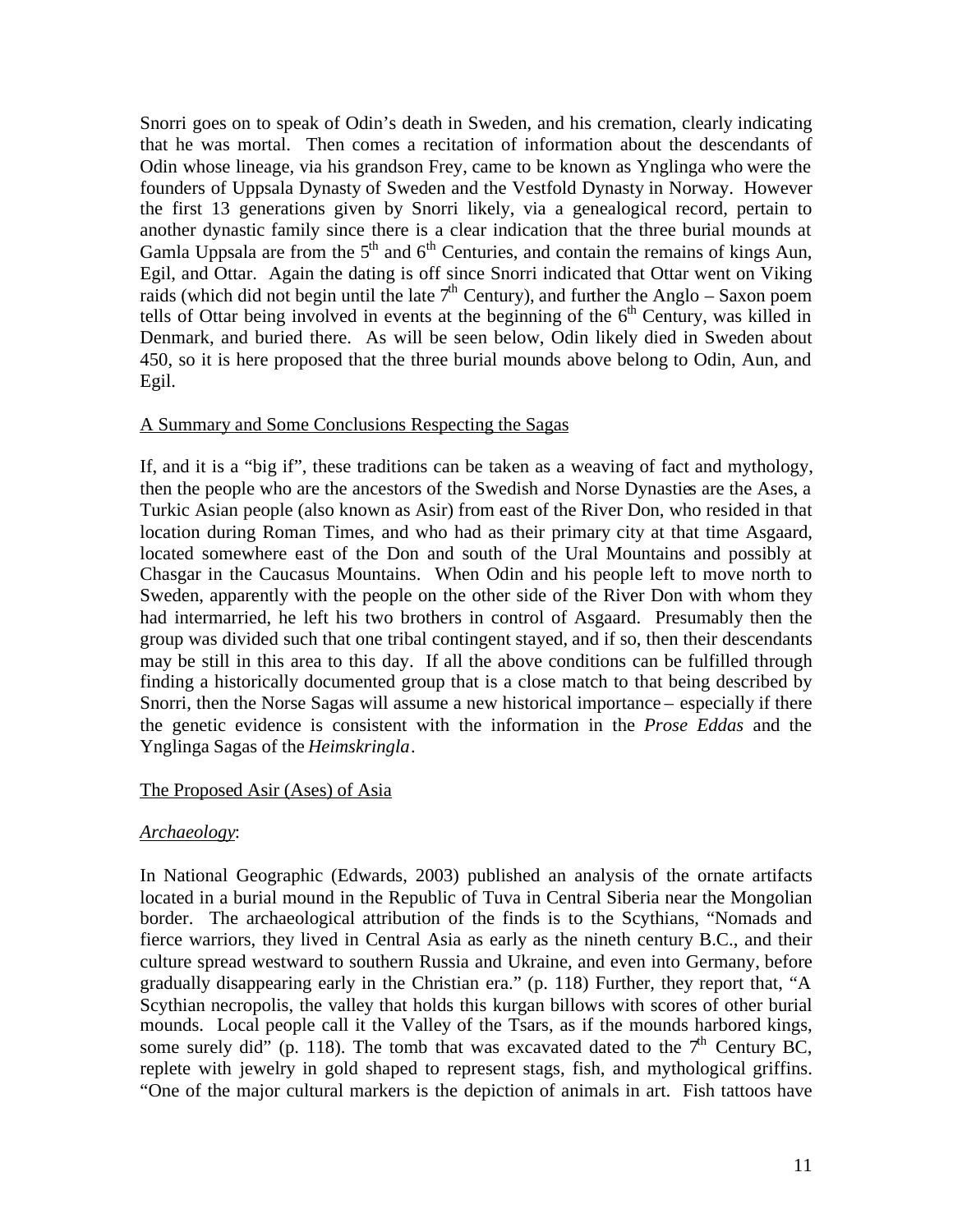Snorri goes on to speak of Odin's death in Sweden, and his cremation, clearly indicating that he was mortal. Then comes a recitation of information about the descendants of Odin whose lineage, via his grandson Frey, came to be known as Ynglinga who were the founders of Uppsala Dynasty of Sweden and the Vestfold Dynasty in Norway. However the first 13 generations given by Snorri likely, via a genealogical record, pertain to another dynastic family since there is a clear indication that the three burial mounds at Gamla Uppsala are from the  $5<sup>th</sup>$  and  $6<sup>th</sup>$  Centuries, and contain the remains of kings Aun, Egil, and Ottar. Again the dating is off since Snorri indicated that Ottar went on Viking raids (which did not begin until the late  $7<sup>th</sup>$  Century), and further the Anglo – Saxon poem tells of Ottar being involved in events at the beginning of the  $6<sup>th</sup>$  Century, was killed in Denmark, and buried there. As will be seen below, Odin likely died in Sweden about 450, so it is here proposed that the three burial mounds above belong to Odin, Aun, and Egil.

### A Summary and Some Conclusions Respecting the Sagas

If, and it is a "big if", these traditions can be taken as a weaving of fact and mythology, then the people who are the ancestors of the Swedish and Norse Dynasties are the Ases, a Turkic Asian people (also known as Asir) from east of the River Don, who resided in that location during Roman Times, and who had as their primary city at that time Asgaard, located somewhere east of the Don and south of the Ural Mountains and possibly at Chasgar in the Caucasus Mountains. When Odin and his people left to move north to Sweden, apparently with the people on the other side of the River Don with whom they had intermarried, he left his two brothers in control of Asgaard. Presumably then the group was divided such that one tribal contingent stayed, and if so, then their descendants may be still in this area to this day. If all the above conditions can be fulfilled through finding a historically documented group that is a close match to that being described by Snorri, then the Norse Sagas will assume a new historical importance – especially if there the genetic evidence is consistent with the information in the *Prose Eddas* and the Ynglinga Sagas of the *Heimskringla*.

#### The Proposed Asir (Ases) of Asia

#### *Archaeology*:

In National Geographic (Edwards, 2003) published an analysis of the ornate artifacts located in a burial mound in the Republic of Tuva in Central Siberia near the Mongolian border. The archaeological attribution of the finds is to the Scythians, "Nomads and fierce warriors, they lived in Central Asia as early as the nineth century B.C., and their culture spread westward to southern Russia and Ukraine, and even into Germany, before gradually disappearing early in the Christian era." (p. 118) Further, they report that, "A Scythian necropolis, the valley that holds this kurgan billows with scores of other burial mounds. Local people call it the Valley of the Tsars, as if the mounds harbored kings, some surely did" (p. 118). The tomb that was excavated dated to the  $7<sup>th</sup>$  Century BC, replete with jewelry in gold shaped to represent stags, fish, and mythological griffins. "One of the major cultural markers is the depiction of animals in art. Fish tattoos have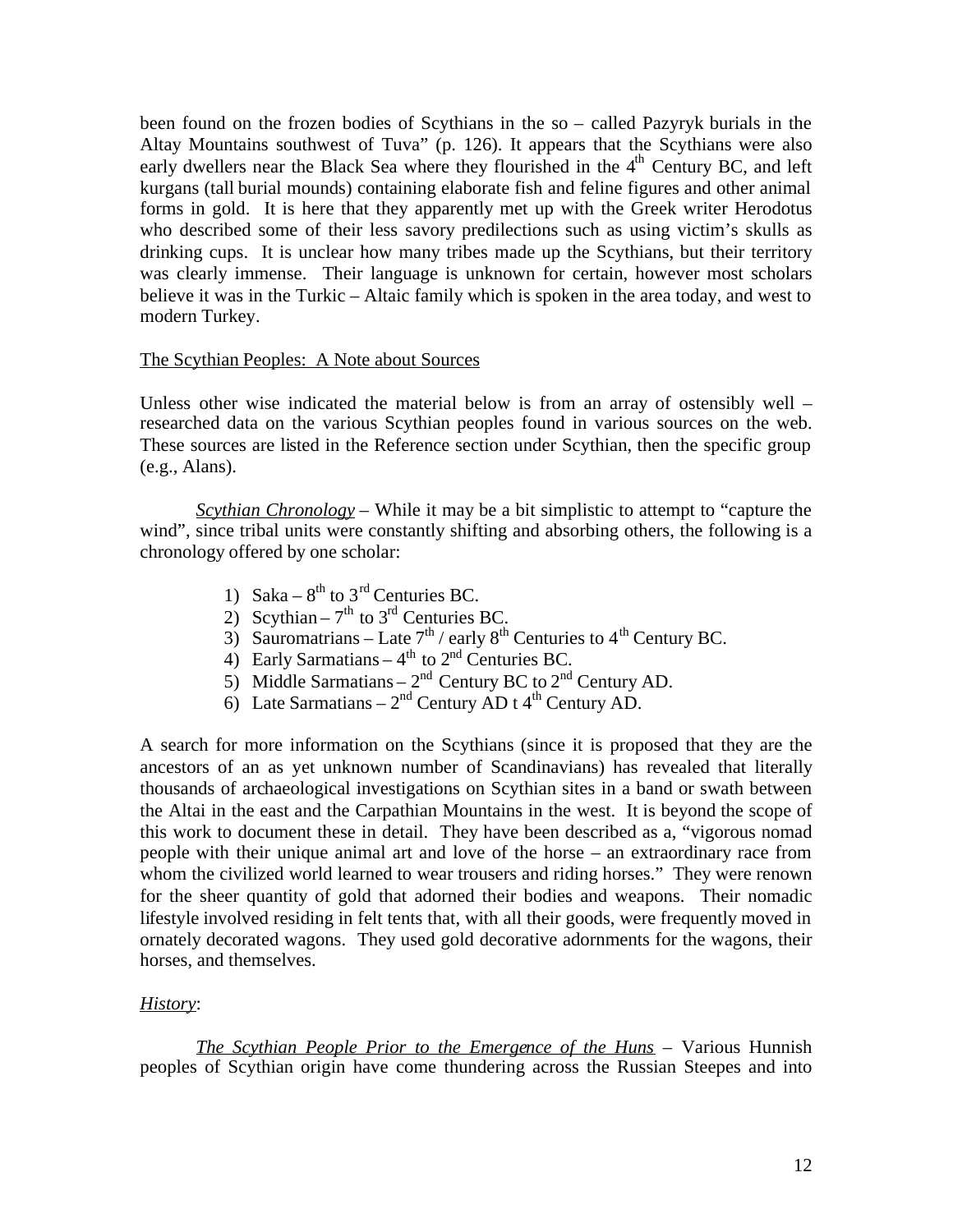been found on the frozen bodies of Scythians in the so – called Pazyryk burials in the Altay Mountains southwest of Tuva" (p. 126). It appears that the Scythians were also early dwellers near the Black Sea where they flourished in the  $4<sup>th</sup>$  Century BC, and left kurgans (tall burial mounds) containing elaborate fish and feline figures and other animal forms in gold. It is here that they apparently met up with the Greek writer Herodotus who described some of their less savory predilections such as using victim's skulls as drinking cups. It is unclear how many tribes made up the Scythians, but their territory was clearly immense. Their language is unknown for certain, however most scholars believe it was in the Turkic – Altaic family which is spoken in the area today, and west to modern Turkey.

#### The Scythian Peoples: A Note about Sources

Unless other wise indicated the material below is from an array of ostensibly well – researched data on the various Scythian peoples found in various sources on the web. These sources are listed in the Reference section under Scythian, then the specific group (e.g., Alans).

*Scythian Chronology* – While it may be a bit simplistic to attempt to "capture the wind", since tribal units were constantly shifting and absorbing others, the following is a chronology offered by one scholar:

- 1) Saka  $8^{th}$  to  $3^{rd}$  Centuries BC.
- 2) Scythian  $7<sup>th</sup>$  to 3<sup>rd</sup> Centuries BC.
- 3) Sauromatrians Late  $7<sup>th</sup>$  / early  $8<sup>th</sup>$  Centuries to  $4<sup>th</sup>$  Century BC.
- 4) Early Sarmatians  $-4<sup>th</sup>$  to  $2<sup>nd</sup>$  Centuries BC.
- 5) Middle Sarmatians  $2<sup>nd</sup>$  Century BC to  $2<sup>nd</sup>$  Century AD.
- 6) Late Sarmatians  $2<sup>nd</sup>$  Century AD t 4<sup>th</sup> Century AD.

A search for more information on the Scythians (since it is proposed that they are the ancestors of an as yet unknown number of Scandinavians) has revealed that literally thousands of archaeological investigations on Scythian sites in a band or swath between the Altai in the east and the Carpathian Mountains in the west. It is beyond the scope of this work to document these in detail. They have been described as a, "vigorous nomad people with their unique animal art and love of the horse – an extraordinary race from whom the civilized world learned to wear trousers and riding horses." They were renown for the sheer quantity of gold that adorned their bodies and weapons. Their nomadic lifestyle involved residing in felt tents that, with all their goods, were frequently moved in ornately decorated wagons. They used gold decorative adornments for the wagons, their horses, and themselves.

### *History*:

*The Scythian People Prior to the Emergence of the Huns* – Various Hunnish peoples of Scythian origin have come thundering across the Russian Steepes and into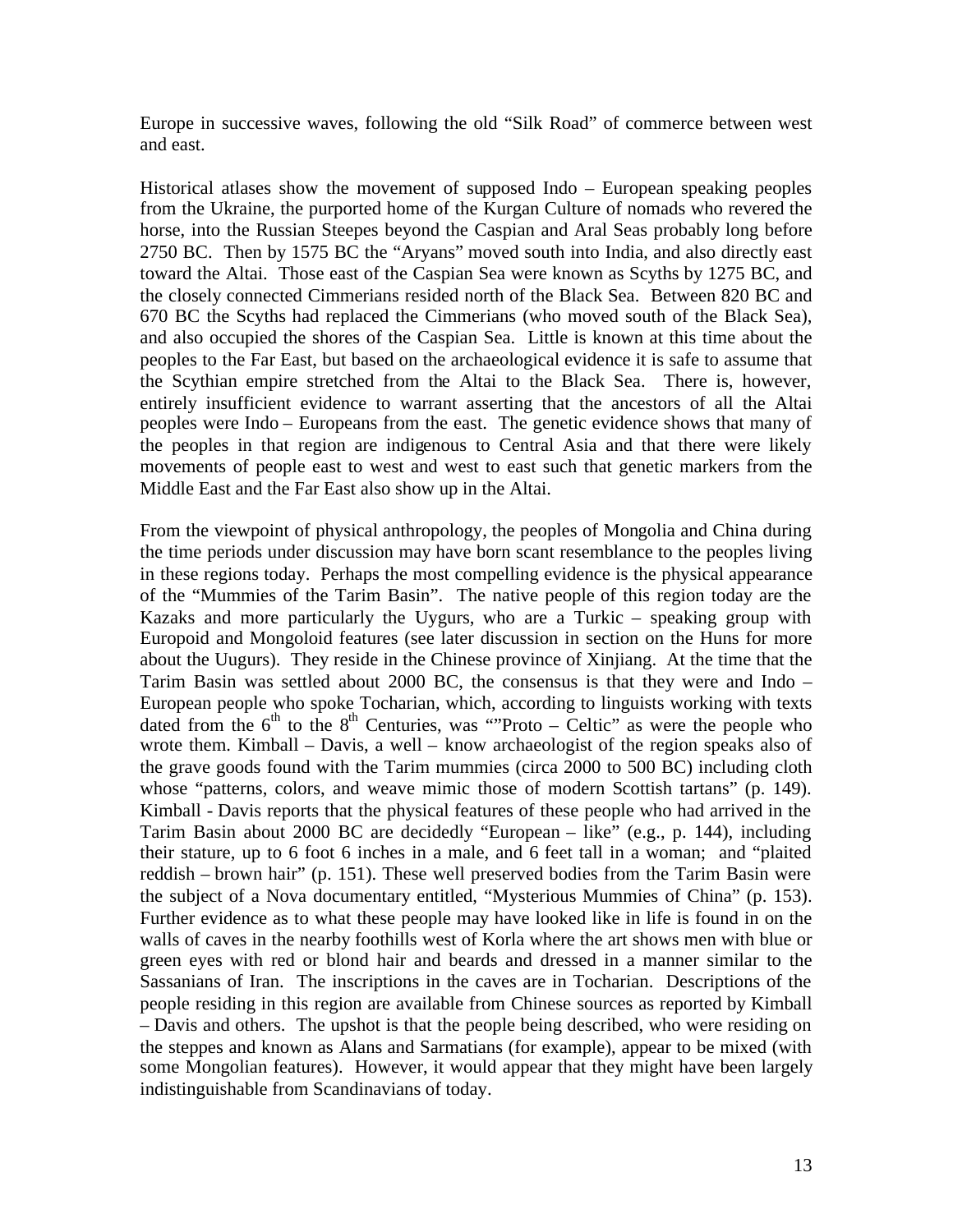Europe in successive waves, following the old "Silk Road" of commerce between west and east.

Historical atlases show the movement of supposed Indo – European speaking peoples from the Ukraine, the purported home of the Kurgan Culture of nomads who revered the horse, into the Russian Steepes beyond the Caspian and Aral Seas probably long before 2750 BC. Then by 1575 BC the "Aryans" moved south into India, and also directly east toward the Altai. Those east of the Caspian Sea were known as Scyths by 1275 BC, and the closely connected Cimmerians resided north of the Black Sea. Between 820 BC and 670 BC the Scyths had replaced the Cimmerians (who moved south of the Black Sea), and also occupied the shores of the Caspian Sea. Little is known at this time about the peoples to the Far East, but based on the archaeological evidence it is safe to assume that the Scythian empire stretched from the Altai to the Black Sea. There is, however, entirely insufficient evidence to warrant asserting that the ancestors of all the Altai peoples were Indo – Europeans from the east. The genetic evidence shows that many of the peoples in that region are indigenous to Central Asia and that there were likely movements of people east to west and west to east such that genetic markers from the Middle East and the Far East also show up in the Altai.

From the viewpoint of physical anthropology, the peoples of Mongolia and China during the time periods under discussion may have born scant resemblance to the peoples living in these regions today. Perhaps the most compelling evidence is the physical appearance of the "Mummies of the Tarim Basin". The native people of this region today are the Kazaks and more particularly the Uygurs, who are a Turkic – speaking group with Europoid and Mongoloid features (see later discussion in section on the Huns for more about the Uugurs). They reside in the Chinese province of Xinjiang. At the time that the Tarim Basin was settled about 2000 BC, the consensus is that they were and Indo – European people who spoke Tocharian, which, according to linguists working with texts dated from the  $6<sup>th</sup>$  to the  $8<sup>th</sup>$  Centuries, was "Proto – Celtic" as were the people who wrote them. Kimball – Davis, a well – know archaeologist of the region speaks also of the grave goods found with the Tarim mummies (circa 2000 to 500 BC) including cloth whose "patterns, colors, and weave mimic those of modern Scottish tartans" (p. 149). Kimball - Davis reports that the physical features of these people who had arrived in the Tarim Basin about 2000 BC are decidedly "European – like" (e.g., p. 144), including their stature, up to 6 foot 6 inches in a male, and 6 feet tall in a woman; and "plaited reddish – brown hair" (p. 151). These well preserved bodies from the Tarim Basin were the subject of a Nova documentary entitled, "Mysterious Mummies of China" (p. 153). Further evidence as to what these people may have looked like in life is found in on the walls of caves in the nearby foothills west of Korla where the art shows men with blue or green eyes with red or blond hair and beards and dressed in a manner similar to the Sassanians of Iran. The inscriptions in the caves are in Tocharian. Descriptions of the people residing in this region are available from Chinese sources as reported by Kimball – Davis and others. The upshot is that the people being described, who were residing on the steppes and known as Alans and Sarmatians (for example), appear to be mixed (with some Mongolian features). However, it would appear that they might have been largely indistinguishable from Scandinavians of today.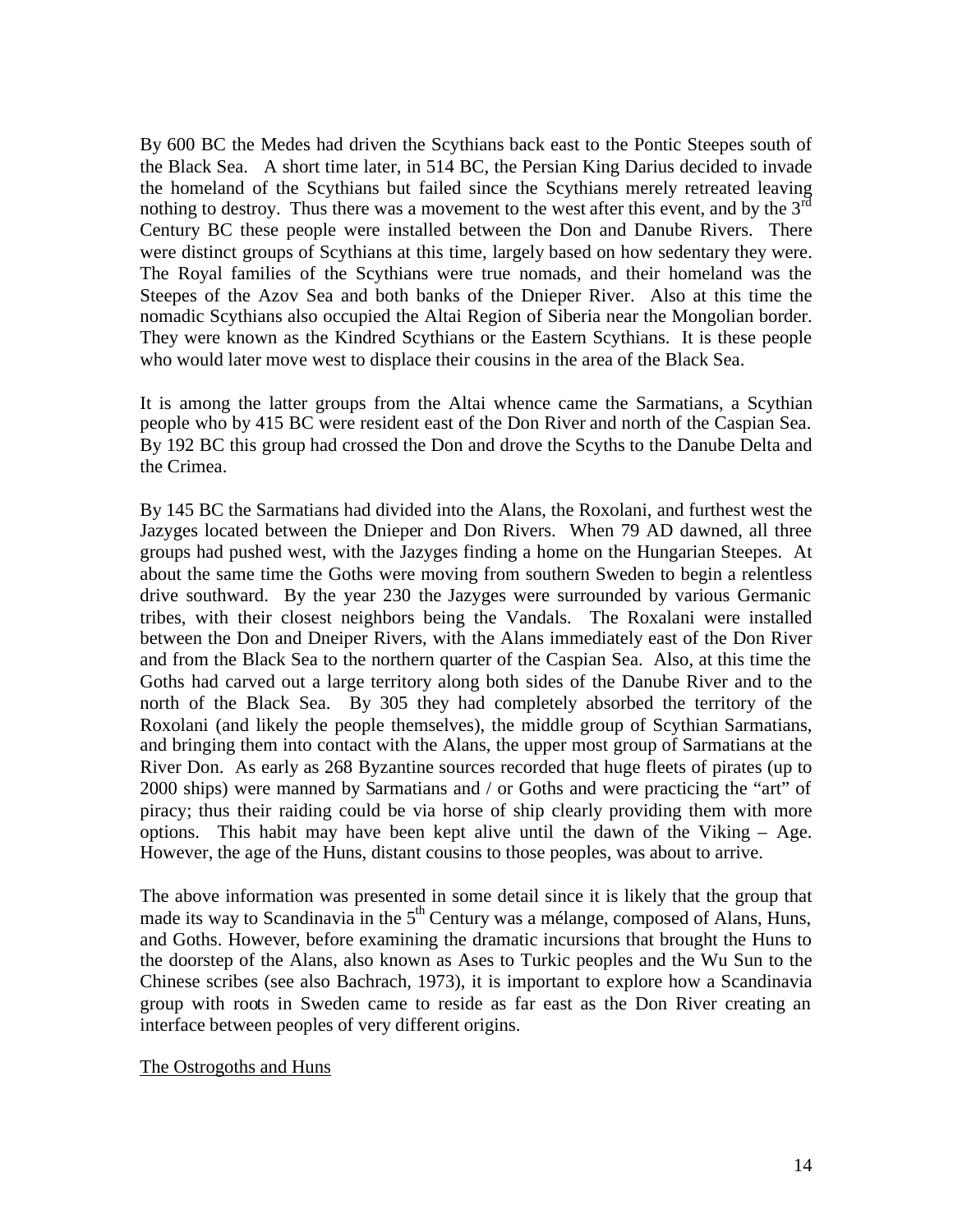By 600 BC the Medes had driven the Scythians back east to the Pontic Steepes south of the Black Sea. A short time later, in 514 BC, the Persian King Darius decided to invade the homeland of the Scythians but failed since the Scythians merely retreated leaving nothing to destroy. Thus there was a movement to the west after this event, and by the  $3<sup>rd</sup>$ Century BC these people were installed between the Don and Danube Rivers. There were distinct groups of Scythians at this time, largely based on how sedentary they were. The Royal families of the Scythians were true nomads, and their homeland was the Steepes of the Azov Sea and both banks of the Dnieper River. Also at this time the nomadic Scythians also occupied the Altai Region of Siberia near the Mongolian border. They were known as the Kindred Scythians or the Eastern Scythians. It is these people who would later move west to displace their cousins in the area of the Black Sea.

It is among the latter groups from the Altai whence came the Sarmatians, a Scythian people who by 415 BC were resident east of the Don River and north of the Caspian Sea. By 192 BC this group had crossed the Don and drove the Scyths to the Danube Delta and the Crimea.

By 145 BC the Sarmatians had divided into the Alans, the Roxolani, and furthest west the Jazyges located between the Dnieper and Don Rivers. When 79 AD dawned, all three groups had pushed west, with the Jazyges finding a home on the Hungarian Steepes. At about the same time the Goths were moving from southern Sweden to begin a relentless drive southward. By the year 230 the Jazyges were surrounded by various Germanic tribes, with their closest neighbors being the Vandals. The Roxalani were installed between the Don and Dneiper Rivers, with the Alans immediately east of the Don River and from the Black Sea to the northern quarter of the Caspian Sea. Also, at this time the Goths had carved out a large territory along both sides of the Danube River and to the north of the Black Sea. By 305 they had completely absorbed the territory of the Roxolani (and likely the people themselves), the middle group of Scythian Sarmatians, and bringing them into contact with the Alans, the upper most group of Sarmatians at the River Don. As early as 268 Byzantine sources recorded that huge fleets of pirates (up to 2000 ships) were manned by Sarmatians and / or Goths and were practicing the "art" of piracy; thus their raiding could be via horse of ship clearly providing them with more options. This habit may have been kept alive until the dawn of the Viking  $-$  Age. However, the age of the Huns, distant cousins to those peoples, was about to arrive.

The above information was presented in some detail since it is likely that the group that made its way to Scandinavia in the  $5<sup>th</sup>$  Century was a mélange, composed of Alans, Huns, and Goths. However, before examining the dramatic incursions that brought the Huns to the doorstep of the Alans, also known as Ases to Turkic peoples and the Wu Sun to the Chinese scribes (see also Bachrach, 1973), it is important to explore how a Scandinavia group with roots in Sweden came to reside as far east as the Don River creating an interface between peoples of very different origins.

#### The Ostrogoths and Huns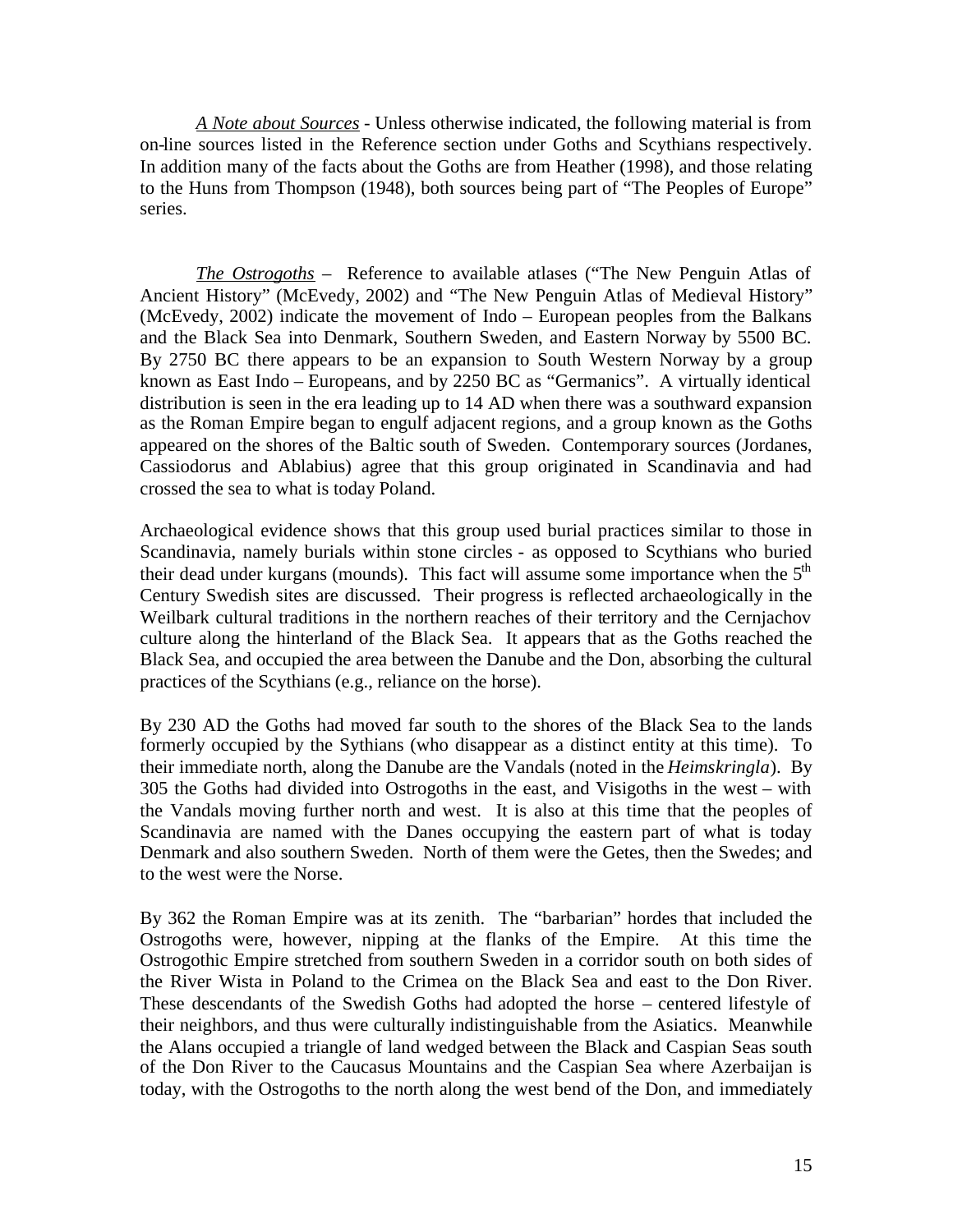*A Note about Sources* - Unless otherwise indicated, the following material is from on-line sources listed in the Reference section under Goths and Scythians respectively. In addition many of the facts about the Goths are from Heather (1998), and those relating to the Huns from Thompson (1948), both sources being part of "The Peoples of Europe" series.

*The Ostrogoths* – Reference to available atlases ("The New Penguin Atlas of Ancient History" (McEvedy, 2002) and "The New Penguin Atlas of Medieval History" (McEvedy, 2002) indicate the movement of Indo – European peoples from the Balkans and the Black Sea into Denmark, Southern Sweden, and Eastern Norway by 5500 BC. By 2750 BC there appears to be an expansion to South Western Norway by a group known as East Indo – Europeans, and by 2250 BC as "Germanics". A virtually identical distribution is seen in the era leading up to 14 AD when there was a southward expansion as the Roman Empire began to engulf adjacent regions, and a group known as the Goths appeared on the shores of the Baltic south of Sweden. Contemporary sources (Jordanes, Cassiodorus and Ablabius) agree that this group originated in Scandinavia and had crossed the sea to what is today Poland.

Archaeological evidence shows that this group used burial practices similar to those in Scandinavia, namely burials within stone circles - as opposed to Scythians who buried their dead under kurgans (mounds). This fact will assume some importance when the  $5<sup>th</sup>$ Century Swedish sites are discussed. Their progress is reflected archaeologically in the Weilbark cultural traditions in the northern reaches of their territory and the Cernjachov culture along the hinterland of the Black Sea. It appears that as the Goths reached the Black Sea, and occupied the area between the Danube and the Don, absorbing the cultural practices of the Scythians (e.g., reliance on the horse).

By 230 AD the Goths had moved far south to the shores of the Black Sea to the lands formerly occupied by the Sythians (who disappear as a distinct entity at this time). To their immediate north, along the Danube are the Vandals (noted in the *Heimskringla*). By 305 the Goths had divided into Ostrogoths in the east, and Visigoths in the west – with the Vandals moving further north and west. It is also at this time that the peoples of Scandinavia are named with the Danes occupying the eastern part of what is today Denmark and also southern Sweden. North of them were the Getes, then the Swedes; and to the west were the Norse.

By 362 the Roman Empire was at its zenith. The "barbarian" hordes that included the Ostrogoths were, however, nipping at the flanks of the Empire. At this time the Ostrogothic Empire stretched from southern Sweden in a corridor south on both sides of the River Wista in Poland to the Crimea on the Black Sea and east to the Don River. These descendants of the Swedish Goths had adopted the horse – centered lifestyle of their neighbors, and thus were culturally indistinguishable from the Asiatics. Meanwhile the Alans occupied a triangle of land wedged between the Black and Caspian Seas south of the Don River to the Caucasus Mountains and the Caspian Sea where Azerbaijan is today, with the Ostrogoths to the north along the west bend of the Don, and immediately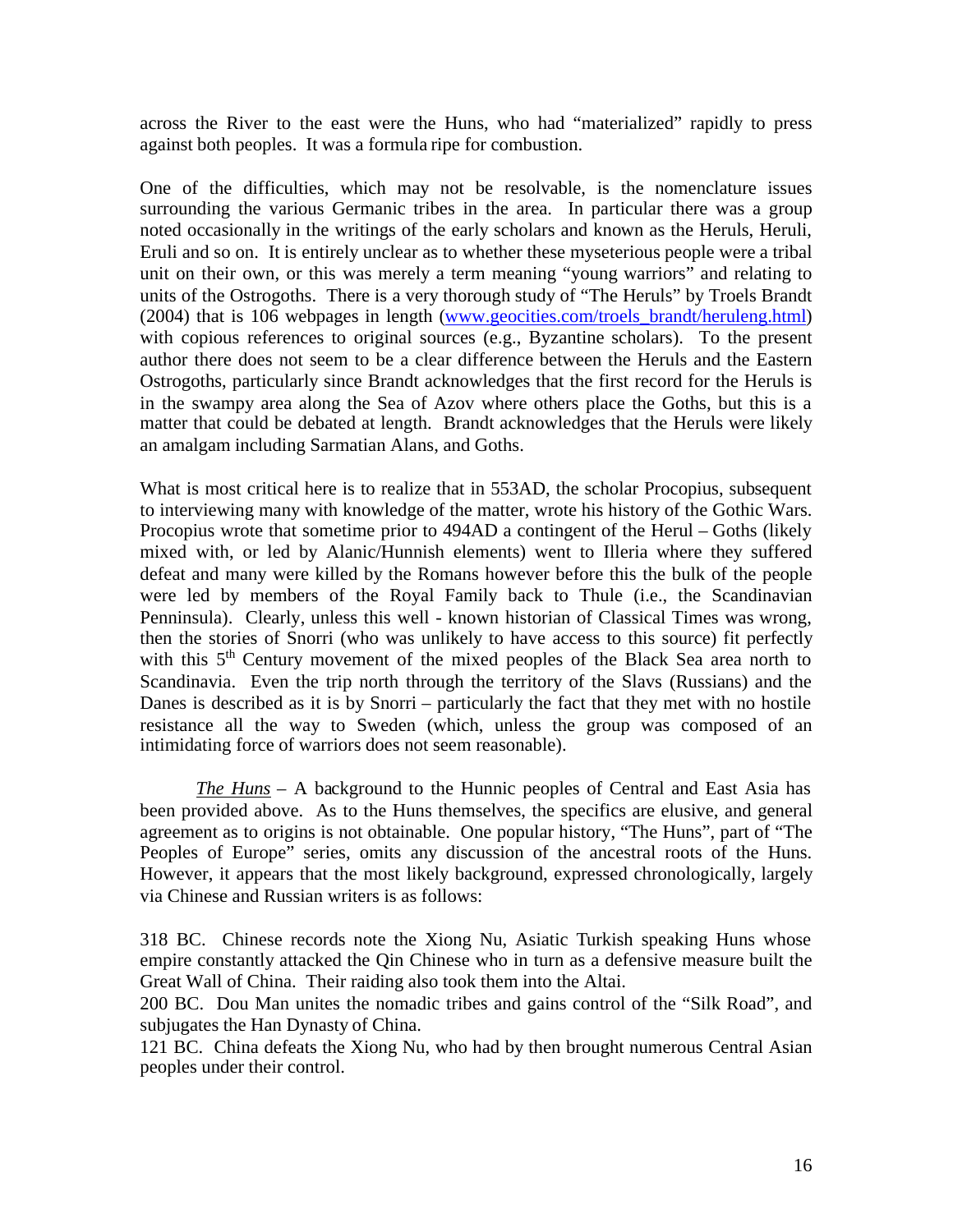across the River to the east were the Huns, who had "materialized" rapidly to press against both peoples. It was a formula ripe for combustion.

One of the difficulties, which may not be resolvable, is the nomenclature issues surrounding the various Germanic tribes in the area. In particular there was a group noted occasionally in the writings of the early scholars and known as the Heruls, Heruli, Eruli and so on. It is entirely unclear as to whether these myseterious people were a tribal unit on their own, or this was merely a term meaning "young warriors" and relating to units of the Ostrogoths. There is a very thorough study of "The Heruls" by Troels Brandt (2004) that is 106 webpages in length [\(www.geocities.com/troels\\_brandt/heruleng.html\)](http://www.geocities.com/troels_brandt/heruleng.html) with copious references to original sources (e.g., Byzantine scholars). To the present author there does not seem to be a clear difference between the Heruls and the Eastern Ostrogoths, particularly since Brandt acknowledges that the first record for the Heruls is in the swampy area along the Sea of Azov where others place the Goths, but this is a matter that could be debated at length. Brandt acknowledges that the Heruls were likely an amalgam including Sarmatian Alans, and Goths.

What is most critical here is to realize that in 553AD, the scholar Procopius, subsequent to interviewing many with knowledge of the matter, wrote his history of the Gothic Wars. Procopius wrote that sometime prior to 494AD a contingent of the Herul – Goths (likely mixed with, or led by Alanic/Hunnish elements) went to Illeria where they suffered defeat and many were killed by the Romans however before this the bulk of the people were led by members of the Royal Family back to Thule (i.e., the Scandinavian Penninsula). Clearly, unless this well - known historian of Classical Times was wrong, then the stories of Snorri (who was unlikely to have access to this source) fit perfectly with this  $5<sup>th</sup>$  Century movement of the mixed peoples of the Black Sea area north to Scandinavia. Even the trip north through the territory of the Slavs (Russians) and the Danes is described as it is by Snorri – particularly the fact that they met with no hostile resistance all the way to Sweden (which, unless the group was composed of an intimidating force of warriors does not seem reasonable).

*The Huns* – A background to the Hunnic peoples of Central and East Asia has been provided above. As to the Huns themselves, the specifics are elusive, and general agreement as to origins is not obtainable. One popular history, "The Huns", part of "The Peoples of Europe" series, omits any discussion of the ancestral roots of the Huns. However, it appears that the most likely background, expressed chronologically, largely via Chinese and Russian writers is as follows:

318 BC. Chinese records note the Xiong Nu, Asiatic Turkish speaking Huns whose empire constantly attacked the Qin Chinese who in turn as a defensive measure built the Great Wall of China. Their raiding also took them into the Altai.

200 BC. Dou Man unites the nomadic tribes and gains control of the "Silk Road", and subjugates the Han Dynasty of China.

121 BC. China defeats the Xiong Nu, who had by then brought numerous Central Asian peoples under their control.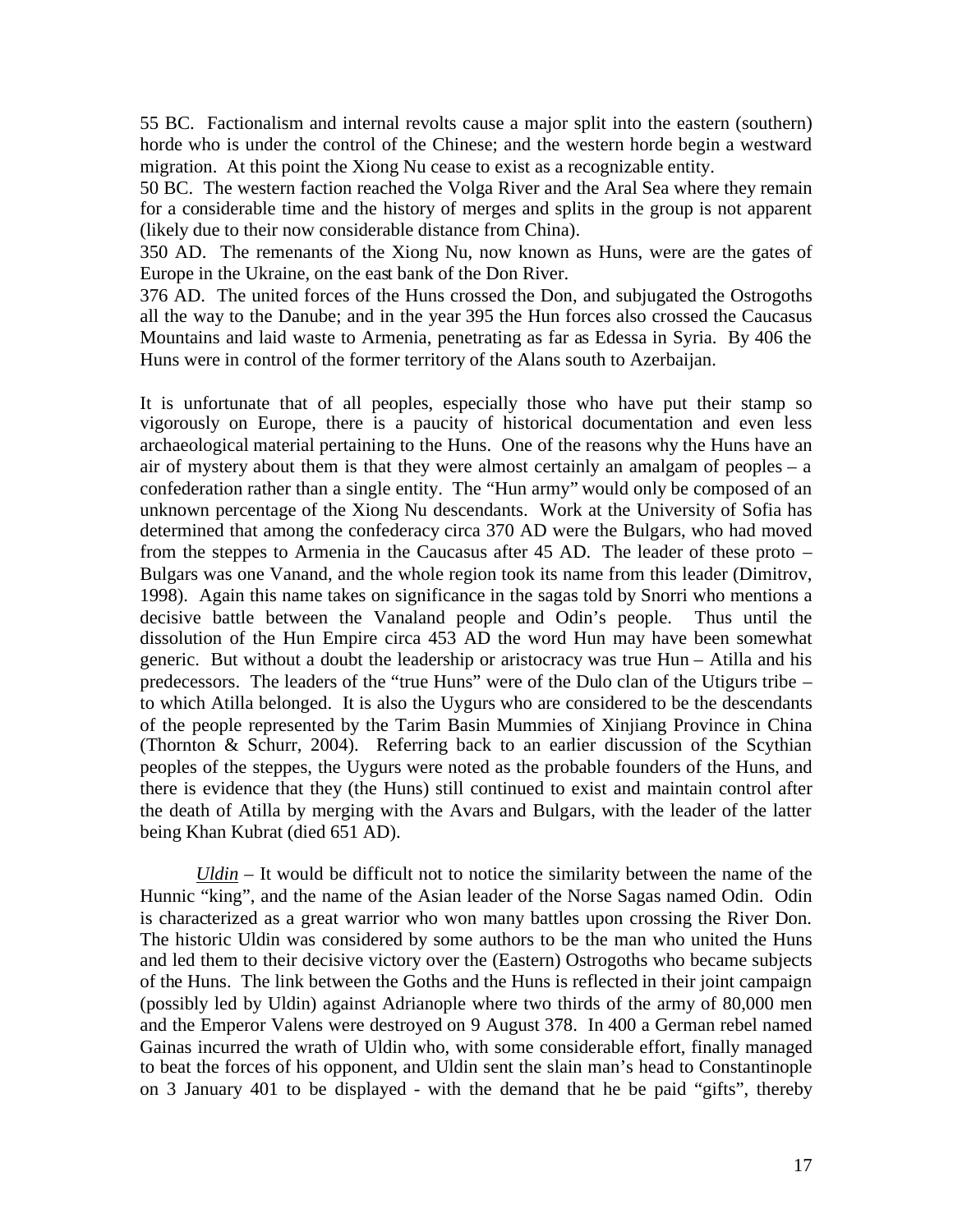55 BC. Factionalism and internal revolts cause a major split into the eastern (southern) horde who is under the control of the Chinese; and the western horde begin a westward migration. At this point the Xiong Nu cease to exist as a recognizable entity.

50 BC. The western faction reached the Volga River and the Aral Sea where they remain for a considerable time and the history of merges and splits in the group is not apparent (likely due to their now considerable distance from China).

350 AD. The remenants of the Xiong Nu, now known as Huns, were are the gates of Europe in the Ukraine, on the east bank of the Don River.

376 AD. The united forces of the Huns crossed the Don, and subjugated the Ostrogoths all the way to the Danube; and in the year 395 the Hun forces also crossed the Caucasus Mountains and laid waste to Armenia, penetrating as far as Edessa in Syria. By 406 the Huns were in control of the former territory of the Alans south to Azerbaijan.

It is unfortunate that of all peoples, especially those who have put their stamp so vigorously on Europe, there is a paucity of historical documentation and even less archaeological material pertaining to the Huns. One of the reasons why the Huns have an air of mystery about them is that they were almost certainly an amalgam of peoples – a confederation rather than a single entity. The "Hun army" would only be composed of an unknown percentage of the Xiong Nu descendants. Work at the University of Sofia has determined that among the confederacy circa 370 AD were the Bulgars, who had moved from the steppes to Armenia in the Caucasus after 45 AD. The leader of these proto – Bulgars was one Vanand, and the whole region took its name from this leader (Dimitrov, 1998). Again this name takes on significance in the sagas told by Snorri who mentions a decisive battle between the Vanaland people and Odin's people. Thus until the dissolution of the Hun Empire circa 453 AD the word Hun may have been somewhat generic. But without a doubt the leadership or aristocracy was true Hun – Atilla and his predecessors. The leaders of the "true Huns" were of the Dulo clan of the Utigurs tribe – to which Atilla belonged. It is also the Uygurs who are considered to be the descendants of the people represented by the Tarim Basin Mummies of Xinjiang Province in China (Thornton & Schurr, 2004). Referring back to an earlier discussion of the Scythian peoples of the steppes, the Uygurs were noted as the probable founders of the Huns, and there is evidence that they (the Huns) still continued to exist and maintain control after the death of Atilla by merging with the Avars and Bulgars, with the leader of the latter being Khan Kubrat (died 651 AD).

*Uldin* – It would be difficult not to notice the similarity between the name of the Hunnic "king", and the name of the Asian leader of the Norse Sagas named Odin. Odin is characterized as a great warrior who won many battles upon crossing the River Don. The historic Uldin was considered by some authors to be the man who united the Huns and led them to their decisive victory over the (Eastern) Ostrogoths who became subjects of the Huns. The link between the Goths and the Huns is reflected in their joint campaign (possibly led by Uldin) against Adrianople where two thirds of the army of 80,000 men and the Emperor Valens were destroyed on 9 August 378. In 400 a German rebel named Gainas incurred the wrath of Uldin who, with some considerable effort, finally managed to beat the forces of his opponent, and Uldin sent the slain man's head to Constantinople on 3 January 401 to be displayed - with the demand that he be paid "gifts", thereby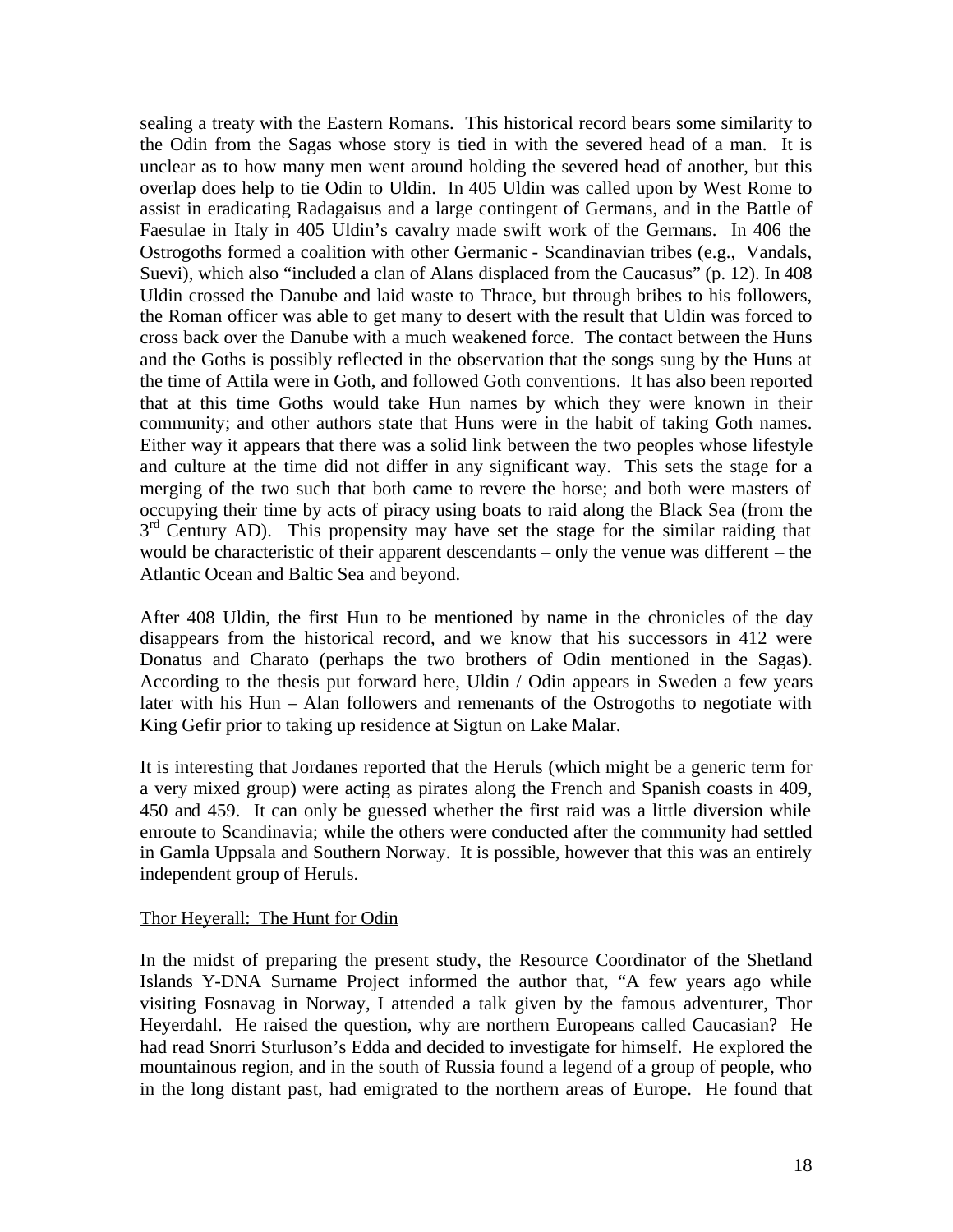sealing a treaty with the Eastern Romans. This historical record bears some similarity to the Odin from the Sagas whose story is tied in with the severed head of a man. It is unclear as to how many men went around holding the severed head of another, but this overlap does help to tie Odin to Uldin. In 405 Uldin was called upon by West Rome to assist in eradicating Radagaisus and a large contingent of Germans, and in the Battle of Faesulae in Italy in 405 Uldin's cavalry made swift work of the Germans. In 406 the Ostrogoths formed a coalition with other Germanic - Scandinavian tribes (e.g., Vandals, Suevi), which also "included a clan of Alans displaced from the Caucasus" (p. 12). In 408 Uldin crossed the Danube and laid waste to Thrace, but through bribes to his followers, the Roman officer was able to get many to desert with the result that Uldin was forced to cross back over the Danube with a much weakened force. The contact between the Huns and the Goths is possibly reflected in the observation that the songs sung by the Huns at the time of Attila were in Goth, and followed Goth conventions. It has also been reported that at this time Goths would take Hun names by which they were known in their community; and other authors state that Huns were in the habit of taking Goth names. Either way it appears that there was a solid link between the two peoples whose lifestyle and culture at the time did not differ in any significant way. This sets the stage for a merging of the two such that both came to revere the horse; and both were masters of occupying their time by acts of piracy using boats to raid along the Black Sea (from the 3<sup>rd</sup> Century AD). This propensity may have set the stage for the similar raiding that would be characteristic of their apparent descendants – only the venue was different – the Atlantic Ocean and Baltic Sea and beyond.

After 408 Uldin, the first Hun to be mentioned by name in the chronicles of the day disappears from the historical record, and we know that his successors in 412 were Donatus and Charato (perhaps the two brothers of Odin mentioned in the Sagas). According to the thesis put forward here, Uldin / Odin appears in Sweden a few years later with his Hun – Alan followers and remenants of the Ostrogoths to negotiate with King Gefir prior to taking up residence at Sigtun on Lake Malar.

It is interesting that Jordanes reported that the Heruls (which might be a generic term for a very mixed group) were acting as pirates along the French and Spanish coasts in 409, 450 and 459. It can only be guessed whether the first raid was a little diversion while enroute to Scandinavia; while the others were conducted after the community had settled in Gamla Uppsala and Southern Norway. It is possible, however that this was an entirely independent group of Heruls.

#### Thor Heyerall: The Hunt for Odin

In the midst of preparing the present study, the Resource Coordinator of the Shetland Islands Y-DNA Surname Project informed the author that, "A few years ago while visiting Fosnavag in Norway, I attended a talk given by the famous adventurer, Thor Heyerdahl. He raised the question, why are northern Europeans called Caucasian? He had read Snorri Sturluson's Edda and decided to investigate for himself. He explored the mountainous region, and in the south of Russia found a legend of a group of people, who in the long distant past, had emigrated to the northern areas of Europe. He found that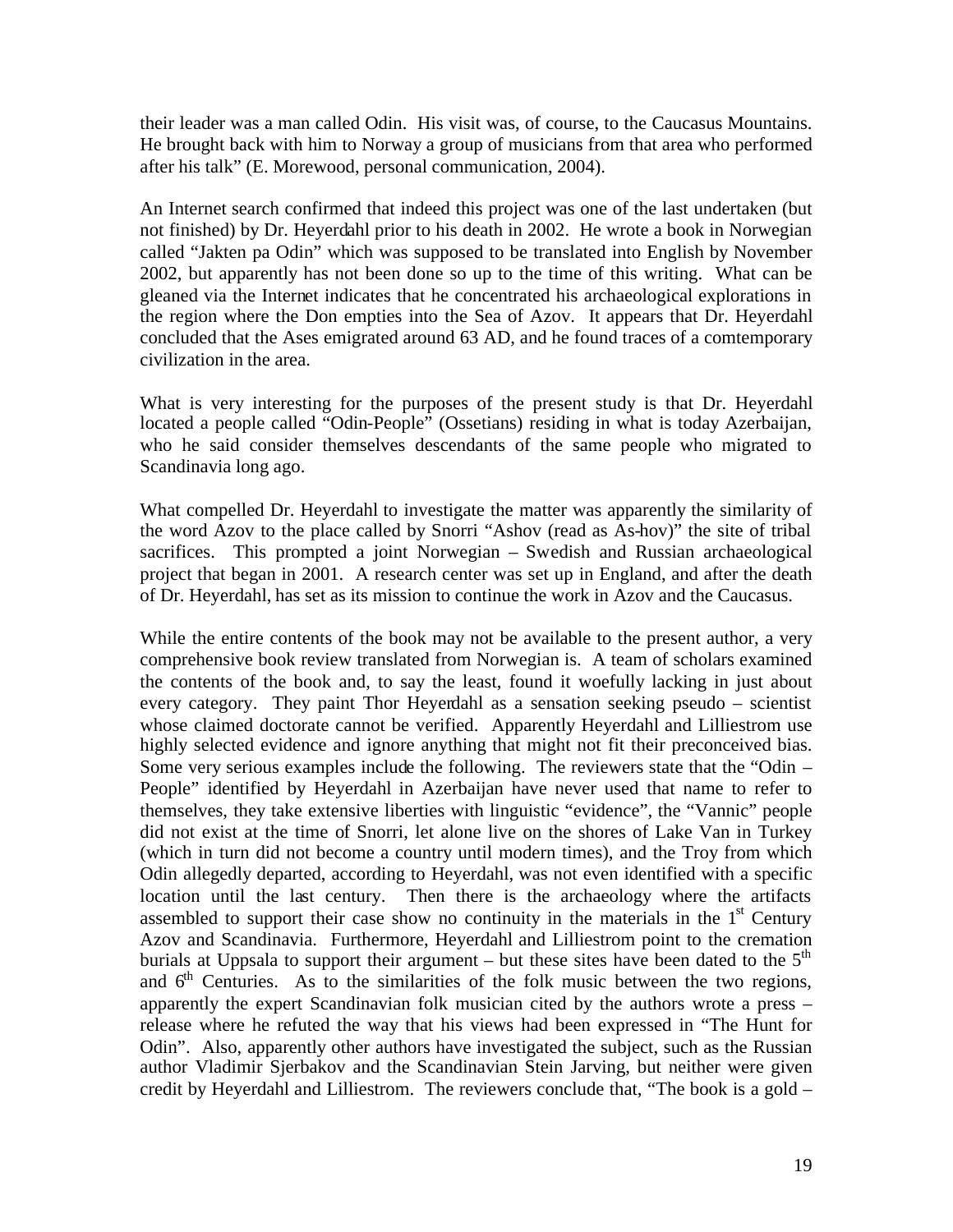their leader was a man called Odin. His visit was, of course, to the Caucasus Mountains. He brought back with him to Norway a group of musicians from that area who performed after his talk" (E. Morewood, personal communication, 2004).

An Internet search confirmed that indeed this project was one of the last undertaken (but not finished) by Dr. Heyerdahl prior to his death in 2002. He wrote a book in Norwegian called "Jakten pa Odin" which was supposed to be translated into English by November 2002, but apparently has not been done so up to the time of this writing. What can be gleaned via the Internet indicates that he concentrated his archaeological explorations in the region where the Don empties into the Sea of Azov. It appears that Dr. Heyerdahl concluded that the Ases emigrated around 63 AD, and he found traces of a comtemporary civilization in the area.

What is very interesting for the purposes of the present study is that Dr. Heyerdahl located a people called "Odin-People" (Ossetians) residing in what is today Azerbaijan, who he said consider themselves descendants of the same people who migrated to Scandinavia long ago.

What compelled Dr. Heyerdahl to investigate the matter was apparently the similarity of the word Azov to the place called by Snorri "Ashov (read as As-hov)" the site of tribal sacrifices. This prompted a joint Norwegian – Swedish and Russian archaeological project that began in 2001. A research center was set up in England, and after the death of Dr. Heyerdahl, has set as its mission to continue the work in Azov and the Caucasus.

While the entire contents of the book may not be available to the present author, a very comprehensive book review translated from Norwegian is. A team of scholars examined the contents of the book and, to say the least, found it woefully lacking in just about every category. They paint Thor Heyerdahl as a sensation seeking pseudo – scientist whose claimed doctorate cannot be verified. Apparently Heyerdahl and Lilliestrom use highly selected evidence and ignore anything that might not fit their preconceived bias. Some very serious examples include the following. The reviewers state that the "Odin – People" identified by Heyerdahl in Azerbaijan have never used that name to refer to themselves, they take extensive liberties with linguistic "evidence", the "Vannic" people did not exist at the time of Snorri, let alone live on the shores of Lake Van in Turkey (which in turn did not become a country until modern times), and the Troy from which Odin allegedly departed, according to Heyerdahl, was not even identified with a specific location until the last century. Then there is the archaeology where the artifacts assembled to support their case show no continuity in the materials in the  $1<sup>st</sup>$  Century Azov and Scandinavia. Furthermore, Heyerdahl and Lilliestrom point to the cremation burials at Uppsala to support their argument – but these sites have been dated to the  $5<sup>th</sup>$ and  $6<sup>th</sup>$  Centuries. As to the similarities of the folk music between the two regions, apparently the expert Scandinavian folk musician cited by the authors wrote a press – release where he refuted the way that his views had been expressed in "The Hunt for Odin". Also, apparently other authors have investigated the subject, such as the Russian author Vladimir Sjerbakov and the Scandinavian Stein Jarving, but neither were given credit by Heyerdahl and Lilliestrom. The reviewers conclude that, "The book is a gold –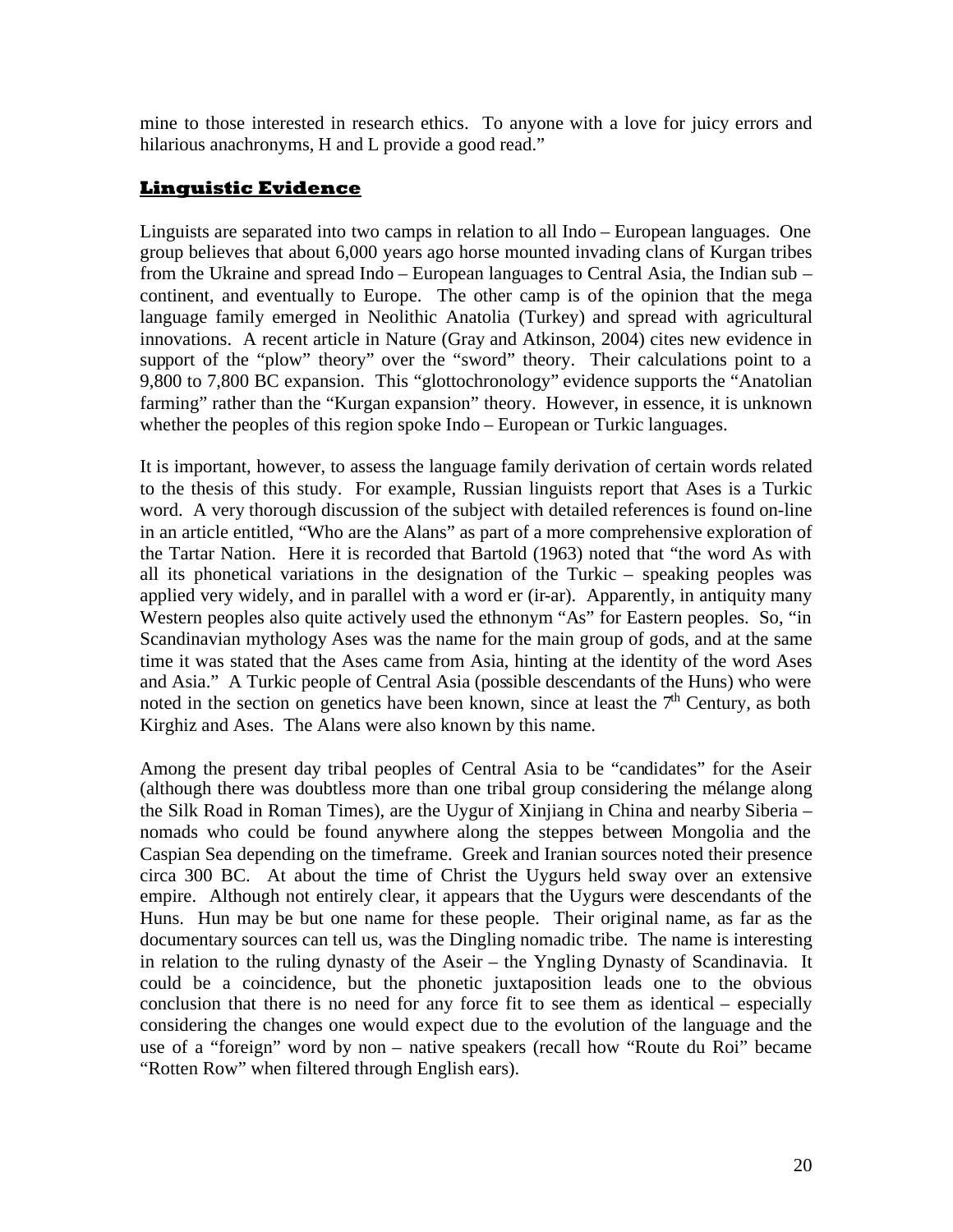mine to those interested in research ethics. To anyone with a love for juicy errors and hilarious anachronyms, H and L provide a good read."

### **Linguistic Evidence**

Linguists are separated into two camps in relation to all Indo – European languages. One group believes that about 6,000 years ago horse mounted invading clans of Kurgan tribes from the Ukraine and spread Indo – European languages to Central Asia, the Indian sub – continent, and eventually to Europe. The other camp is of the opinion that the mega language family emerged in Neolithic Anatolia (Turkey) and spread with agricultural innovations. A recent article in Nature (Gray and Atkinson, 2004) cites new evidence in support of the "plow" theory" over the "sword" theory. Their calculations point to a 9,800 to 7,800 BC expansion. This "glottochronology" evidence supports the "Anatolian farming" rather than the "Kurgan expansion" theory. However, in essence, it is unknown whether the peoples of this region spoke Indo – European or Turkic languages.

It is important, however, to assess the language family derivation of certain words related to the thesis of this study. For example, Russian linguists report that Ases is a Turkic word. A very thorough discussion of the subject with detailed references is found on-line in an article entitled, "Who are the Alans" as part of a more comprehensive exploration of the Tartar Nation. Here it is recorded that Bartold (1963) noted that "the word As with all its phonetical variations in the designation of the Turkic – speaking peoples was applied very widely, and in parallel with a word er (ir-ar). Apparently, in antiquity many Western peoples also quite actively used the ethnonym "As" for Eastern peoples. So, "in Scandinavian mythology Ases was the name for the main group of gods, and at the same time it was stated that the Ases came from Asia, hinting at the identity of the word Ases and Asia." A Turkic people of Central Asia (possible descendants of the Huns) who were noted in the section on genetics have been known, since at least the  $7<sup>th</sup>$  Century, as both Kirghiz and Ases. The Alans were also known by this name.

Among the present day tribal peoples of Central Asia to be "candidates" for the Aseir (although there was doubtless more than one tribal group considering the mélange along the Silk Road in Roman Times), are the Uygur of Xinjiang in China and nearby Siberia – nomads who could be found anywhere along the steppes between Mongolia and the Caspian Sea depending on the timeframe. Greek and Iranian sources noted their presence circa 300 BC. At about the time of Christ the Uygurs held sway over an extensive empire. Although not entirely clear, it appears that the Uygurs were descendants of the Huns. Hun may be but one name for these people. Their original name, as far as the documentary sources can tell us, was the Dingling nomadic tribe. The name is interesting in relation to the ruling dynasty of the Aseir – the Yngling Dynasty of Scandinavia. It could be a coincidence, but the phonetic juxtaposition leads one to the obvious conclusion that there is no need for any force fit to see them as identical – especially considering the changes one would expect due to the evolution of the language and the use of a "foreign" word by non – native speakers (recall how "Route du Roi" became "Rotten Row" when filtered through English ears).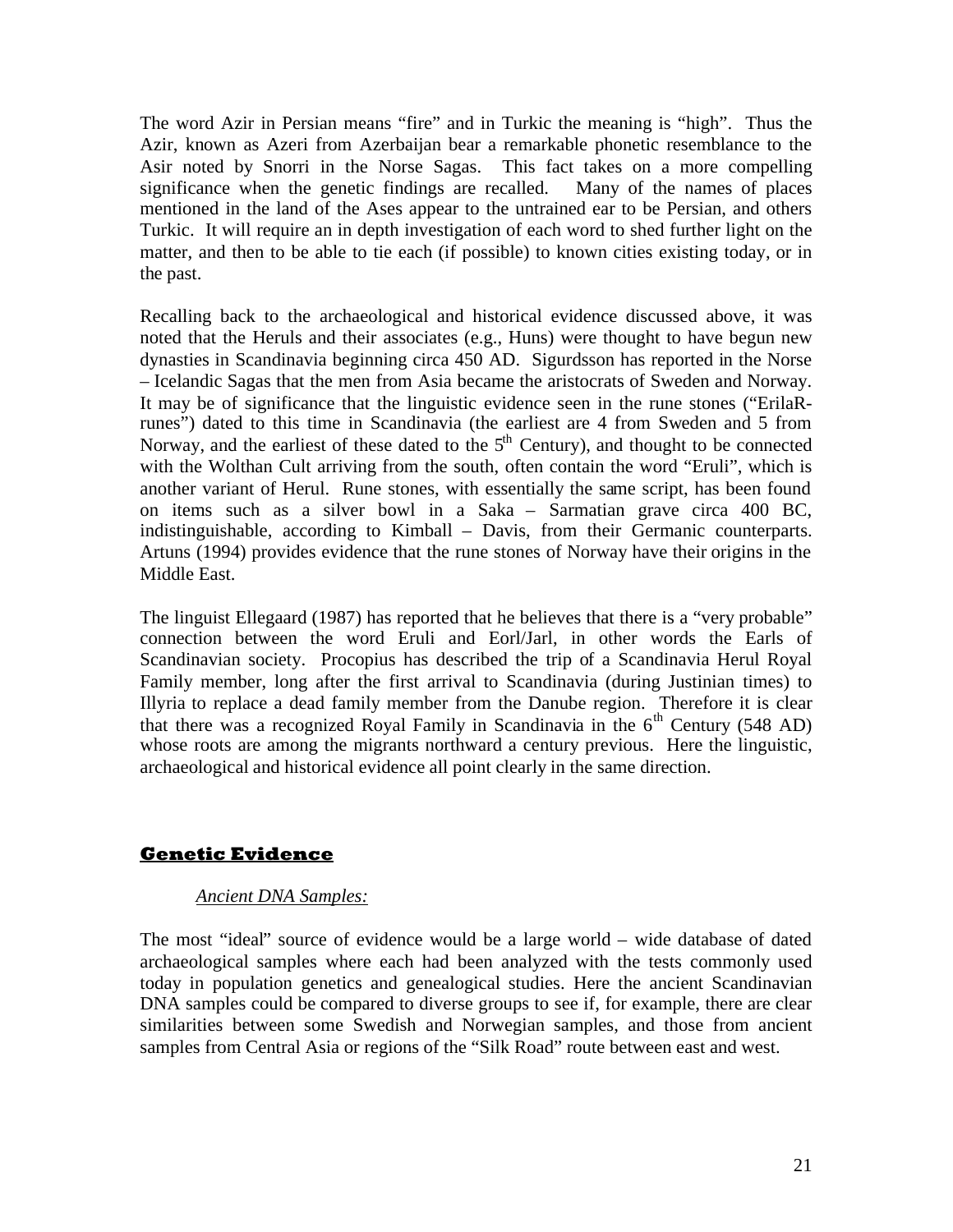The word Azir in Persian means "fire" and in Turkic the meaning is "high". Thus the Azir, known as Azeri from Azerbaijan bear a remarkable phonetic resemblance to the Asir noted by Snorri in the Norse Sagas. This fact takes on a more compelling significance when the genetic findings are recalled. Many of the names of places mentioned in the land of the Ases appear to the untrained ear to be Persian, and others Turkic. It will require an in depth investigation of each word to shed further light on the matter, and then to be able to tie each (if possible) to known cities existing today, or in the past.

Recalling back to the archaeological and historical evidence discussed above, it was noted that the Heruls and their associates (e.g., Huns) were thought to have begun new dynasties in Scandinavia beginning circa 450 AD. Sigurdsson has reported in the Norse – Icelandic Sagas that the men from Asia became the aristocrats of Sweden and Norway. It may be of significance that the linguistic evidence seen in the rune stones ("ErilaRrunes") dated to this time in Scandinavia (the earliest are 4 from Sweden and 5 from Norway, and the earliest of these dated to the  $5<sup>th</sup>$  Century), and thought to be connected with the Wolthan Cult arriving from the south, often contain the word "Eruli", which is another variant of Herul. Rune stones, with essentially the same script, has been found on items such as a silver bowl in a Saka – Sarmatian grave circa 400 BC, indistinguishable, according to Kimball – Davis, from their Germanic counterparts. Artuns (1994) provides evidence that the rune stones of Norway have their origins in the Middle East.

The linguist Ellegaard (1987) has reported that he believes that there is a "very probable" connection between the word Eruli and Eorl/Jarl, in other words the Earls of Scandinavian society. Procopius has described the trip of a Scandinavia Herul Royal Family member, long after the first arrival to Scandinavia (during Justinian times) to Illyria to replace a dead family member from the Danube region. Therefore it is clear that there was a recognized Royal Family in Scandinavia in the  $6<sup>th</sup>$  Century (548 AD) whose roots are among the migrants northward a century previous. Here the linguistic, archaeological and historical evidence all point clearly in the same direction.

### **Genetic Evidence**

### *Ancient DNA Samples:*

The most "ideal" source of evidence would be a large world – wide database of dated archaeological samples where each had been analyzed with the tests commonly used today in population genetics and genealogical studies. Here the ancient Scandinavian DNA samples could be compared to diverse groups to see if, for example, there are clear similarities between some Swedish and Norwegian samples, and those from ancient samples from Central Asia or regions of the "Silk Road" route between east and west.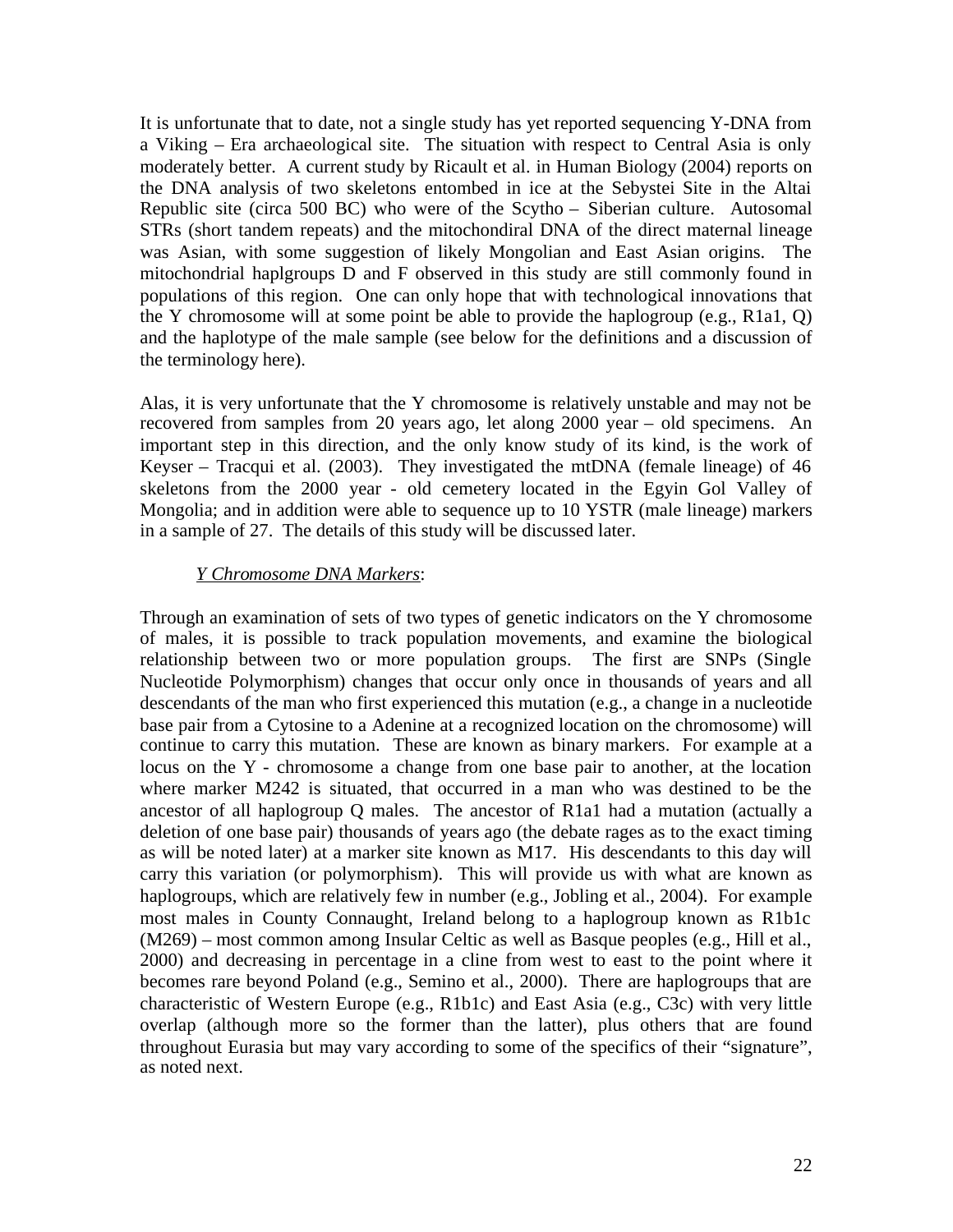It is unfortunate that to date, not a single study has yet reported sequencing Y-DNA from a Viking – Era archaeological site. The situation with respect to Central Asia is only moderately better. A current study by Ricault et al. in Human Biology (2004) reports on the DNA analysis of two skeletons entombed in ice at the Sebystei Site in the Altai Republic site (circa 500 BC) who were of the Scytho – Siberian culture. Autosomal STRs (short tandem repeats) and the mitochondiral DNA of the direct maternal lineage was Asian, with some suggestion of likely Mongolian and East Asian origins. The mitochondrial haplgroups D and F observed in this study are still commonly found in populations of this region. One can only hope that with technological innovations that the Y chromosome will at some point be able to provide the haplogroup (e.g., R1a1, Q) and the haplotype of the male sample (see below for the definitions and a discussion of the terminology here).

Alas, it is very unfortunate that the Y chromosome is relatively unstable and may not be recovered from samples from 20 years ago, let along 2000 year – old specimens. An important step in this direction, and the only know study of its kind, is the work of Keyser – Tracqui et al. (2003). They investigated the mtDNA (female lineage) of 46 skeletons from the 2000 year - old cemetery located in the Egyin Gol Valley of Mongolia; and in addition were able to sequence up to 10 YSTR (male lineage) markers in a sample of 27. The details of this study will be discussed later.

### *Y Chromosome DNA Markers*:

Through an examination of sets of two types of genetic indicators on the Y chromosome of males, it is possible to track population movements, and examine the biological relationship between two or more population groups. The first are SNPs (Single Nucleotide Polymorphism) changes that occur only once in thousands of years and all descendants of the man who first experienced this mutation (e.g., a change in a nucleotide base pair from a Cytosine to a Adenine at a recognized location on the chromosome) will continue to carry this mutation. These are known as binary markers. For example at a locus on the Y - chromosome a change from one base pair to another, at the location where marker M242 is situated, that occurred in a man who was destined to be the ancestor of all haplogroup Q males. The ancestor of R1a1 had a mutation (actually a deletion of one base pair) thousands of years ago (the debate rages as to the exact timing as will be noted later) at a marker site known as M17. His descendants to this day will carry this variation (or polymorphism). This will provide us with what are known as haplogroups, which are relatively few in number (e.g., Jobling et al., 2004). For example most males in County Connaught, Ireland belong to a haplogroup known as R1b1c (M269) – most common among Insular Celtic as well as Basque peoples (e.g., Hill et al., 2000) and decreasing in percentage in a cline from west to east to the point where it becomes rare beyond Poland (e.g., Semino et al., 2000). There are haplogroups that are characteristic of Western Europe (e.g., R1b1c) and East Asia (e.g., C3c) with very little overlap (although more so the former than the latter), plus others that are found throughout Eurasia but may vary according to some of the specifics of their "signature", as noted next.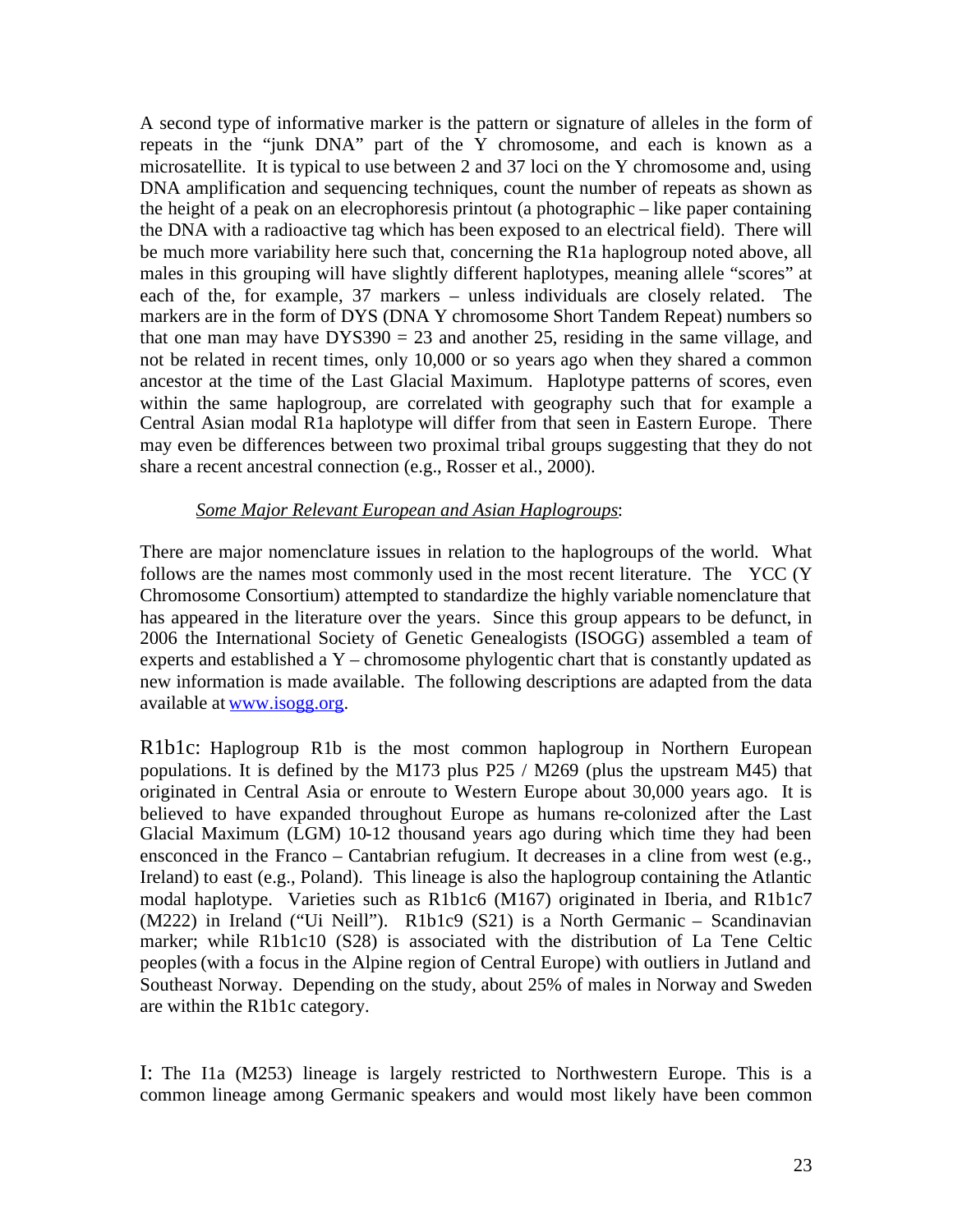A second type of informative marker is the pattern or signature of alleles in the form of repeats in the "junk DNA" part of the Y chromosome, and each is known as a microsatellite. It is typical to use between 2 and 37 loci on the Y chromosome and, using DNA amplification and sequencing techniques, count the number of repeats as shown as the height of a peak on an elecrophoresis printout (a photographic – like paper containing the DNA with a radioactive tag which has been exposed to an electrical field). There will be much more variability here such that, concerning the R1a haplogroup noted above, all males in this grouping will have slightly different haplotypes, meaning allele "scores" at each of the, for example, 37 markers – unless individuals are closely related. The markers are in the form of DYS (DNA Y chromosome Short Tandem Repeat) numbers so that one man may have  $DYSS90 = 23$  and another 25, residing in the same village, and not be related in recent times, only 10,000 or so years ago when they shared a common ancestor at the time of the Last Glacial Maximum. Haplotype patterns of scores, even within the same haplogroup, are correlated with geography such that for example a Central Asian modal R1a haplotype will differ from that seen in Eastern Europe. There may even be differences between two proximal tribal groups suggesting that they do not share a recent ancestral connection (e.g., Rosser et al., 2000).

### *Some Major Relevant European and Asian Haplogroups*:

There are major nomenclature issues in relation to the haplogroups of the world. What follows are the names most commonly used in the most recent literature. The YCC (Y Chromosome Consortium) attempted to standardize the highly variable nomenclature that has appeared in the literature over the years. Since this group appears to be defunct, in 2006 the International Society of Genetic Genealogists (ISOGG) assembled a team of experts and established a Y – chromosome phylogentic chart that is constantly updated as new information is made available. The following descriptions are adapted from the data available at [www.isogg.org.](http://www.isogg.org/)

R1b1c: Haplogroup R1b is the most common haplogroup in Northern European populations. It is defined by the M173 plus P25 / M269 (plus the upstream M45) that originated in Central Asia or enroute to Western Europe about 30,000 years ago. It is believed to have expanded throughout Europe as humans re-colonized after the Last Glacial Maximum (LGM) 10-12 thousand years ago during which time they had been ensconced in the Franco – Cantabrian refugium. It decreases in a cline from west (e.g., Ireland) to east (e.g., Poland). This lineage is also the haplogroup containing the Atlantic modal haplotype. Varieties such as R1b1c6 (M167) originated in Iberia, and R1b1c7 (M222) in Ireland ("Ui Neill"). R1b1c9 (S21) is a North Germanic – Scandinavian marker; while R1b1c10 (S28) is associated with the distribution of La Tene Celtic peoples (with a focus in the Alpine region of Central Europe) with outliers in Jutland and Southeast Norway. Depending on the study, about 25% of males in Norway and Sweden are within the R1b1c category.

I: The I1a (M253) lineage is largely restricted to Northwestern Europe. This is a common lineage among Germanic speakers and would most likely have been common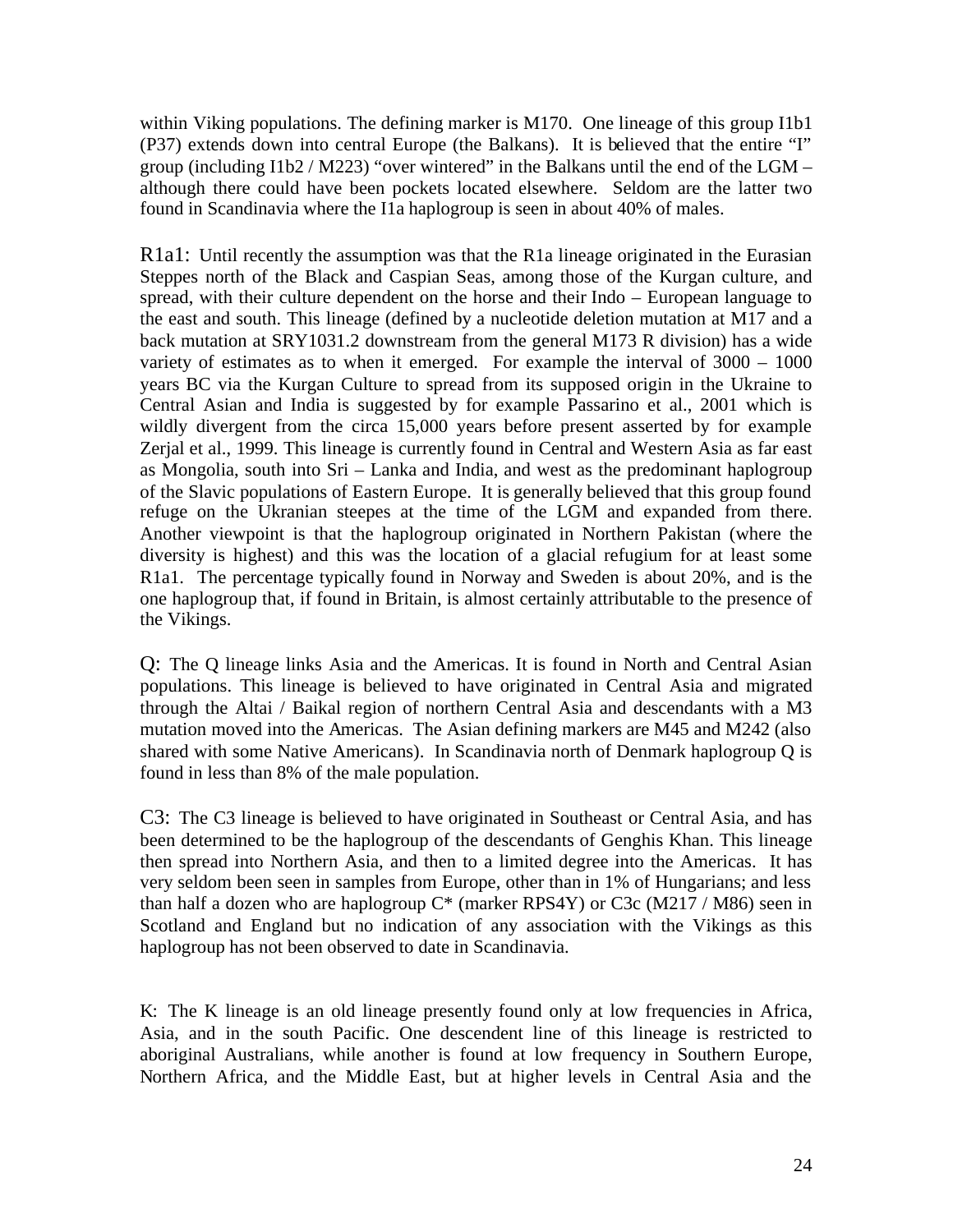within Viking populations. The defining marker is M170. One lineage of this group I1b1 (P37) extends down into central Europe (the Balkans). It is believed that the entire "I" group (including  $11b2 / M223$ ) "over wintered" in the Balkans until the end of the LGM – although there could have been pockets located elsewhere. Seldom are the latter two found in Scandinavia where the I1a haplogroup is seen in about 40% of males.

R1a1: Until recently the assumption was that the R1a lineage originated in the Eurasian Steppes north of the Black and Caspian Seas, among those of the Kurgan culture, and spread, with their culture dependent on the horse and their Indo – European language to the east and south. This lineage (defined by a nucleotide deletion mutation at M17 and a back mutation at SRY1031.2 downstream from the general M173 R division) has a wide variety of estimates as to when it emerged. For example the interval of 3000 – 1000 years BC via the Kurgan Culture to spread from its supposed origin in the Ukraine to Central Asian and India is suggested by for example Passarino et al., 2001 which is wildly divergent from the circa 15,000 years before present asserted by for example Zerjal et al., 1999. This lineage is currently found in Central and Western Asia as far east as Mongolia, south into Sri – Lanka and India, and west as the predominant haplogroup of the Slavic populations of Eastern Europe. It is generally believed that this group found refuge on the Ukranian steepes at the time of the LGM and expanded from there. Another viewpoint is that the haplogroup originated in Northern Pakistan (where the diversity is highest) and this was the location of a glacial refugium for at least some R1a1. The percentage typically found in Norway and Sweden is about 20%, and is the one haplogroup that, if found in Britain, is almost certainly attributable to the presence of the Vikings.

Q: The Q lineage links Asia and the Americas. It is found in North and Central Asian populations. This lineage is believed to have originated in Central Asia and migrated through the Altai / Baikal region of northern Central Asia and descendants with a M3 mutation moved into the Americas. The Asian defining markers are M45 and M242 (also shared with some Native Americans). In Scandinavia north of Denmark haplogroup Q is found in less than 8% of the male population.

C3: The C3 lineage is believed to have originated in Southeast or Central Asia, and has been determined to be the haplogroup of the descendants of Genghis Khan. This lineage then spread into Northern Asia, and then to a limited degree into the Americas. It has very seldom been seen in samples from Europe, other than in 1% of Hungarians; and less than half a dozen who are haplogroup  $C^*$  (marker RPS4Y) or C3c (M217 / M86) seen in Scotland and England but no indication of any association with the Vikings as this haplogroup has not been observed to date in Scandinavia.

K: The K lineage is an old lineage presently found only at low frequencies in Africa, Asia, and in the south Pacific. One descendent line of this lineage is restricted to aboriginal Australians, while another is found at low frequency in Southern Europe, Northern Africa, and the Middle East, but at higher levels in Central Asia and the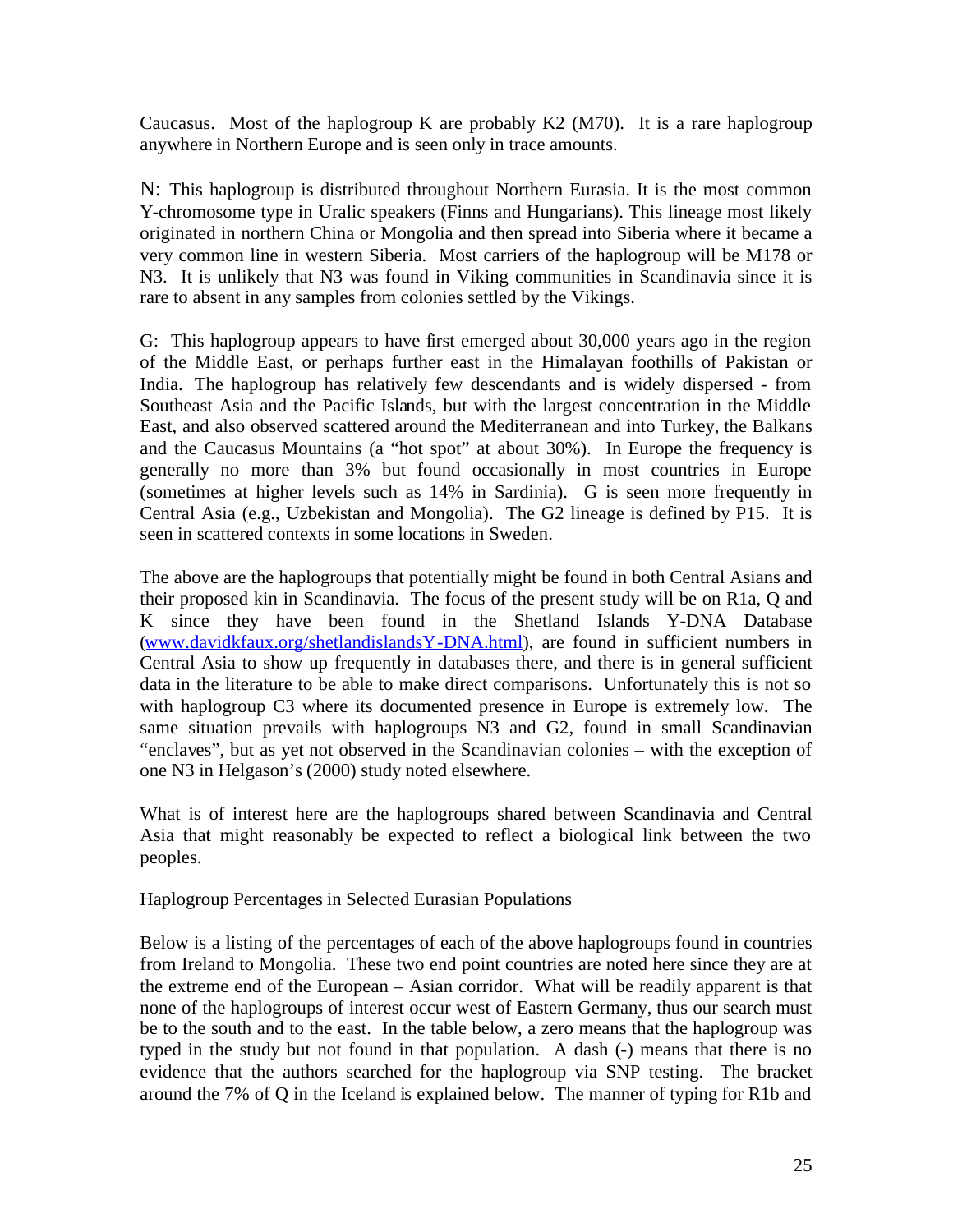Caucasus. Most of the haplogroup K are probably  $K2$  (M70). It is a rare haplogroup anywhere in Northern Europe and is seen only in trace amounts.

N: This haplogroup is distributed throughout Northern Eurasia. It is the most common Y-chromosome type in Uralic speakers (Finns and Hungarians). This lineage most likely originated in northern China or Mongolia and then spread into Siberia where it became a very common line in western Siberia. Most carriers of the haplogroup will be M178 or N3. It is unlikely that N3 was found in Viking communities in Scandinavia since it is rare to absent in any samples from colonies settled by the Vikings.

G: This haplogroup appears to have first emerged about 30,000 years ago in the region of the Middle East, or perhaps further east in the Himalayan foothills of Pakistan or India. The haplogroup has relatively few descendants and is widely dispersed - from Southeast Asia and the Pacific Islands, but with the largest concentration in the Middle East, and also observed scattered around the Mediterranean and into Turkey, the Balkans and the Caucasus Mountains (a "hot spot" at about 30%). In Europe the frequency is generally no more than 3% but found occasionally in most countries in Europe (sometimes at higher levels such as 14% in Sardinia). G is seen more frequently in Central Asia (e.g., Uzbekistan and Mongolia). The G2 lineage is defined by P15. It is seen in scattered contexts in some locations in Sweden.

The above are the haplogroups that potentially might be found in both Central Asians and their proposed kin in Scandinavia. The focus of the present study will be on R1a, Q and K since they have been found in the Shetland Islands Y-DNA Database ([www.davidkfaux.org/shetlandislandsY-DNA.html\)](http://www.davidkfaux.org/shetlandislandsY-DNA.html), are found in sufficient numbers in Central Asia to show up frequently in databases there, and there is in general sufficient data in the literature to be able to make direct comparisons. Unfortunately this is not so with haplogroup C3 where its documented presence in Europe is extremely low. The same situation prevails with haplogroups N3 and G2, found in small Scandinavian "enclaves", but as yet not observed in the Scandinavian colonies – with the exception of one N3 in Helgason's (2000) study noted elsewhere.

What is of interest here are the haplogroups shared between Scandinavia and Central Asia that might reasonably be expected to reflect a biological link between the two peoples.

### Haplogroup Percentages in Selected Eurasian Populations

Below is a listing of the percentages of each of the above haplogroups found in countries from Ireland to Mongolia. These two end point countries are noted here since they are at the extreme end of the European – Asian corridor. What will be readily apparent is that none of the haplogroups of interest occur west of Eastern Germany, thus our search must be to the south and to the east. In the table below, a zero means that the haplogroup was typed in the study but not found in that population. A dash (-) means that there is no evidence that the authors searched for the haplogroup via SNP testing. The bracket around the 7% of Q in the Iceland is explained below. The manner of typing for R1b and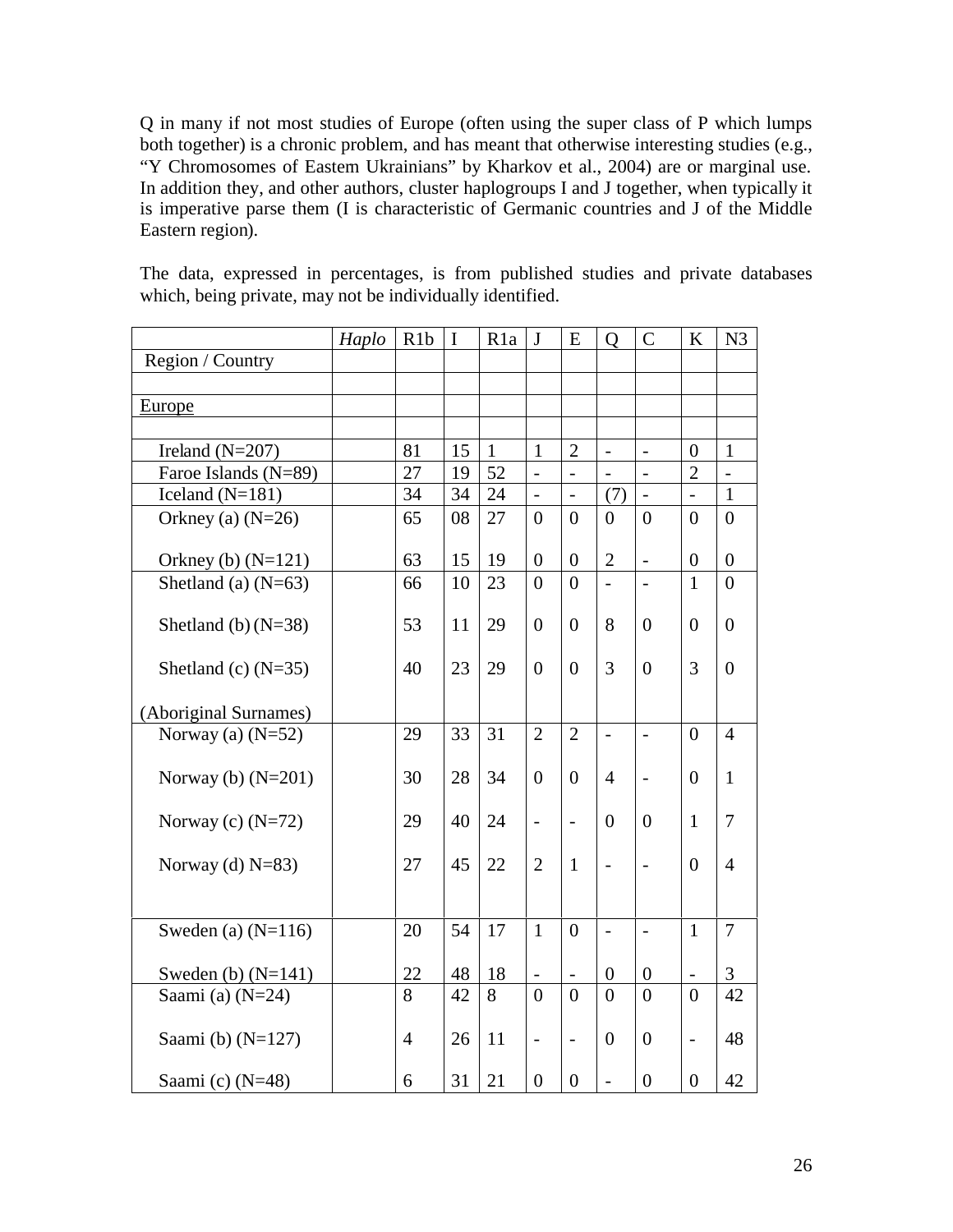Q in many if not most studies of Europe (often using the super class of P which lumps both together) is a chronic problem, and has meant that otherwise interesting studies (e.g., "Y Chromosomes of Eastern Ukrainians" by Kharkov et al., 2004) are or marginal use. In addition they, and other authors, cluster haplogroups I and J together, when typically it is imperative parse them (I is characteristic of Germanic countries and J of the Middle Eastern region).

The data, expressed in percentages, is from published studies and private databases which, being private, may not be individually identified.

|                       | Haplo | R <sub>1</sub> b | $\mathbf I$ | R <sub>1</sub> a | $\mathbf{J}$     | E                        | $\mathbf{O}$         | $\mathsf{C}$             | $\bf K$                  | N <sub>3</sub> |
|-----------------------|-------|------------------|-------------|------------------|------------------|--------------------------|----------------------|--------------------------|--------------------------|----------------|
| Region / Country      |       |                  |             |                  |                  |                          |                      |                          |                          |                |
|                       |       |                  |             |                  |                  |                          |                      |                          |                          |                |
| <b>Europe</b>         |       |                  |             |                  |                  |                          |                      |                          |                          |                |
|                       |       |                  |             |                  |                  |                          |                      |                          |                          |                |
| Ireland $(N=207)$     |       | 81               | 15          | $\mathbf{1}$     | $\mathbf{1}$     | $\overline{2}$           | $\frac{1}{\sqrt{2}}$ | $\overline{\phantom{0}}$ | $\overline{0}$           | $\mathbf{1}$   |
| Faroe Islands (N=89)  |       | 27               | 19          | 52               | $\frac{1}{2}$    | $\overline{\phantom{0}}$ | $\overline{a}$       | $\overline{a}$           | $\overline{2}$           | $\frac{1}{2}$  |
| Iceland $(N=181)$     |       | 34               | 34          | 24               | $\frac{1}{2}$    | $\overline{a}$           | (7)                  |                          | $\overline{a}$           | $\mathbf{1}$   |
| Orkney (a) $(N=26)$   |       | 65               | 08          | 27               | $\theta$         | $\theta$                 | $\theta$             | $\theta$                 | $\overline{0}$           | $\theta$       |
|                       |       |                  |             |                  |                  |                          |                      |                          |                          |                |
| Orkney (b) $(N=121)$  |       | 63               | 15          | 19               | $\overline{0}$   | $\overline{0}$           | $\overline{2}$       | $\overline{a}$           | $\overline{0}$           | $\overline{0}$ |
| Shetland (a) $(N=63)$ |       | 66               | 10          | 23               | $\theta$         | $\theta$                 | $\overline{a}$       | $\overline{a}$           | $\mathbf{1}$             | $\theta$       |
|                       |       |                  |             |                  |                  |                          |                      |                          |                          |                |
| Shetland (b) $(N=38)$ |       | 53               | 11          | 29               | $\overline{0}$   | $\Omega$                 | 8                    | 0                        | $\overline{0}$           | $\overline{0}$ |
|                       |       |                  |             |                  |                  |                          |                      |                          |                          |                |
| Shetland (c) $(N=35)$ |       | 40               | 23          | 29               | $\overline{0}$   | $\Omega$                 | 3                    | $\theta$                 | 3                        | $\overline{0}$ |
|                       |       |                  |             |                  |                  |                          |                      |                          |                          |                |
| (Aboriginal Surnames) |       |                  |             |                  |                  |                          |                      |                          |                          |                |
| Norway (a) $(N=52)$   |       | 29               | 33          | 31               | $\overline{2}$   | $\overline{2}$           | $\overline{a}$       | $\overline{a}$           | $\theta$                 | $\overline{4}$ |
|                       |       |                  |             |                  |                  |                          |                      |                          |                          |                |
| Norway (b) $(N=201)$  |       | 30               | 28          | 34               | $\overline{0}$   | $\Omega$                 | $\overline{4}$       | $\overline{\phantom{0}}$ | $\theta$                 | $\mathbf{1}$   |
|                       |       |                  |             |                  |                  |                          | $\theta$             | $\theta$                 | $\mathbf{1}$             | 7              |
| Norway (c) $(N=72)$   |       | 29               | 40          | 24               | $\overline{a}$   | $\blacksquare$           |                      |                          |                          |                |
| Norway (d) $N=83$ )   |       | 27               | 45          | 22               | $\overline{2}$   | $\mathbf{1}$             | $\frac{1}{2}$        | $\overline{\phantom{0}}$ | $\theta$                 | $\overline{4}$ |
|                       |       |                  |             |                  |                  |                          |                      |                          |                          |                |
|                       |       |                  |             |                  |                  |                          |                      |                          |                          |                |
| Sweden (a) $(N=116)$  |       | 20               | 54          | 17               | $\mathbf{1}$     | $\theta$                 | $\overline{a}$       | $\overline{a}$           | $\mathbf{1}$             | $\overline{7}$ |
|                       |       |                  |             |                  |                  |                          |                      |                          |                          |                |
| Sweden (b) $(N=141)$  |       | 22               | 48          | 18               |                  |                          | $\boldsymbol{0}$     | $\boldsymbol{0}$         | $\overline{\phantom{0}}$ | 3              |
| Saami $(a)$ (N=24)    |       | 8                | 42          | 8                | $\theta$         | $\Omega$                 | $\theta$             | $\overline{0}$           | $\theta$                 | 42             |
|                       |       |                  |             |                  |                  |                          |                      |                          |                          |                |
| Saami (b) $(N=127)$   |       | $\overline{4}$   | 26          | 11               | $\blacksquare$   | $\overline{\phantom{a}}$ | $\theta$             | $\overline{0}$           | $\overline{a}$           | 48             |
|                       |       |                  |             |                  |                  |                          |                      |                          |                          |                |
| Saami (c) (N=48)      |       | 6                | 31          | 21               | $\boldsymbol{0}$ | $\boldsymbol{0}$         | $\overline{a}$       | $\overline{0}$           | $\overline{0}$           | 42             |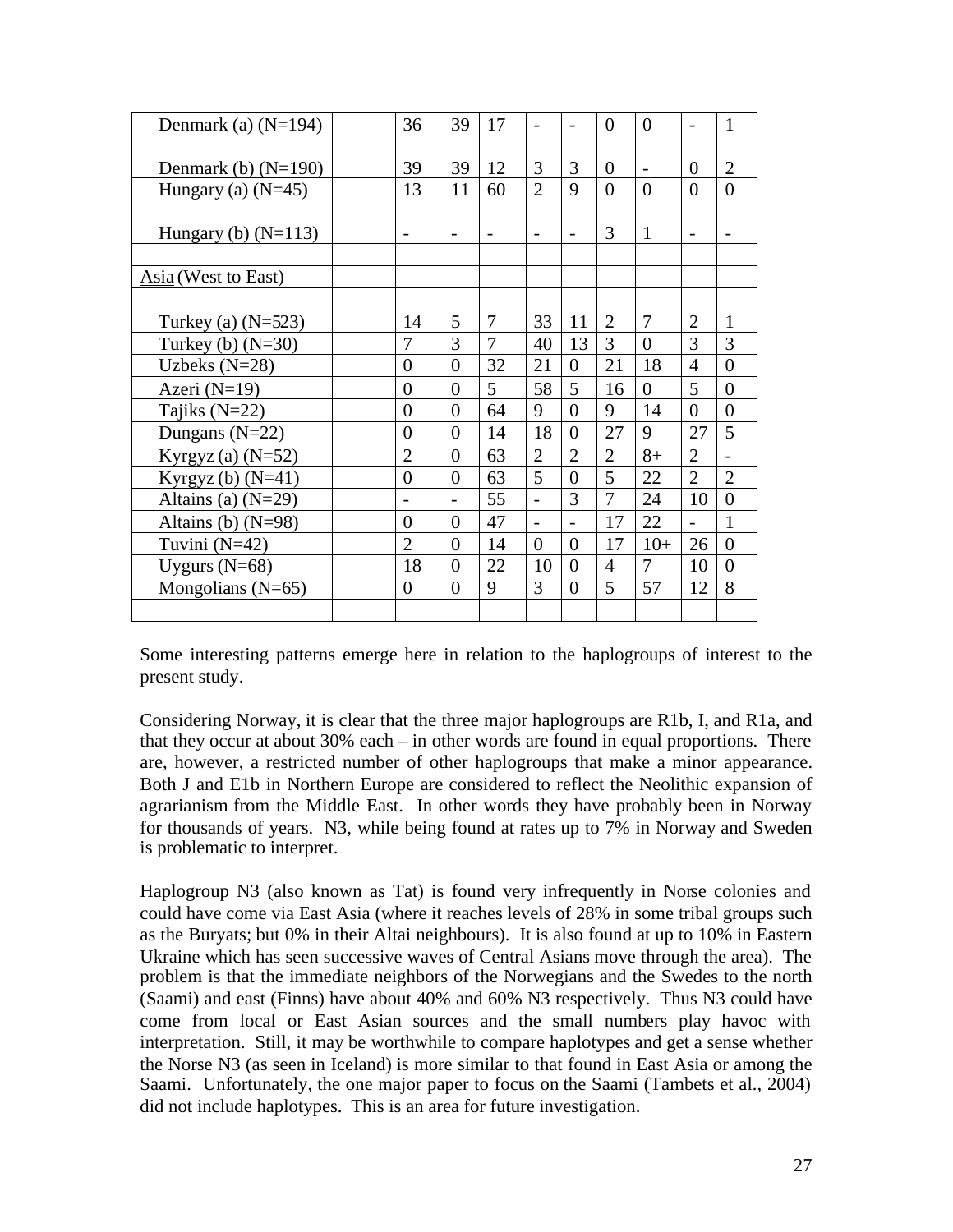| Denmark (a) $(N=194)$ | 36             | 39                       | 17             | $\overline{\phantom{0}}$ |                | 0              | $\Omega$ |                | 1              |
|-----------------------|----------------|--------------------------|----------------|--------------------------|----------------|----------------|----------|----------------|----------------|
| Denmark (b) $(N=190)$ | 39             | 39                       | 12             | 3                        | 3              | 0              |          | 0              | $\overline{2}$ |
| Hungary (a) $(N=45)$  | 13             | 11                       | 60             | $\overline{2}$           | $\mathbf Q$    | $\theta$       | $\Omega$ | $\Omega$       | $\theta$       |
| Hungary (b) $(N=113)$ |                | $\overline{\phantom{0}}$ |                | $\overline{\phantom{0}}$ |                | 3              | 1        |                |                |
| Asia (West to East)   |                |                          |                |                          |                |                |          |                |                |
| Turkey (a) $(N=523)$  | 14             | 5                        | 7              | 33                       | 11             | $\overline{2}$ | 7        | $\overline{2}$ | 1              |
| Turkey (b) $(N=30)$   | 7              | 3                        | $\overline{7}$ | 40                       | 13             | 3              | $\theta$ | 3              | 3              |
| Uzbeks $(N=28)$       | $\overline{0}$ | $\overline{0}$           | 32             | 21                       | $\overline{0}$ | 21             | 18       | $\overline{4}$ | $\overline{0}$ |
| Azeri $(N=19)$        | $\overline{0}$ | $\theta$                 | 5              | 58                       | 5              | 16             | $\Omega$ | 5              | $\theta$       |
| Tajiks $(N=22)$       | $\overline{0}$ | $\overline{0}$           | 64             | 9                        | $\theta$       | 9              | 14       | $\overline{0}$ | $\theta$       |
| Dungans $(N=22)$      | $\theta$       | $\theta$                 | 14             | 18                       | $\theta$       | 27             | 9        | 27             | 5              |
| Kyrgyz $(a)$ (N=52)   | $\overline{2}$ | $\theta$                 | 63             | $\overline{2}$           | $\overline{2}$ | $\overline{2}$ | $8+$     | $\overline{2}$ |                |
| Kyrgyz (b) $(N=41)$   | $\overline{0}$ | $\theta$                 | 63             | 5                        | $\Omega$       | 5              | 22       | $\overline{2}$ | $\overline{2}$ |
| Altains (a) $(N=29)$  |                | $\overline{a}$           | 55             | $\overline{\phantom{0}}$ | 3              | 7              | 24       | 10             | $\theta$       |
| Altains (b) $(N=98)$  | $\overline{0}$ | $\overline{0}$           | 47             | $\overline{\phantom{0}}$ | $\overline{a}$ | 17             | 22       | $\overline{a}$ | 1              |
| Tuvini $(N=42)$       | $\overline{2}$ | $\theta$                 | 14             | $\Omega$                 | $\Omega$       | 17             | $10+$    | 26             | $\theta$       |
| Uygurs $(N=68)$       | 18             | $\theta$                 | 22             | 10                       | $\Omega$       | $\overline{4}$ | 7        | 10             | $\Omega$       |
| Mongolians (N=65)     | $\theta$       | $\theta$                 | 9              | 3                        | $\Omega$       | 5              | 57       | 12             | 8              |
|                       |                |                          |                |                          |                |                |          |                |                |

Some interesting patterns emerge here in relation to the haplogroups of interest to the present study.

Considering Norway, it is clear that the three major haplogroups are R1b, I, and R1a, and that they occur at about 30% each – in other words are found in equal proportions. There are, however, a restricted number of other haplogroups that make a minor appearance. Both J and E1b in Northern Europe are considered to reflect the Neolithic expansion of agrarianism from the Middle East. In other words they have probably been in Norway for thousands of years. N3, while being found at rates up to 7% in Norway and Sweden is problematic to interpret.

Haplogroup N3 (also known as Tat) is found very infrequently in Norse colonies and could have come via East Asia (where it reaches levels of 28% in some tribal groups such as the Buryats; but 0% in their Altai neighbours). It is also found at up to 10% in Eastern Ukraine which has seen successive waves of Central Asians move through the area). The problem is that the immediate neighbors of the Norwegians and the Swedes to the north (Saami) and east (Finns) have about 40% and 60% N3 respectively. Thus N3 could have come from local or East Asian sources and the small numbers play havoc with interpretation. Still, it may be worthwhile to compare haplotypes and get a sense whether the Norse N3 (as seen in Iceland) is more similar to that found in East Asia or among the Saami. Unfortunately, the one major paper to focus on the Saami (Tambets et al., 2004) did not include haplotypes. This is an area for future investigation.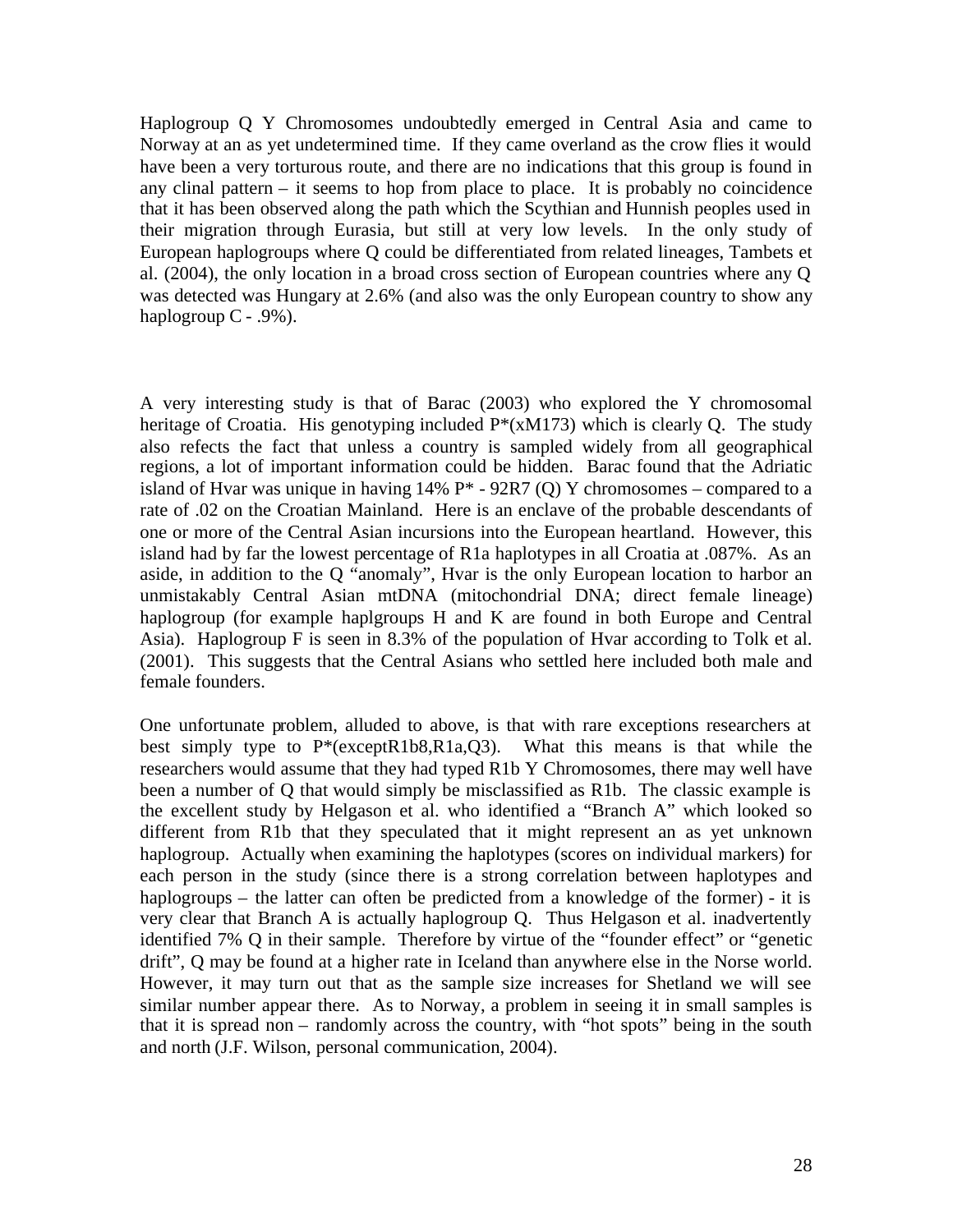Haplogroup Q Y Chromosomes undoubtedly emerged in Central Asia and came to Norway at an as yet undetermined time. If they came overland as the crow flies it would have been a very torturous route, and there are no indications that this group is found in any clinal pattern – it seems to hop from place to place. It is probably no coincidence that it has been observed along the path which the Scythian and Hunnish peoples used in their migration through Eurasia, but still at very low levels. In the only study of European haplogroups where Q could be differentiated from related lineages, Tambets et al. (2004), the only location in a broad cross section of European countries where any Q was detected was Hungary at 2.6% (and also was the only European country to show any haplogroup  $C - .9\%$ ).

A very interesting study is that of Barac (2003) who explored the Y chromosomal heritage of Croatia. His genotyping included  $P^*(xM173)$  which is clearly O. The study also refects the fact that unless a country is sampled widely from all geographical regions, a lot of important information could be hidden. Barac found that the Adriatic island of Hvar was unique in having  $14\%$  P<sup>\*</sup> -  $92R7$  (Q) Y chromosomes – compared to a rate of .02 on the Croatian Mainland. Here is an enclave of the probable descendants of one or more of the Central Asian incursions into the European heartland. However, this island had by far the lowest percentage of R1a haplotypes in all Croatia at .087%. As an aside, in addition to the Q "anomaly", Hvar is the only European location to harbor an unmistakably Central Asian mtDNA (mitochondrial DNA; direct female lineage) haplogroup (for example haplgroups H and K are found in both Europe and Central Asia). Haplogroup F is seen in 8.3% of the population of Hvar according to Tolk et al. (2001). This suggests that the Central Asians who settled here included both male and female founders.

One unfortunate problem, alluded to above, is that with rare exceptions researchers at best simply type to P\*(exceptR1b8,R1a,Q3). What this means is that while the researchers would assume that they had typed R1b Y Chromosomes, there may well have been a number of Q that would simply be misclassified as R1b. The classic example is the excellent study by Helgason et al. who identified a "Branch A" which looked so different from R1b that they speculated that it might represent an as yet unknown haplogroup. Actually when examining the haplotypes (scores on individual markers) for each person in the study (since there is a strong correlation between haplotypes and haplogroups – the latter can often be predicted from a knowledge of the former) - it is very clear that Branch A is actually haplogroup Q. Thus Helgason et al. inadvertently identified 7% Q in their sample. Therefore by virtue of the "founder effect" or "genetic drift", Q may be found at a higher rate in Iceland than anywhere else in the Norse world. However, it may turn out that as the sample size increases for Shetland we will see similar number appear there. As to Norway, a problem in seeing it in small samples is that it is spread non – randomly across the country, with "hot spots" being in the south and north (J.F. Wilson, personal communication, 2004).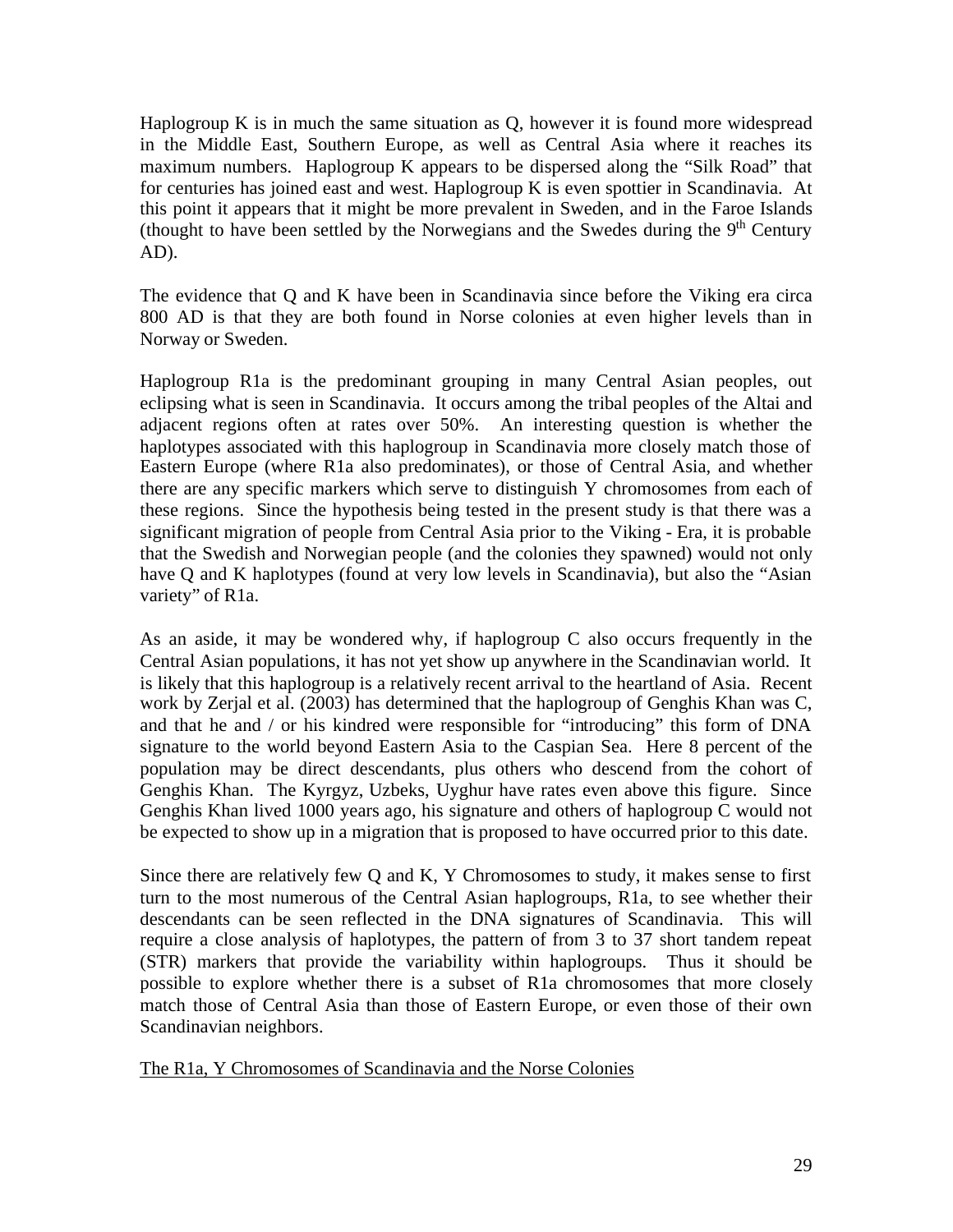Haplogroup K is in much the same situation as Q, however it is found more widespread in the Middle East, Southern Europe, as well as Central Asia where it reaches its maximum numbers. Haplogroup K appears to be dispersed along the "Silk Road" that for centuries has joined east and west. Haplogroup K is even spottier in Scandinavia. At this point it appears that it might be more prevalent in Sweden, and in the Faroe Islands (thought to have been settled by the Norwegians and the Swedes during the  $9<sup>th</sup>$  Century AD).

The evidence that Q and K have been in Scandinavia since before the Viking era circa 800 AD is that they are both found in Norse colonies at even higher levels than in Norway or Sweden.

Haplogroup R1a is the predominant grouping in many Central Asian peoples, out eclipsing what is seen in Scandinavia. It occurs among the tribal peoples of the Altai and adjacent regions often at rates over 50%. An interesting question is whether the haplotypes associated with this haplogroup in Scandinavia more closely match those of Eastern Europe (where R1a also predominates), or those of Central Asia, and whether there are any specific markers which serve to distinguish Y chromosomes from each of these regions. Since the hypothesis being tested in the present study is that there was a significant migration of people from Central Asia prior to the Viking - Era, it is probable that the Swedish and Norwegian people (and the colonies they spawned) would not only have Q and K haplotypes (found at very low levels in Scandinavia), but also the "Asian variety" of R1a.

As an aside, it may be wondered why, if haplogroup C also occurs frequently in the Central Asian populations, it has not yet show up anywhere in the Scandinavian world. It is likely that this haplogroup is a relatively recent arrival to the heartland of Asia. Recent work by Zerjal et al. (2003) has determined that the haplogroup of Genghis Khan was C, and that he and / or his kindred were responsible for "introducing" this form of DNA signature to the world beyond Eastern Asia to the Caspian Sea. Here 8 percent of the population may be direct descendants, plus others who descend from the cohort of Genghis Khan. The Kyrgyz, Uzbeks, Uyghur have rates even above this figure. Since Genghis Khan lived 1000 years ago, his signature and others of haplogroup C would not be expected to show up in a migration that is proposed to have occurred prior to this date.

Since there are relatively few Q and K, Y Chromosomes to study, it makes sense to first turn to the most numerous of the Central Asian haplogroups, R1a, to see whether their descendants can be seen reflected in the DNA signatures of Scandinavia. This will require a close analysis of haplotypes, the pattern of from 3 to 37 short tandem repeat (STR) markers that provide the variability within haplogroups. Thus it should be possible to explore whether there is a subset of R1a chromosomes that more closely match those of Central Asia than those of Eastern Europe, or even those of their own Scandinavian neighbors.

The R1a, Y Chromosomes of Scandinavia and the Norse Colonies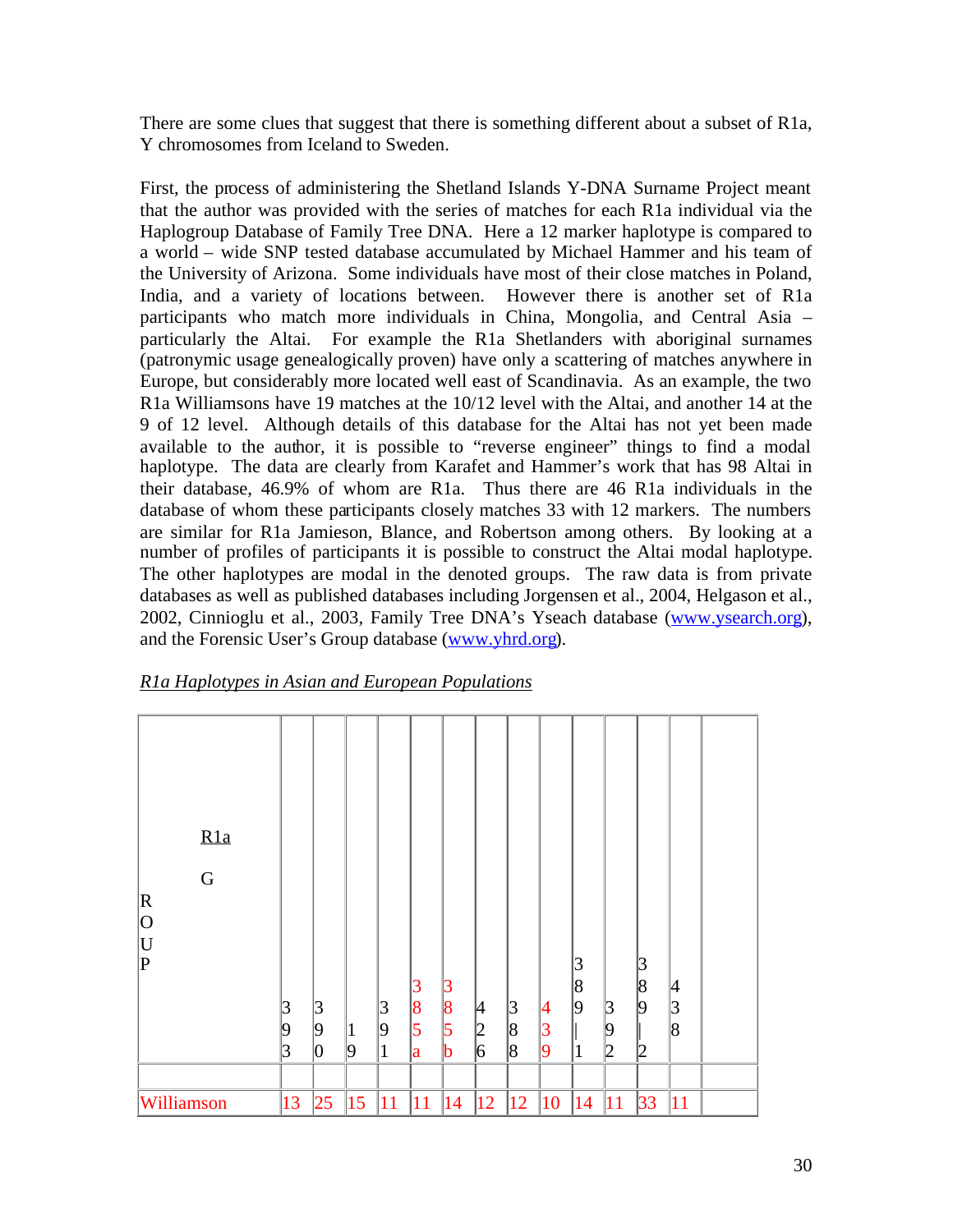There are some clues that suggest that there is something different about a subset of R1a, Y chromosomes from Iceland to Sweden.

First, the process of administering the Shetland Islands Y-DNA Surname Project meant that the author was provided with the series of matches for each R1a individual via the Haplogroup Database of Family Tree DNA. Here a 12 marker haplotype is compared to a world – wide SNP tested database accumulated by Michael Hammer and his team of the University of Arizona. Some individuals have most of their close matches in Poland, India, and a variety of locations between. However there is another set of R1a participants who match more individuals in China, Mongolia, and Central Asia – particularly the Altai. For example the R1a Shetlanders with aboriginal surnames (patronymic usage genealogically proven) have only a scattering of matches anywhere in Europe, but considerably more located well east of Scandinavia. As an example, the two R1a Williamsons have 19 matches at the 10/12 level with the Altai, and another 14 at the 9 of 12 level. Although details of this database for the Altai has not yet been made available to the author, it is possible to "reverse engineer" things to find a modal haplotype. The data are clearly from Karafet and Hammer's work that has 98 Altai in their database, 46.9% of whom are R1a. Thus there are 46 R1a individuals in the database of whom these participants closely matches 33 with 12 markers. The numbers are similar for R1a Jamieson, Blance, and Robertson among others. By looking at a number of profiles of participants it is possible to construct the Altai modal haplotype. The other haplotypes are modal in the denoted groups. The raw data is from private databases as well as published databases including Jorgensen et al., 2004, Helgason et al., 2002, Cinnioglu et al., 2003, Family Tree DNA's Yseach database [\(www.ysearch.org\)](http://www.ysearch.org/), and the Forensic User's Group database [\(www.yhrd.org\)](http://www.yhrd.org/).

| R1a Haplotypes in Asian and European Populations |  |  |
|--------------------------------------------------|--|--|
|                                                  |  |  |

| R1a<br>$\overline{G}$<br>$\mathbf R$<br>$ 0\rangle$<br>$\mathbf U$<br>$\overline{\mathrm{P}}$ | 3<br>9<br> 3 | 3<br>19<br>$\vert 0 \vert$ | $\mathbf{1}$<br>9 | $\vert 3 \vert$<br>9<br>1 | 3<br>8<br>5<br>a | B<br>$\overline{8}$<br>5<br>b | 4<br>$ 2\>$<br>6 | 3 <br>8<br>8 | 4<br>$\overline{3}$<br>9 | 3<br>$\overline{8}$<br>$ 9\rangle$<br>$\mathbf{1}$ | $\beta$<br>19<br>2 | 3<br>8<br>9<br>2 | 4<br>3<br>8 |  |
|-----------------------------------------------------------------------------------------------|--------------|----------------------------|-------------------|---------------------------|------------------|-------------------------------|------------------|--------------|--------------------------|----------------------------------------------------|--------------------|------------------|-------------|--|
| Williamson                                                                                    | 13           | 25                         | 15                | 11                        | 11               | 14                            | $ 12\rangle$     | 12           | 10                       | 14                                                 | 11                 | 33               | 11          |  |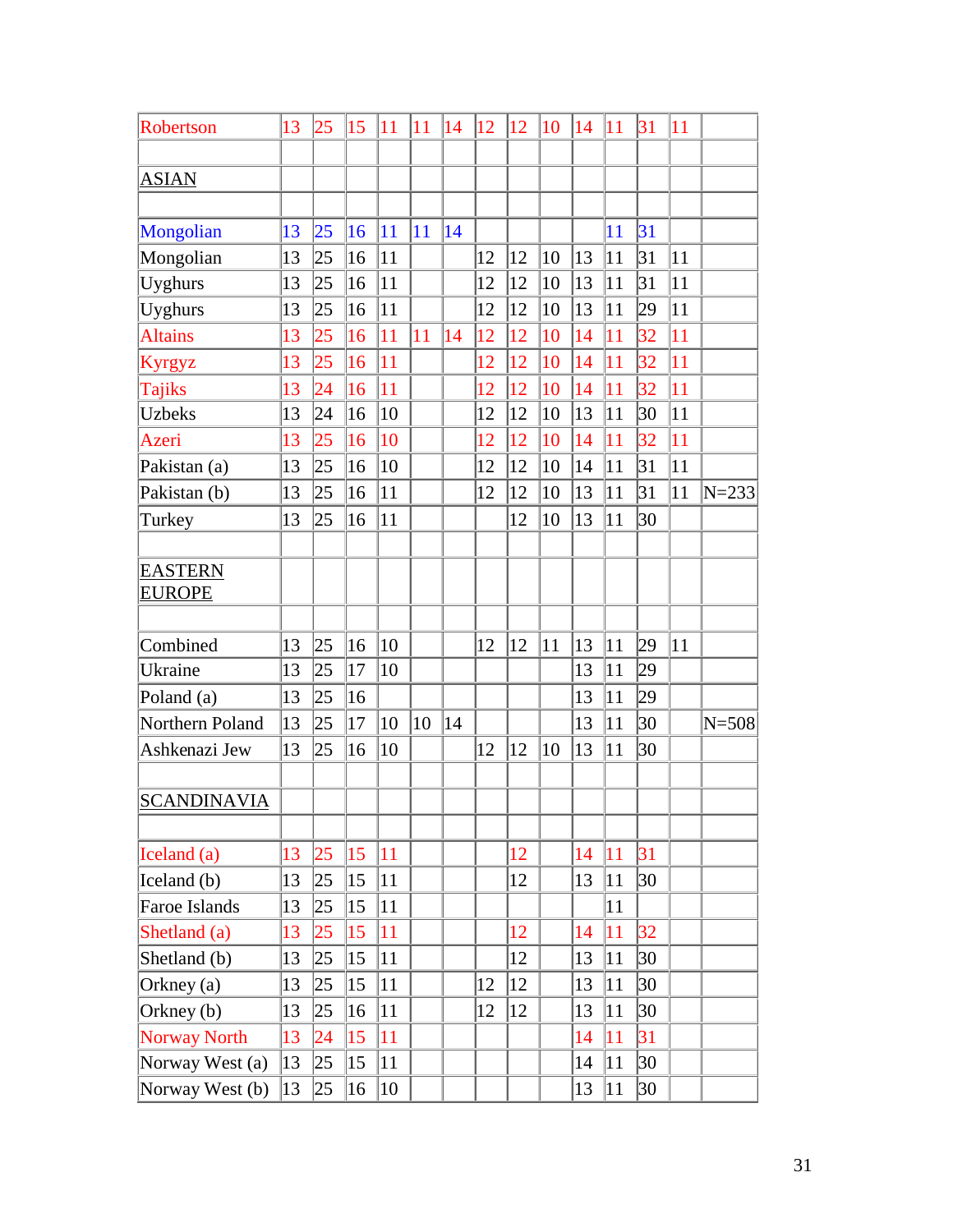| Robertson           | 13 | 25              | 15               | 11 | 11 | 14              | $ 12\rangle$ | $ 12\rangle$ | 10 | 14 | 11              | 31 | 11 |           |
|---------------------|----|-----------------|------------------|----|----|-----------------|--------------|--------------|----|----|-----------------|----|----|-----------|
|                     |    |                 |                  |    |    |                 |              |              |    |    |                 |    |    |           |
| <b>ASIAN</b>        |    |                 |                  |    |    |                 |              |              |    |    |                 |    |    |           |
|                     |    |                 |                  |    |    |                 |              |              |    |    |                 |    |    |           |
| Mongolian           | 13 | 25              | 16               | 11 | 11 | $\overline{14}$ |              |              |    |    | 11              | 31 |    |           |
| Mongolian           | 13 | 25              | 16               | 11 |    |                 | 12           | 12           | 10 | 13 | 11              | 31 | 11 |           |
| Uyghurs             | 13 | 25              | 16               | 11 |    |                 | 12           | 12           | 10 | 13 | 11              | 31 | 11 |           |
| Uyghurs             | 13 | 25              | 16               | 11 |    |                 | 12           | 12           | 10 | 13 | 11              | 29 | 11 |           |
| <b>Altains</b>      | 13 | 25              | 16               | 11 | 11 | 14              | 12           | 12           | 10 | 14 | 11              | 32 | 11 |           |
| Kyrgyz              | 13 | 25              | 16               | 11 |    |                 | 12           | 12           | 10 | 14 | 11              | 32 | 11 |           |
| Tajiks              | 13 | $\overline{24}$ | 16               | 11 |    |                 | 12           | 12           | 10 | 14 | 11              | 32 | 11 |           |
| <b>Uzbeks</b>       | 13 | 24              | 16               | 10 |    |                 | 12           | 12           | 10 | 13 | 11              | 30 | 11 |           |
| Azeri               | 13 | 25              | 16               | 10 |    |                 | 12           | 12           | 10 | 14 | 11              | 32 | 11 |           |
| Pakistan (a)        | 13 | 25              | 16               | 10 |    |                 | 12           | 12           | 10 | 14 | $ 1\,1$         | 31 | 11 |           |
| Pakistan (b)        | 13 | 25              | 16               | 11 |    |                 | 12           | 12           | 10 | 13 | $\overline{11}$ | 31 | 11 | $N = 233$ |
| Turkey              | 13 | 25              | 16               | 11 |    |                 |              | 12           | 10 | 13 | 11              | 30 |    |           |
|                     |    |                 |                  |    |    |                 |              |              |    |    |                 |    |    |           |
| <b>EASTERN</b>      |    |                 |                  |    |    |                 |              |              |    |    |                 |    |    |           |
| <b>EUROPE</b>       |    |                 |                  |    |    |                 |              |              |    |    |                 |    |    |           |
| Combined            | 13 | 25              | 16               | 10 |    |                 | 12           | 12           | 11 | 13 | 11              | 29 | 11 |           |
| Ukraine             | 13 | 25              | 17               | 10 |    |                 |              |              |    | 13 | 11              | 29 |    |           |
| Poland (a)          | 13 | 25              | 16               |    |    |                 |              |              |    | 13 | 11              | 29 |    |           |
| Northern Poland     | 13 | 25              | 17               | 10 | 10 | 14              |              |              |    | 13 | 11              | 30 |    | $N = 508$ |
| Ashkenazi Jew       | 13 | 25              | 16               | 10 |    |                 | 12           | 12           | 10 | 13 | 11              | 30 |    |           |
|                     |    |                 |                  |    |    |                 |              |              |    |    |                 |    |    |           |
| <b>SCANDINAVIA</b>  |    |                 |                  |    |    |                 |              |              |    |    |                 |    |    |           |
|                     |    |                 |                  |    |    |                 |              |              |    |    |                 |    |    |           |
| Iceland (a)         | 13 | 25              | $ 15\rangle$     | 11 |    |                 |              | 12           |    | 14 | 11              | 31 |    |           |
| Iceland (b)         | 13 | 25              | $ 15\rangle$     | 11 |    |                 |              | 12           |    | 13 | 11              | 30 |    |           |
| Faroe Islands       | 13 | 25              | $ 15\rangle$     | 11 |    |                 |              |              |    |    | 11              |    |    |           |
| Shetland (a)        | 13 | 25              | $\vert 15 \vert$ | 11 |    |                 |              | 12           |    | 14 | 11              | 32 |    |           |
| Shetland (b)        | 13 | 25              | $ 15\rangle$     | 11 |    |                 |              | 12           |    | 13 | 11              | 30 |    |           |
| Orkney (a)          | 13 | 25              | $ 15\rangle$     | 11 |    |                 | 12           | 12           |    | 13 | 11              | 30 |    |           |
| Orkney (b)          | 13 | 25              | $ 16\rangle$     | 11 |    |                 | 12           | 12           |    | 13 | 11              | 30 |    |           |
| <b>Norway North</b> | 13 | 24              | $ 15\rangle$     | 11 |    |                 |              |              |    | 14 | 11              | 31 |    |           |
| Norway West (a)     | 13 | 25              | $ 15\rangle$     | 11 |    |                 |              |              |    | 14 | 11              | 30 |    |           |
| Norway West (b)     | 13 | 25              | $ 16\rangle$     | 10 |    |                 |              |              |    | 13 | 11              | 30 |    |           |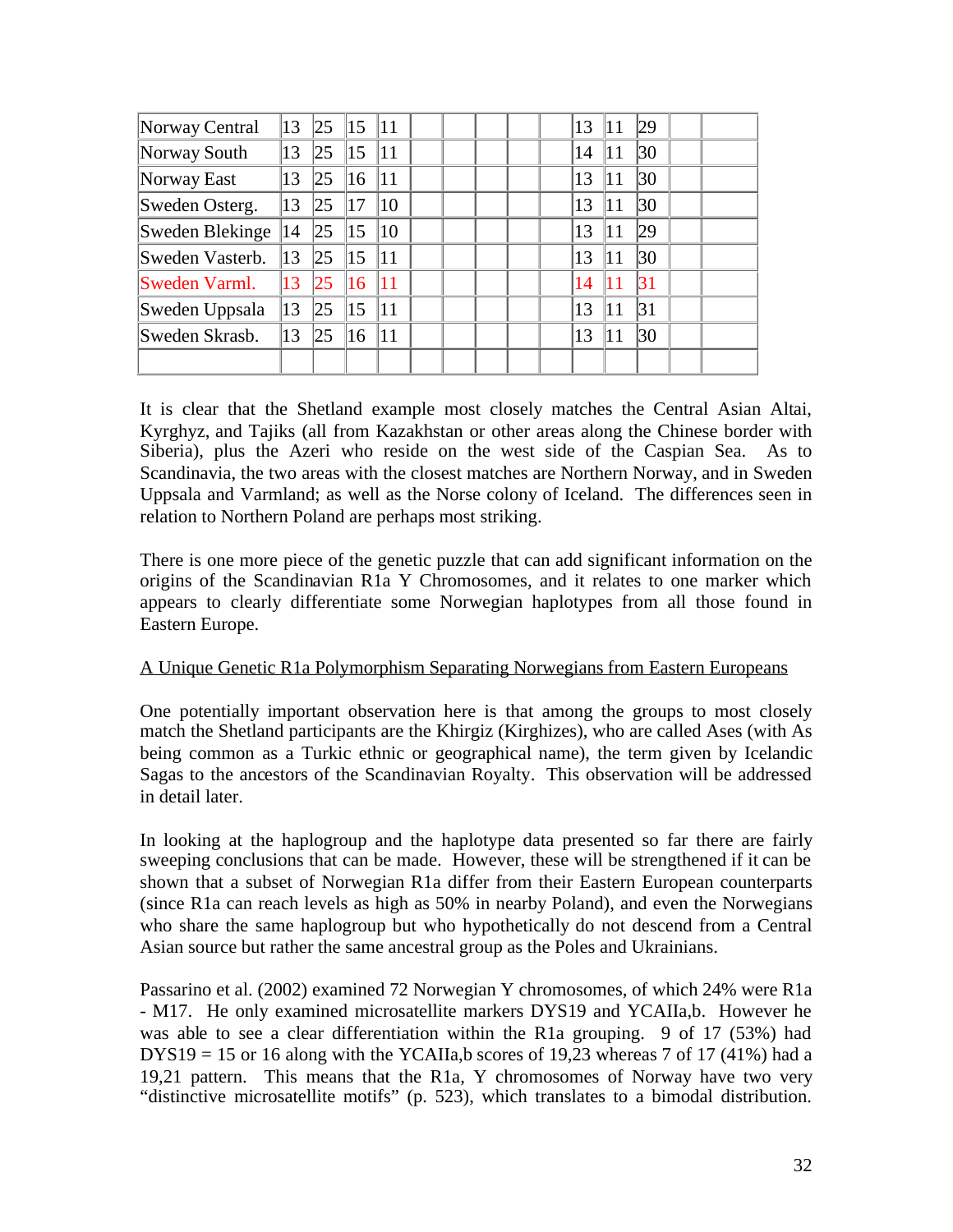| Norway Central  | 13 | 25  | 15 | 11           |  |  | 13 | 11 | 29 |  |
|-----------------|----|-----|----|--------------|--|--|----|----|----|--|
| Norway South    | 13 | 25  | 15 | 11           |  |  | 14 | 11 | 30 |  |
| Norway East     | 13 | 125 | 16 | 11           |  |  | 13 | 11 | 30 |  |
| Sweden Osterg.  | 13 | 25  | 17 | $ 10\rangle$ |  |  | 13 | 11 | 30 |  |
| Sweden Blekinge | 14 | 25  | 15 | 10           |  |  | 13 | 11 | 29 |  |
| Sweden Vasterb. | 13 | 25  | 15 | 11           |  |  | 13 | 11 | 30 |  |
| Sweden Varml.   | 13 | 25  | 16 | 11           |  |  | 14 |    | 31 |  |
| Sweden Uppsala  | 13 | 25  | 15 | 11           |  |  | 13 | 11 | 31 |  |
| Sweden Skrasb.  | 13 | 125 | 16 | 11           |  |  | 13 | 11 | 30 |  |
|                 |    |     |    |              |  |  |    |    |    |  |

It is clear that the Shetland example most closely matches the Central Asian Altai, Kyrghyz, and Tajiks (all from Kazakhstan or other areas along the Chinese border with Siberia), plus the Azeri who reside on the west side of the Caspian Sea. As to Scandinavia, the two areas with the closest matches are Northern Norway, and in Sweden Uppsala and Varmland; as well as the Norse colony of Iceland. The differences seen in relation to Northern Poland are perhaps most striking.

There is one more piece of the genetic puzzle that can add significant information on the origins of the Scandinavian R1a Y Chromosomes, and it relates to one marker which appears to clearly differentiate some Norwegian haplotypes from all those found in Eastern Europe.

### A Unique Genetic R1a Polymorphism Separating Norwegians from Eastern Europeans

One potentially important observation here is that among the groups to most closely match the Shetland participants are the Khirgiz (Kirghizes), who are called Ases (with As being common as a Turkic ethnic or geographical name), the term given by Icelandic Sagas to the ancestors of the Scandinavian Royalty. This observation will be addressed in detail later.

In looking at the haplogroup and the haplotype data presented so far there are fairly sweeping conclusions that can be made. However, these will be strengthened if it can be shown that a subset of Norwegian R1a differ from their Eastern European counterparts (since R1a can reach levels as high as 50% in nearby Poland), and even the Norwegians who share the same haplogroup but who hypothetically do not descend from a Central Asian source but rather the same ancestral group as the Poles and Ukrainians.

Passarino et al. (2002) examined 72 Norwegian Y chromosomes, of which 24% were R1a - M17. He only examined microsatellite markers DYS19 and YCAIIa,b. However he was able to see a clear differentiation within the R1a grouping. 9 of 17 (53%) had  $DYS19 = 15$  or 16 along with the YCAIIa, b scores of 19,23 whereas 7 of 17 (41%) had a 19,21 pattern. This means that the R1a, Y chromosomes of Norway have two very "distinctive microsatellite motifs" (p. 523), which translates to a bimodal distribution.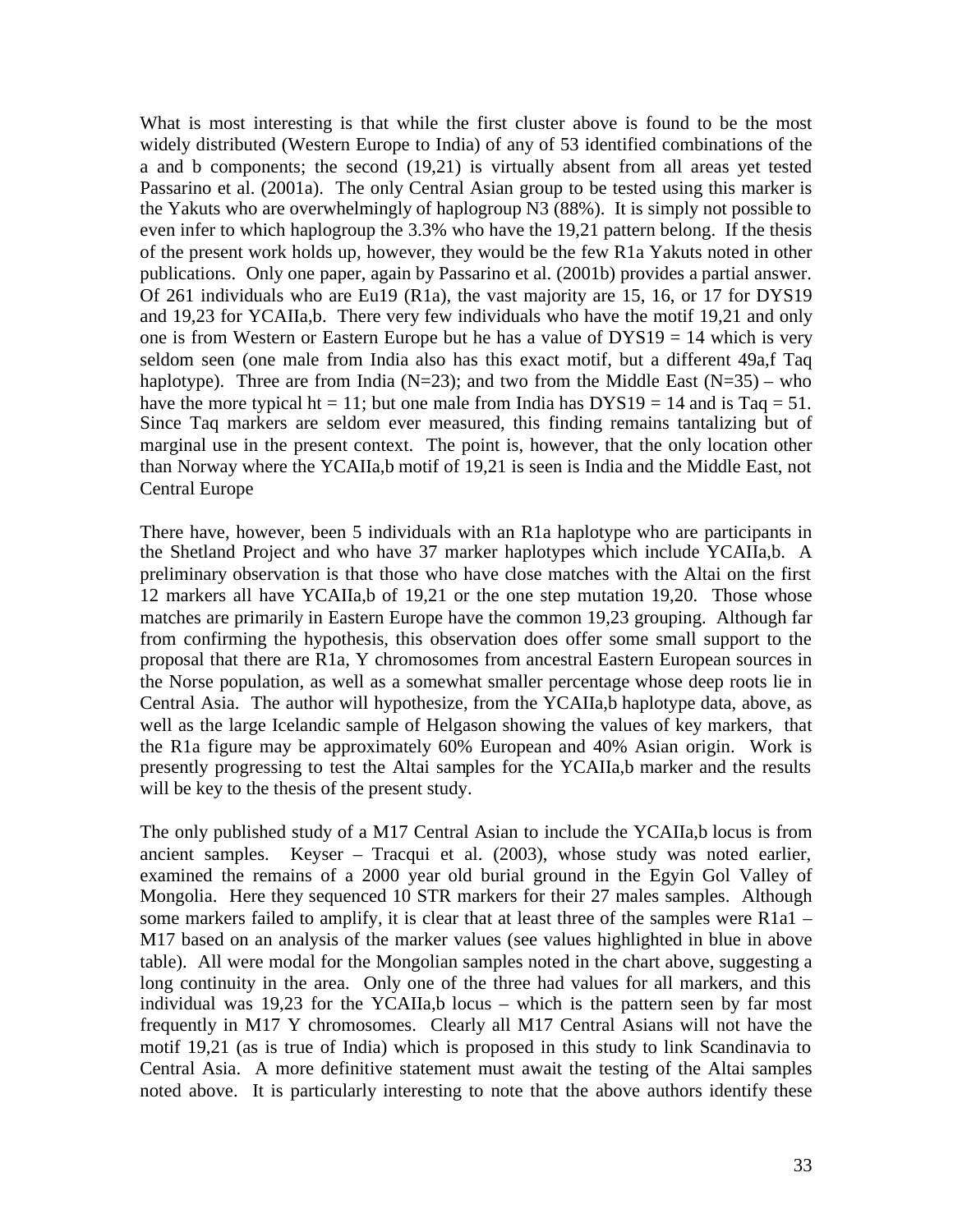What is most interesting is that while the first cluster above is found to be the most widely distributed (Western Europe to India) of any of 53 identified combinations of the a and b components; the second (19,21) is virtually absent from all areas yet tested Passarino et al. (2001a). The only Central Asian group to be tested using this marker is the Yakuts who are overwhelmingly of haplogroup N3 (88%). It is simply not possible to even infer to which haplogroup the 3.3% who have the 19,21 pattern belong. If the thesis of the present work holds up, however, they would be the few R1a Yakuts noted in other publications. Only one paper, again by Passarino et al. (2001b) provides a partial answer. Of 261 individuals who are Eu19 (R1a), the vast majority are 15, 16, or 17 for DYS19 and 19,23 for YCAIIa,b. There very few individuals who have the motif 19,21 and only one is from Western or Eastern Europe but he has a value of DYS19 = 14 which is very seldom seen (one male from India also has this exact motif, but a different 49a,f Taq haplotype). Three are from India ( $N=23$ ); and two from the Middle East ( $N=35$ ) – who have the more typical ht = 11; but one male from India has  $DYS19 = 14$  and is Taq = 51. Since Taq markers are seldom ever measured, this finding remains tantalizing but of marginal use in the present context. The point is, however, that the only location other than Norway where the YCAIIa,b motif of 19,21 is seen is India and the Middle East, not Central Europe

There have, however, been 5 individuals with an R1a haplotype who are participants in the Shetland Project and who have 37 marker haplotypes which include YCAIIa,b. A preliminary observation is that those who have close matches with the Altai on the first 12 markers all have YCAIIa,b of 19,21 or the one step mutation 19,20. Those whose matches are primarily in Eastern Europe have the common 19,23 grouping. Although far from confirming the hypothesis, this observation does offer some small support to the proposal that there are R1a, Y chromosomes from ancestral Eastern European sources in the Norse population, as well as a somewhat smaller percentage whose deep roots lie in Central Asia. The author will hypothesize, from the YCAIIa,b haplotype data, above, as well as the large Icelandic sample of Helgason showing the values of key markers, that the R1a figure may be approximately 60% European and 40% Asian origin. Work is presently progressing to test the Altai samples for the YCAIIa,b marker and the results will be key to the thesis of the present study.

The only published study of a M17 Central Asian to include the YCAIIa,b locus is from ancient samples. Keyser – Tracqui et al. (2003), whose study was noted earlier, examined the remains of a 2000 year old burial ground in the Egyin Gol Valley of Mongolia. Here they sequenced 10 STR markers for their 27 males samples. Although some markers failed to amplify, it is clear that at least three of the samples were R1a1 – M17 based on an analysis of the marker values (see values highlighted in blue in above table). All were modal for the Mongolian samples noted in the chart above, suggesting a long continuity in the area. Only one of the three had values for all markers, and this individual was 19,23 for the YCAIIa,b locus – which is the pattern seen by far most frequently in M17 Y chromosomes. Clearly all M17 Central Asians will not have the motif 19,21 (as is true of India) which is proposed in this study to link Scandinavia to Central Asia. A more definitive statement must await the testing of the Altai samples noted above. It is particularly interesting to note that the above authors identify these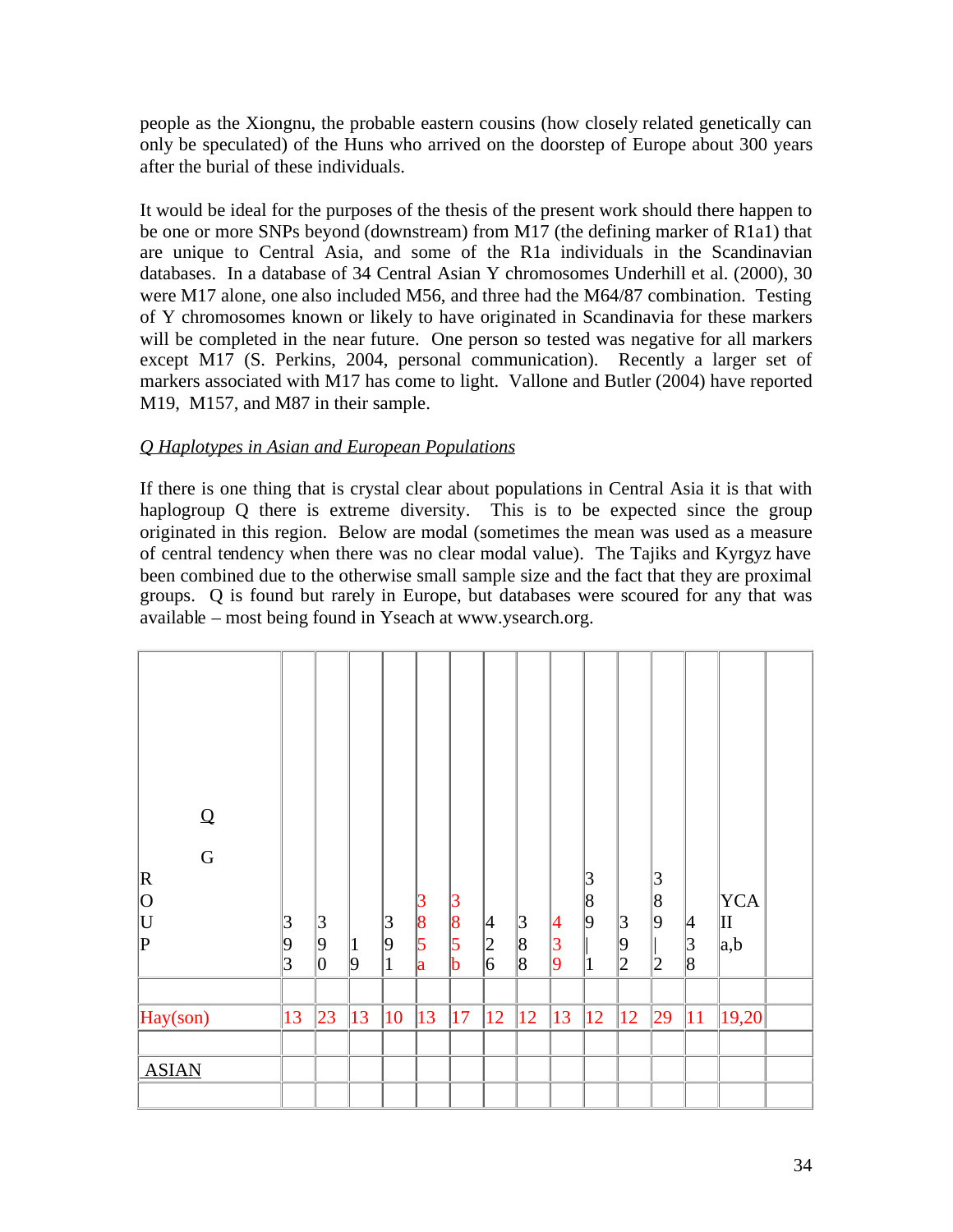people as the Xiongnu, the probable eastern cousins (how closely related genetically can only be speculated) of the Huns who arrived on the doorstep of Europe about 300 years after the burial of these individuals.

It would be ideal for the purposes of the thesis of the present work should there happen to be one or more SNPs beyond (downstream) from M17 (the defining marker of R1a1) that are unique to Central Asia, and some of the R1a individuals in the Scandinavian databases. In a database of 34 Central Asian Y chromosomes Underhill et al. (2000), 30 were M17 alone, one also included M56, and three had the M64/87 combination. Testing of Y chromosomes known or likely to have originated in Scandinavia for these markers will be completed in the near future. One person so tested was negative for all markers except M17 (S. Perkins, 2004, personal communication). Recently a larger set of markers associated with M17 has come to light. Vallone and Butler (2004) have reported M19, M157, and M87 in their sample.

### *Q Haplotypes in Asian and European Populations*

If there is one thing that is crystal clear about populations in Central Asia it is that with haplogroup Q there is extreme diversity. This is to be expected since the group originated in this region. Below are modal (sometimes the mean was used as a measure of central tendency when there was no clear modal value). The Tajiks and Kyrgyz have been combined due to the otherwise small sample size and the fact that they are proximal groups. Q is found but rarely in Europe, but databases were scoured for any that was available – most being found in Yseach at www.ysearch.org.

| ${\mathsf Q}$           |                |                  |                |              |         |                     |               |                     |                     |                  |         |                  |                     |                         |  |
|-------------------------|----------------|------------------|----------------|--------------|---------|---------------------|---------------|---------------------|---------------------|------------------|---------|------------------|---------------------|-------------------------|--|
| $\overline{G}$<br> R    |                |                  |                |              |         |                     |               |                     |                     | 3                |         | $\vert 3 \vert$  |                     |                         |  |
| 0<br> U <br>$ {\rm P} $ | $\overline{3}$ | 3                |                | 3<br>9       | 3<br> 8 | 3<br>8<br>$\vert$ 5 | 4             | 3                   | 4                   | 8<br>$ 9\rangle$ | 3       | 8<br>$ 9\rangle$ | 4                   | <b>YCA</b><br>$\rm{II}$ |  |
|                         | 9<br> 3        | $ 9\rangle$<br>0 | $\vert$ 1<br>9 | $\mathbf{1}$ | 5<br>a  | b                   | $\frac{2}{6}$ | 8<br>$\overline{8}$ | 3<br>$\overline{9}$ | $\overline{1}$   | 9<br> 2 | 2                | 3 <br>$\parallel_8$ | a,b                     |  |
| Hay(son)                | 13             | 23               | 13             | 10           | 13      | 17                  | 12            | $ 12\rangle$        | 13                  | 12               | 12      | $ 29\rangle$     | 11                  | 19,20                   |  |
| <b>ASIAN</b>            |                |                  |                |              |         |                     |               |                     |                     |                  |         |                  |                     |                         |  |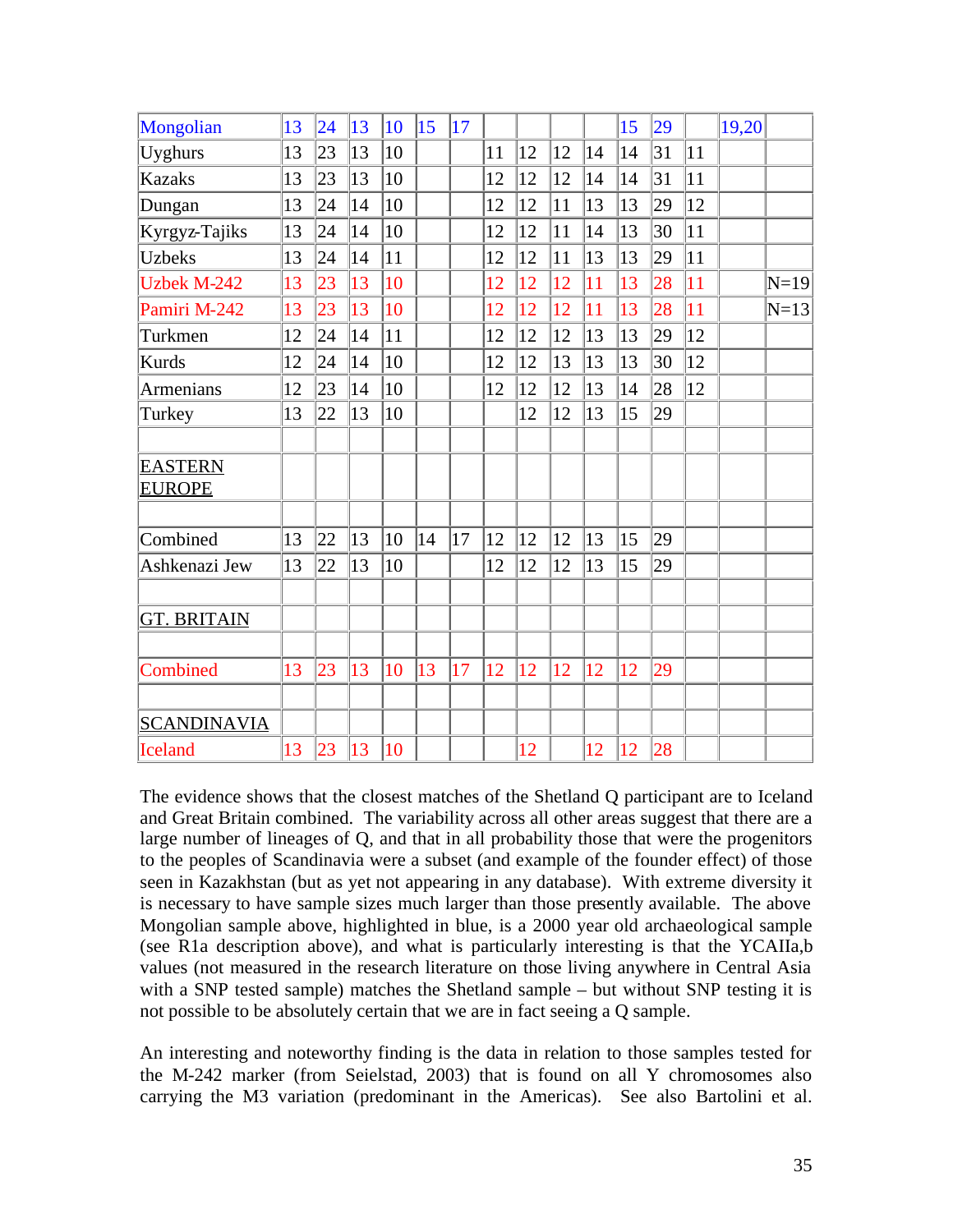| Mongolian                       | 13 | 24 | 13 | 10 | 15 | 17 |    |    |    |    | 15 | 29 |              | 19,20 |        |
|---------------------------------|----|----|----|----|----|----|----|----|----|----|----|----|--------------|-------|--------|
| <b>Uyghurs</b>                  | 13 | 23 | 13 | 10 |    |    | 11 | 12 | 12 | 14 | 14 | 31 | 11           |       |        |
| <b>Kazaks</b>                   | 13 | 23 | 13 | 10 |    |    | 12 | 12 | 12 | 14 | 14 | 31 | 11           |       |        |
| Dungan                          | 13 | 24 | 14 | 10 |    |    | 12 | 12 | 11 | 13 | 13 | 29 | 12           |       |        |
| Kyrgyz-Tajiks                   | 13 | 24 | 14 | 10 |    |    | 12 | 12 | 11 | 14 | 13 | 30 | 11           |       |        |
| <b>Uzbeks</b>                   | 13 | 24 | 14 | 11 |    |    | 12 | 12 | 11 | 13 | 13 | 29 | 11           |       |        |
| <b>Uzbek M-242</b>              | 13 | 23 | 13 | 10 |    |    | 12 | 12 | 12 | 11 | 13 | 28 | 11           |       | $N=19$ |
| Pamiri M-242                    | 13 | 23 | 13 | 10 |    |    | 12 | 12 | 12 | 11 | 13 | 28 | 11           |       | $N=13$ |
| Turkmen                         | 12 | 24 | 14 | 11 |    |    | 12 | 12 | 12 | 13 | 13 | 29 | $ 12\rangle$ |       |        |
| <b>Kurds</b>                    | 12 | 24 | 14 | 10 |    |    | 12 | 12 | 13 | 13 | 13 | 30 | $ 12\rangle$ |       |        |
| Armenians                       | 12 | 23 | 14 | 10 |    |    | 12 | 12 | 12 | 13 | 14 | 28 | $ 12\rangle$ |       |        |
| Turkey                          | 13 | 22 | 13 | 10 |    |    |    | 12 | 12 | 13 | 15 | 29 |              |       |        |
|                                 |    |    |    |    |    |    |    |    |    |    |    |    |              |       |        |
| <b>EASTERN</b><br><b>EUROPE</b> |    |    |    |    |    |    |    |    |    |    |    |    |              |       |        |
|                                 |    |    |    |    |    |    |    |    |    |    |    |    |              |       |        |
| Combined                        | 13 | 22 | 13 | 10 | 14 | 17 | 12 | 12 | 12 | 13 | 15 | 29 |              |       |        |
| Ashkenazi Jew                   | 13 | 22 | 13 | 10 |    |    | 12 | 12 | 12 | 13 | 15 | 29 |              |       |        |
|                                 |    |    |    |    |    |    |    |    |    |    |    |    |              |       |        |
| <b>GT. BRITAIN</b>              |    |    |    |    |    |    |    |    |    |    |    |    |              |       |        |
|                                 |    |    |    |    |    |    |    |    |    |    |    |    |              |       |        |
| Combined                        | 13 | 23 | 13 | 10 | 13 | 17 | 12 | 12 | 12 | 12 | 12 | 29 |              |       |        |
|                                 |    |    |    |    |    |    |    |    |    |    |    |    |              |       |        |
| <b>SCANDINAVIA</b>              |    |    |    |    |    |    |    |    |    |    |    |    |              |       |        |
| <b>Iceland</b>                  | 13 | 23 | 13 | 10 |    |    |    | 12 |    | 12 | 12 | 28 |              |       |        |
|                                 |    |    |    |    |    |    |    |    |    |    |    |    |              |       |        |

The evidence shows that the closest matches of the Shetland Q participant are to Iceland and Great Britain combined. The variability across all other areas suggest that there are a large number of lineages of Q, and that in all probability those that were the progenitors to the peoples of Scandinavia were a subset (and example of the founder effect) of those seen in Kazakhstan (but as yet not appearing in any database). With extreme diversity it is necessary to have sample sizes much larger than those presently available. The above Mongolian sample above, highlighted in blue, is a 2000 year old archaeological sample (see R1a description above), and what is particularly interesting is that the YCAIIa,b values (not measured in the research literature on those living anywhere in Central Asia with a SNP tested sample) matches the Shetland sample – but without SNP testing it is not possible to be absolutely certain that we are in fact seeing a Q sample.

An interesting and noteworthy finding is the data in relation to those samples tested for the M-242 marker (from Seielstad, 2003) that is found on all Y chromosomes also carrying the M3 variation (predominant in the Americas). See also Bartolini et al.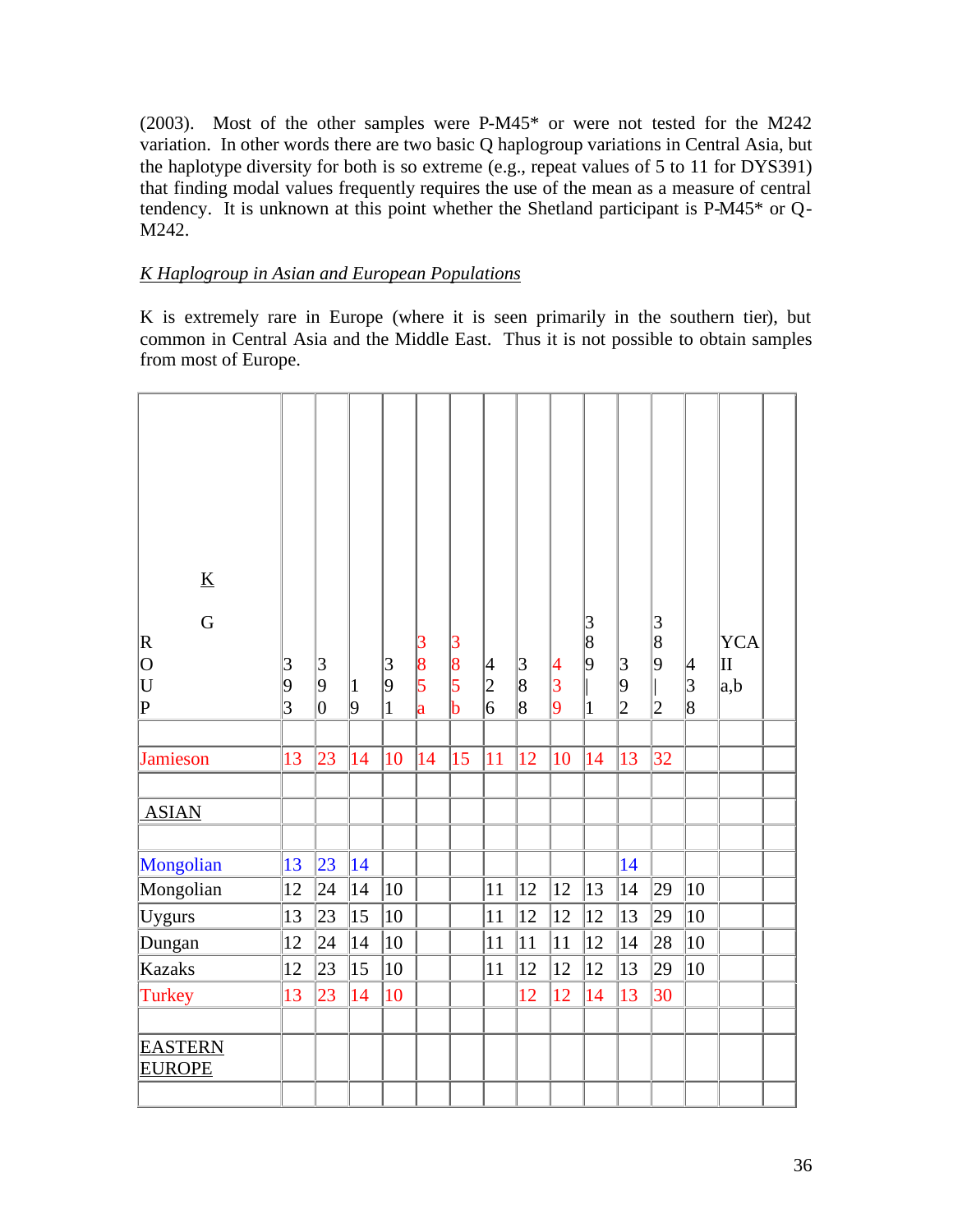(2003). Most of the other samples were P-M45\* or were not tested for the M242 variation. In other words there are two basic Q haplogroup variations in Central Asia, but the haplotype diversity for both is so extreme (e.g., repeat values of 5 to 11 for DYS391) that finding modal values frequently requires the use of the mean as a measure of central tendency. It is unknown at this point whether the Shetland participant is P-M45\* or Q-M242.

### *K Haplogroup in Asian and European Populations*

K is extremely rare in Europe (where it is seen primarily in the southern tier), but common in Central Asia and the Middle East. Thus it is not possible to obtain samples from most of Europe.

| $\underline{K}$<br>G<br>$\mathbf R$<br>$\overline{O}$<br>U<br>$\overline{P}$ | 3<br>9<br>$\overline{3}$ | $\vert 3 \vert$<br>$ 9\rangle$<br>$\overline{0}$ | 1 <br>9 | 3<br>$ 9\rangle$<br>$\mathbf{1}$ | 3<br> 8<br>$\vert$ 5<br> a | 3<br> 8<br>$\overline{\mathbf{5}}$<br>$\mathbf b$ | $\vert 4$<br>$\frac{2}{6}$ | $\frac{3}{8}$<br>$\overline{\text{8}}$ | 4<br> 3<br>9 | 3<br> 8<br>9<br>1 | 3 <br>9<br>$\overline{2}$ | 3<br>$\overline{8}$<br>$\overline{9}$<br>$\overline{2}$ | 4<br> 3<br>$\overline{\text{8}}$ | <b>YCA</b><br>lΠ<br> a,b |  |
|------------------------------------------------------------------------------|--------------------------|--------------------------------------------------|---------|----------------------------------|----------------------------|---------------------------------------------------|----------------------------|----------------------------------------|--------------|-------------------|---------------------------|---------------------------------------------------------|----------------------------------|--------------------------|--|
| <b>Jamieson</b>                                                              | 13                       | 23                                               | 14      | 10                               | 14                         | 15                                                | 11                         | 12                                     | 10           | 14                | 13                        | 32                                                      |                                  |                          |  |
|                                                                              |                          |                                                  |         |                                  |                            |                                                   |                            |                                        |              |                   |                           |                                                         |                                  |                          |  |
| <b>ASIAN</b>                                                                 |                          |                                                  |         |                                  |                            |                                                   |                            |                                        |              |                   |                           |                                                         |                                  |                          |  |
|                                                                              |                          |                                                  |         |                                  |                            |                                                   |                            |                                        |              |                   |                           |                                                         |                                  |                          |  |
| Mongolian                                                                    | 13                       | 23                                               | 14      |                                  |                            |                                                   |                            |                                        |              |                   | 14                        |                                                         |                                  |                          |  |
| Mongolian                                                                    | 12                       | 24                                               | 14      | 10                               |                            |                                                   | 11                         | 12                                     | 12           | 13                | 14                        | 29                                                      | $ 10\rangle$                     |                          |  |
| Uygurs                                                                       | 13                       | 23                                               | 15      | 10                               |                            |                                                   | 11                         | 12                                     | 12           | 12                | 13                        | 29                                                      | $ 10\rangle$                     |                          |  |
| Dungan                                                                       | 12                       | 24                                               | 14      | 10                               |                            |                                                   | 11                         | 11                                     | 11           | 12                | 14                        | 28                                                      | $ 10\rangle$                     |                          |  |
| <b>Kazaks</b>                                                                | 12                       | 23                                               | 15      | 10                               |                            |                                                   | 11                         | 12                                     | 12           | 12                | 13                        | 29                                                      | 10                               |                          |  |
| Turkey                                                                       | 13                       | 23                                               | 14      | 10                               |                            |                                                   |                            | 12                                     | 12           | 14                | 13                        | 30                                                      |                                  |                          |  |
|                                                                              |                          |                                                  |         |                                  |                            |                                                   |                            |                                        |              |                   |                           |                                                         |                                  |                          |  |
| <b>EASTERN</b><br><b>EUROPE</b>                                              |                          |                                                  |         |                                  |                            |                                                   |                            |                                        |              |                   |                           |                                                         |                                  |                          |  |
|                                                                              |                          |                                                  |         |                                  |                            |                                                   |                            |                                        |              |                   |                           |                                                         |                                  |                          |  |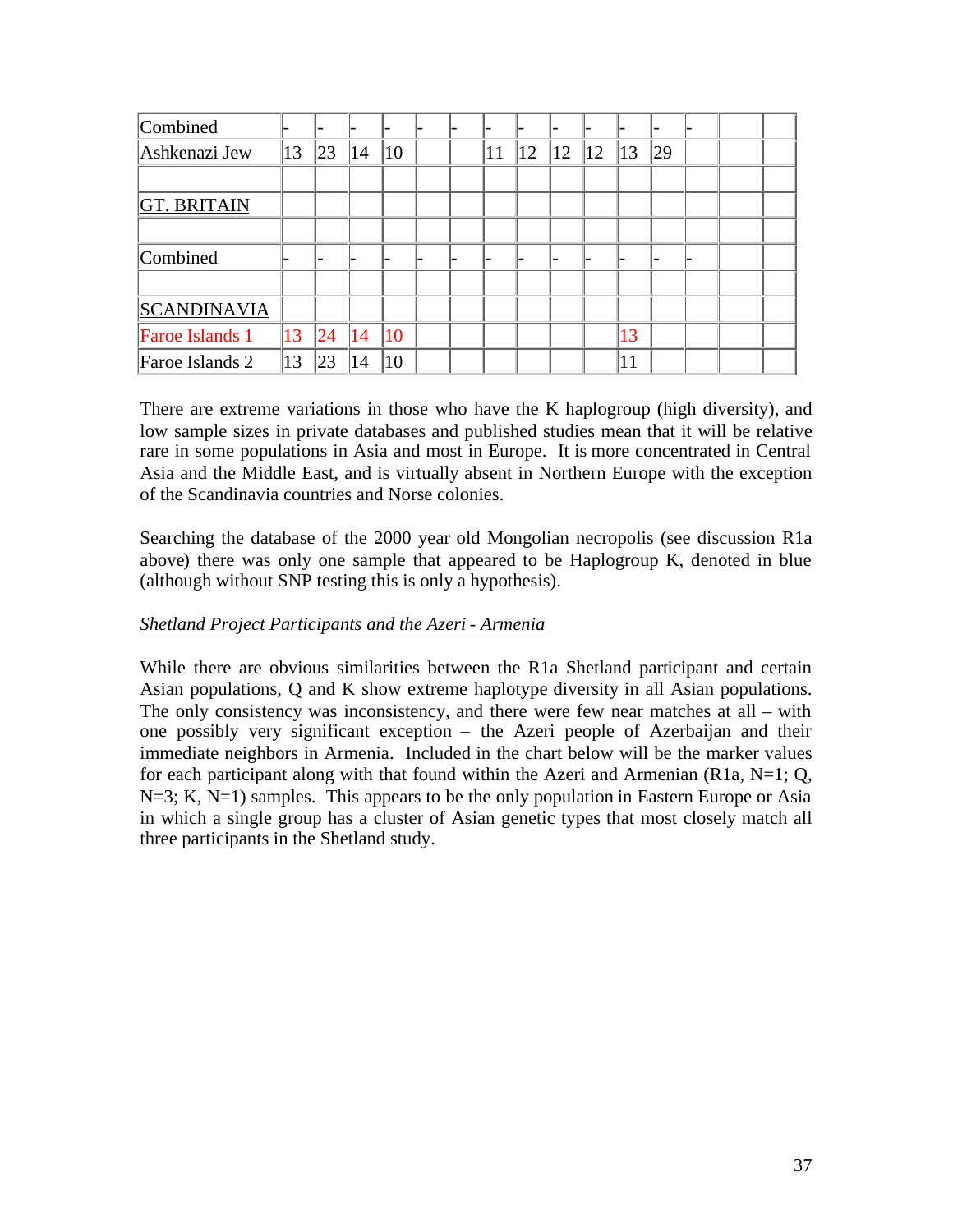| Combined               |    |              |     |              |  |    |    |              |              |    |    |  |  |
|------------------------|----|--------------|-----|--------------|--|----|----|--------------|--------------|----|----|--|--|
| Ashkenazi Jew          | 13 | $ 23\rangle$ | 14  | 10           |  | 11 | 12 | $ 12\rangle$ | $ 12\rangle$ | 13 | 29 |  |  |
|                        |    |              |     |              |  |    |    |              |              |    |    |  |  |
| <b>GT. BRITAIN</b>     |    |              |     |              |  |    |    |              |              |    |    |  |  |
|                        |    |              |     |              |  |    |    |              |              |    |    |  |  |
| Combined               |    |              |     | -            |  |    |    |              |              |    |    |  |  |
|                        |    |              |     |              |  |    |    |              |              |    |    |  |  |
| <b>SCANDINAVIA</b>     |    |              |     |              |  |    |    |              |              |    |    |  |  |
| <b>Faroe Islands 1</b> | 13 | 24           | 14  | $ 10\rangle$ |  |    |    |              |              | 13 |    |  |  |
| Faroe Islands 2        | 13 | 23           | (4) | 10           |  |    |    |              |              | 11 |    |  |  |

There are extreme variations in those who have the K haplogroup (high diversity), and low sample sizes in private databases and published studies mean that it will be relative rare in some populations in Asia and most in Europe. It is more concentrated in Central Asia and the Middle East, and is virtually absent in Northern Europe with the exception of the Scandinavia countries and Norse colonies.

Searching the database of the 2000 year old Mongolian necropolis (see discussion R1a above) there was only one sample that appeared to be Haplogroup K, denoted in blue (although without SNP testing this is only a hypothesis).

### *Shetland Project Participants and the Azeri - Armenia*

While there are obvious similarities between the R1a Shetland participant and certain Asian populations, Q and K show extreme haplotype diversity in all Asian populations. The only consistency was inconsistency, and there were few near matches at all – with one possibly very significant exception – the Azeri people of Azerbaijan and their immediate neighbors in Armenia. Included in the chart below will be the marker values for each participant along with that found within the Azeri and Armenian (R1a, N=1; O,  $N=3$ ; K,  $N=1$ ) samples. This appears to be the only population in Eastern Europe or Asia in which a single group has a cluster of Asian genetic types that most closely match all three participants in the Shetland study.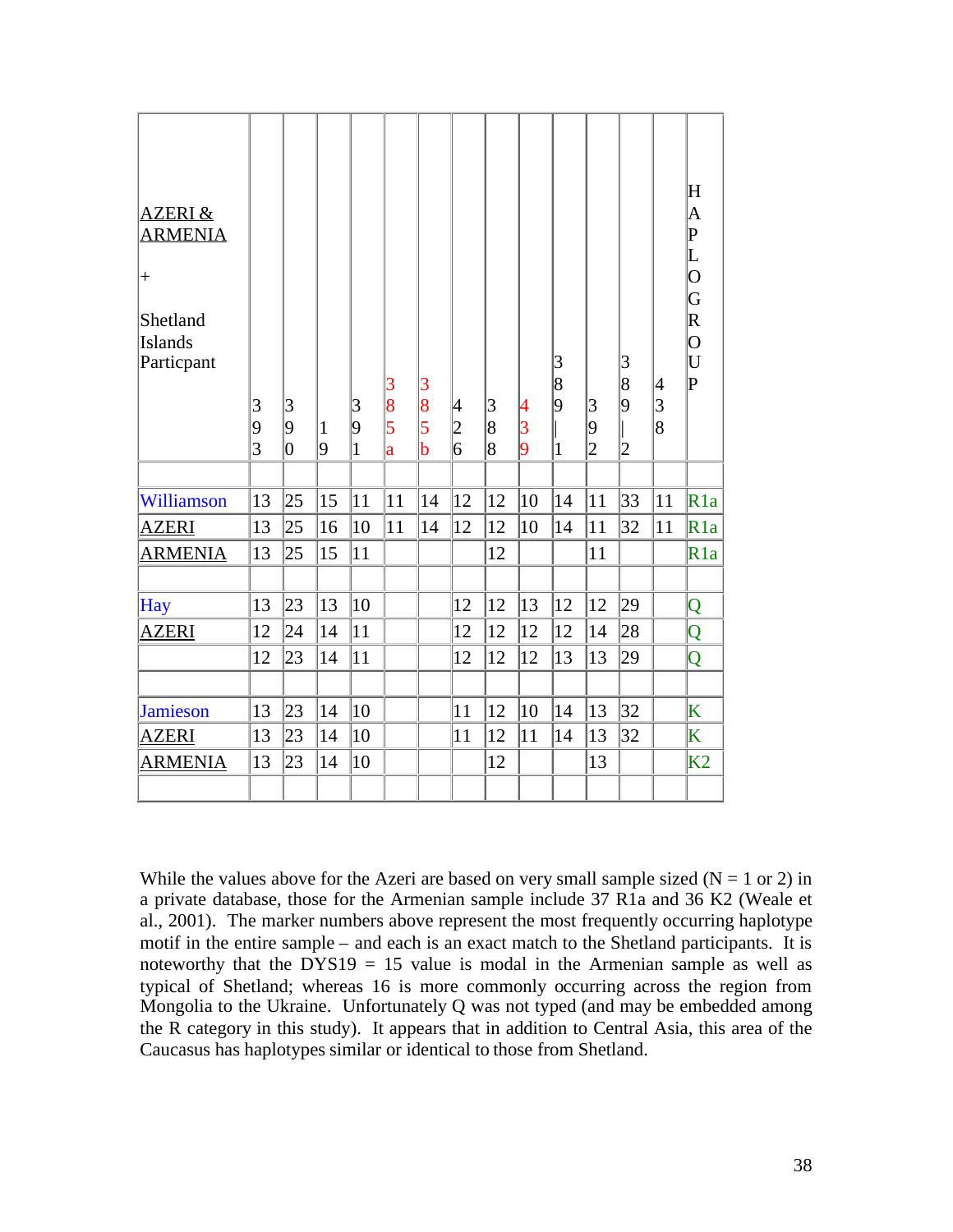| <b>AZERI &amp;</b><br><b>ARMENIA</b><br>$^{+}$<br>Shetland<br><b>Islands</b><br>Particpant | 3<br>9<br>$\overline{3}$ | 3<br>9<br>0 | $\vert$ 1<br>9 | 3<br>9<br>$\mathbf{1}$ | 3<br>8<br>5<br>a | $\overline{3}$<br>8<br>5<br>$\mathbf b$ | 4<br>$\frac{2}{6}$ | $\vert 3 \vert$<br>$\overline{8}$<br>8 | 4<br>$\vert 3$<br>9 | $\overline{3}$<br>$\overline{8}$<br>$ 9\rangle$<br>$\mathbf{1}$ | $\vert 3 \vert$<br>$ 9\rangle$<br>$\overline{2}$ | 3<br>$\overline{8}$<br>9<br>$\vert$ 2 | 4<br> 3<br> 8 | $\mathbf H$<br>A<br>$\operatorname*{P}_{\operatorname*{L}}$<br>$\overline{\text{O}}$<br>$ \mathrm{G} $<br>$\bf{R}$<br>$\overline{\text{O}}$<br>$\overline{\mathsf{U}}$<br>$ {\bf p} $ |
|--------------------------------------------------------------------------------------------|--------------------------|-------------|----------------|------------------------|------------------|-----------------------------------------|--------------------|----------------------------------------|---------------------|-----------------------------------------------------------------|--------------------------------------------------|---------------------------------------|---------------|---------------------------------------------------------------------------------------------------------------------------------------------------------------------------------------|
|                                                                                            |                          |             |                |                        |                  |                                         |                    |                                        |                     |                                                                 |                                                  |                                       |               |                                                                                                                                                                                       |
| Williamson                                                                                 | 13                       | 25          | 15             | 11                     | 11               | 14                                      | 12                 | 12                                     | 10                  | 14                                                              | 11                                               | 33                                    | 11            | R1a                                                                                                                                                                                   |
| <b>AZERI</b>                                                                               | 13                       | 25          | 16             | 10                     | 11               | 14                                      | 12                 | 12                                     | 10                  | 14                                                              | 11                                               | 32                                    | 11            | R1a                                                                                                                                                                                   |
| <b>ARMENIA</b>                                                                             | 13                       | 25          | 15             | 11                     |                  |                                         |                    | 12                                     |                     |                                                                 | 11                                               |                                       |               | R1a                                                                                                                                                                                   |
|                                                                                            |                          |             |                |                        |                  |                                         |                    |                                        |                     |                                                                 |                                                  |                                       |               |                                                                                                                                                                                       |
| <b>Hay</b>                                                                                 | 13                       | 23          | 13             | 10                     |                  |                                         | 12                 | 12                                     | 13                  | 12                                                              | 12                                               | 29                                    |               | Q                                                                                                                                                                                     |
| <b>AZERI</b>                                                                               | 12                       | 24          | 14             | 11                     |                  |                                         | 12                 | 12                                     | 12                  | 12                                                              | 14                                               | 28                                    |               | Q                                                                                                                                                                                     |
|                                                                                            | 12                       | 23          | 14             | 11                     |                  |                                         | 12                 | 12                                     | 12                  | 13                                                              | 13                                               | 29                                    |               | Q                                                                                                                                                                                     |
|                                                                                            |                          |             |                |                        |                  |                                         |                    |                                        |                     |                                                                 |                                                  |                                       |               |                                                                                                                                                                                       |
| <b>Jamieson</b>                                                                            | 13                       | 23          | 14             | 10                     |                  |                                         | 11                 | 12                                     | 10                  | 14                                                              | 13                                               | 32                                    |               | $\overline{\mathrm{K}}$                                                                                                                                                               |
| <b>AZERI</b>                                                                               | 13                       | 23          | 14             | 10                     |                  |                                         | 11                 | 12                                     | 11                  | 14                                                              | 13                                               | 32                                    |               | $\overline{\mathrm{K}}$                                                                                                                                                               |
| <b>ARMENIA</b>                                                                             | 13                       | 23          | 14             | 10                     |                  |                                         |                    | 12                                     |                     |                                                                 | 13                                               |                                       |               | K <sub>2</sub>                                                                                                                                                                        |
|                                                                                            |                          |             |                |                        |                  |                                         |                    |                                        |                     |                                                                 |                                                  |                                       |               |                                                                                                                                                                                       |

While the values above for the Azeri are based on very small sample sized  $(N = 1 \text{ or } 2)$  in a private database, those for the Armenian sample include 37 R1a and 36 K2 (Weale et al., 2001). The marker numbers above represent the most frequently occurring haplotype motif in the entire sample – and each is an exact match to the Shetland participants. It is noteworthy that the  $DYS19 = 15$  value is modal in the Armenian sample as well as typical of Shetland; whereas 16 is more commonly occurring across the region from Mongolia to the Ukraine. Unfortunately Q was not typed (and may be embedded among the R category in this study). It appears that in addition to Central Asia, this area of the Caucasus has haplotypes similar or identical to those from Shetland.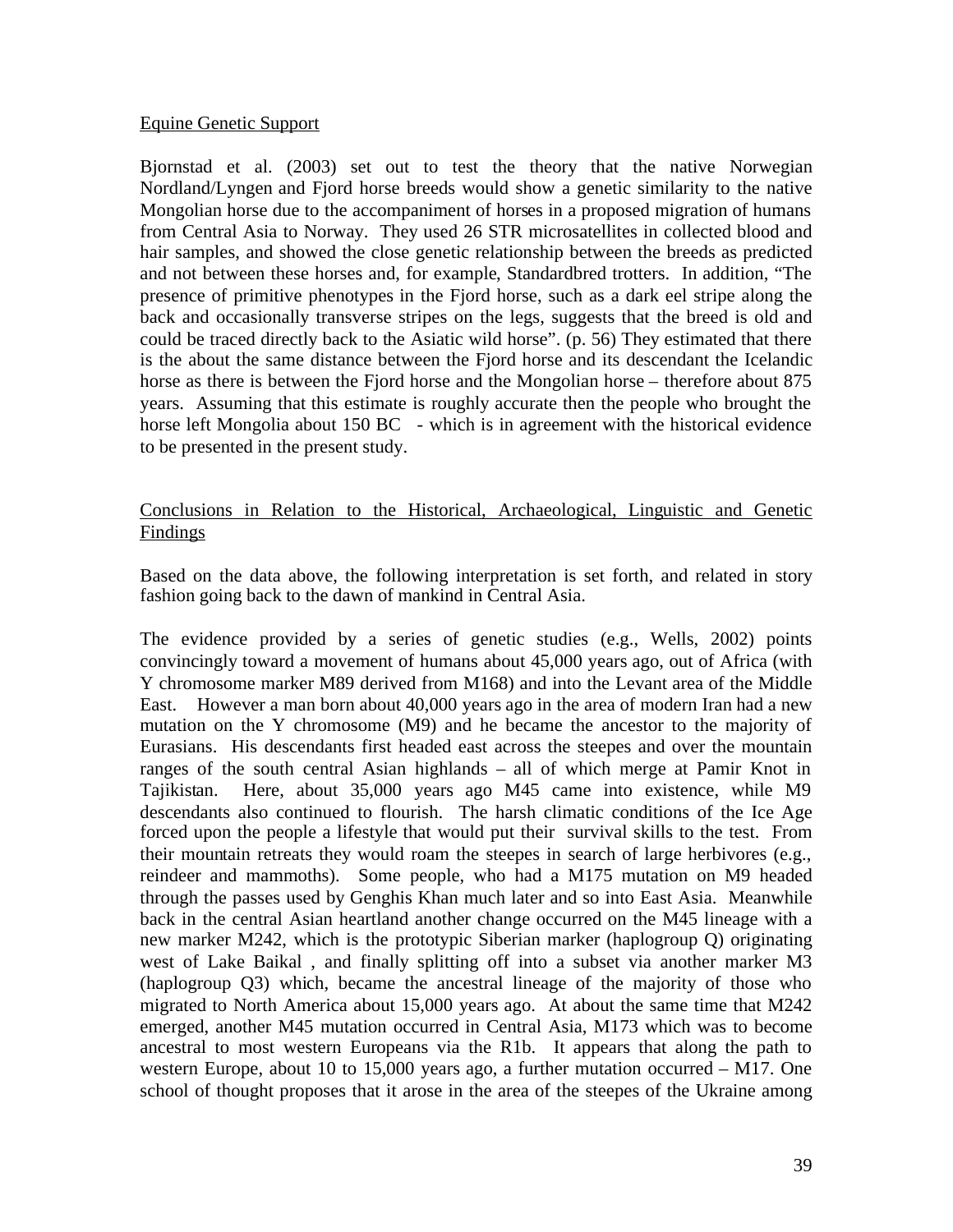### Equine Genetic Support

Bjornstad et al. (2003) set out to test the theory that the native Norwegian Nordland/Lyngen and Fjord horse breeds would show a genetic similarity to the native Mongolian horse due to the accompaniment of horses in a proposed migration of humans from Central Asia to Norway. They used 26 STR microsatellites in collected blood and hair samples, and showed the close genetic relationship between the breeds as predicted and not between these horses and, for example, Standardbred trotters. In addition, "The presence of primitive phenotypes in the Fjord horse, such as a dark eel stripe along the back and occasionally transverse stripes on the legs, suggests that the breed is old and could be traced directly back to the Asiatic wild horse". (p. 56) They estimated that there is the about the same distance between the Fjord horse and its descendant the Icelandic horse as there is between the Fjord horse and the Mongolian horse – therefore about 875 years. Assuming that this estimate is roughly accurate then the people who brought the horse left Mongolia about 150 BC - which is in agreement with the historical evidence to be presented in the present study.

### Conclusions in Relation to the Historical, Archaeological, Linguistic and Genetic Findings

Based on the data above, the following interpretation is set forth, and related in story fashion going back to the dawn of mankind in Central Asia.

The evidence provided by a series of genetic studies (e.g., Wells, 2002) points convincingly toward a movement of humans about 45,000 years ago, out of Africa (with Y chromosome marker M89 derived from M168) and into the Levant area of the Middle East. However a man born about 40,000 years ago in the area of modern Iran had a new mutation on the Y chromosome (M9) and he became the ancestor to the majority of Eurasians. His descendants first headed east across the steepes and over the mountain ranges of the south central Asian highlands – all of which merge at Pamir Knot in Tajikistan. Here, about 35,000 years ago M45 came into existence, while M9 descendants also continued to flourish. The harsh climatic conditions of the Ice Age forced upon the people a lifestyle that would put their survival skills to the test. From their mountain retreats they would roam the steepes in search of large herbivores (e.g., reindeer and mammoths). Some people, who had a M175 mutation on M9 headed through the passes used by Genghis Khan much later and so into East Asia. Meanwhile back in the central Asian heartland another change occurred on the M45 lineage with a new marker M242, which is the prototypic Siberian marker (haplogroup Q) originating west of Lake Baikal , and finally splitting off into a subset via another marker M3 (haplogroup Q3) which, became the ancestral lineage of the majority of those who migrated to North America about 15,000 years ago. At about the same time that M242 emerged, another M45 mutation occurred in Central Asia, M173 which was to become ancestral to most western Europeans via the R1b. It appears that along the path to western Europe, about 10 to 15,000 years ago, a further mutation occurred – M17. One school of thought proposes that it arose in the area of the steepes of the Ukraine among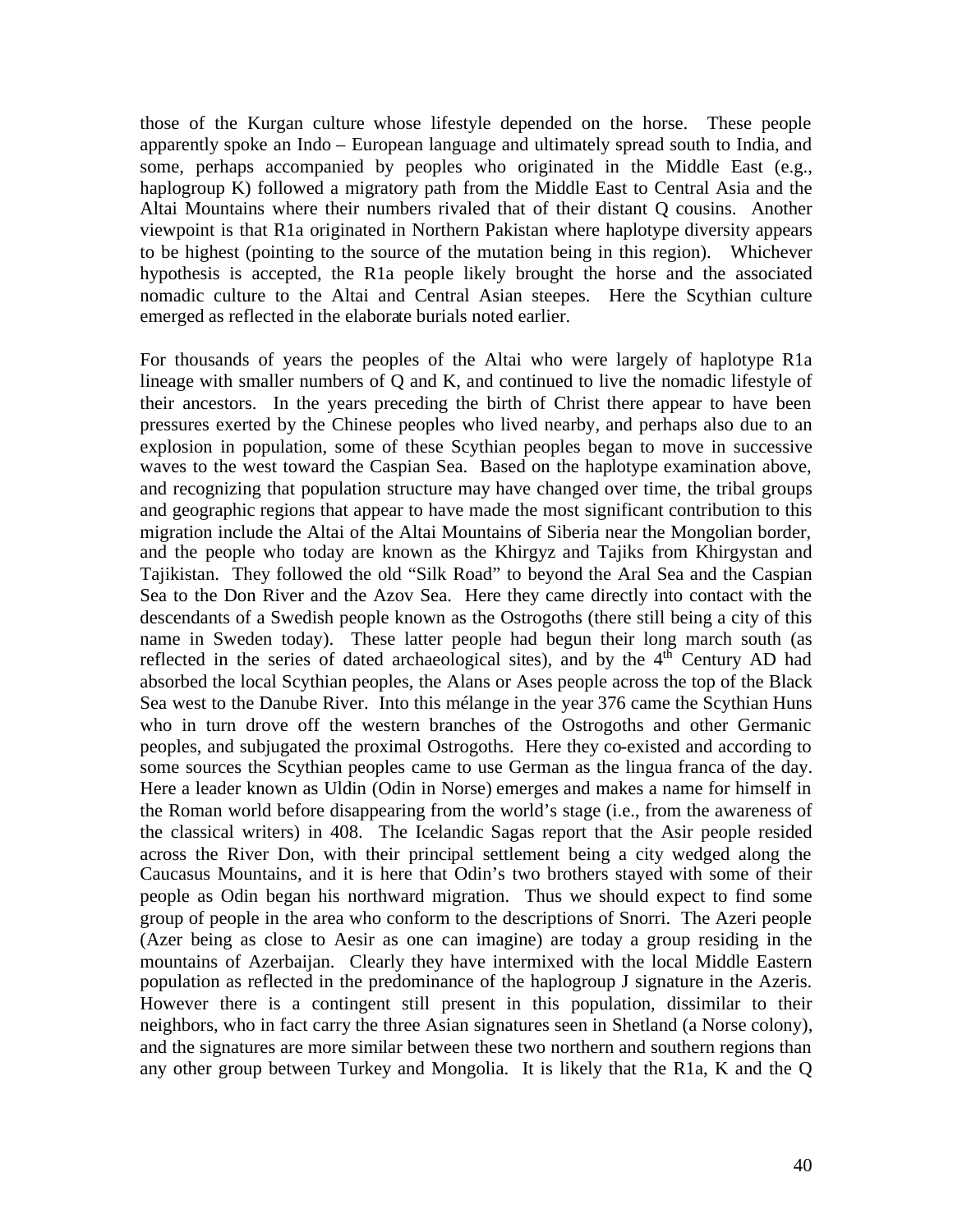those of the Kurgan culture whose lifestyle depended on the horse. These people apparently spoke an Indo – European language and ultimately spread south to India, and some, perhaps accompanied by peoples who originated in the Middle East (e.g., haplogroup K) followed a migratory path from the Middle East to Central Asia and the Altai Mountains where their numbers rivaled that of their distant Q cousins. Another viewpoint is that R1a originated in Northern Pakistan where haplotype diversity appears to be highest (pointing to the source of the mutation being in this region). Whichever hypothesis is accepted, the R1a people likely brought the horse and the associated nomadic culture to the Altai and Central Asian steepes. Here the Scythian culture emerged as reflected in the elaborate burials noted earlier.

For thousands of years the peoples of the Altai who were largely of haplotype R1a lineage with smaller numbers of Q and K, and continued to live the nomadic lifestyle of their ancestors. In the years preceding the birth of Christ there appear to have been pressures exerted by the Chinese peoples who lived nearby, and perhaps also due to an explosion in population, some of these Scythian peoples began to move in successive waves to the west toward the Caspian Sea. Based on the haplotype examination above, and recognizing that population structure may have changed over time, the tribal groups and geographic regions that appear to have made the most significant contribution to this migration include the Altai of the Altai Mountains of Siberia near the Mongolian border, and the people who today are known as the Khirgyz and Tajiks from Khirgystan and Tajikistan. They followed the old "Silk Road" to beyond the Aral Sea and the Caspian Sea to the Don River and the Azov Sea. Here they came directly into contact with the descendants of a Swedish people known as the Ostrogoths (there still being a city of this name in Sweden today). These latter people had begun their long march south (as reflected in the series of dated archaeological sites), and by the  $4<sup>th</sup>$  Century AD had absorbed the local Scythian peoples, the Alans or Ases people across the top of the Black Sea west to the Danube River. Into this mélange in the year 376 came the Scythian Huns who in turn drove off the western branches of the Ostrogoths and other Germanic peoples, and subjugated the proximal Ostrogoths. Here they co-existed and according to some sources the Scythian peoples came to use German as the lingua franca of the day. Here a leader known as Uldin (Odin in Norse) emerges and makes a name for himself in the Roman world before disappearing from the world's stage (i.e., from the awareness of the classical writers) in 408. The Icelandic Sagas report that the Asir people resided across the River Don, with their principal settlement being a city wedged along the Caucasus Mountains, and it is here that Odin's two brothers stayed with some of their people as Odin began his northward migration. Thus we should expect to find some group of people in the area who conform to the descriptions of Snorri. The Azeri people (Azer being as close to Aesir as one can imagine) are today a group residing in the mountains of Azerbaijan. Clearly they have intermixed with the local Middle Eastern population as reflected in the predominance of the haplogroup J signature in the Azeris. However there is a contingent still present in this population, dissimilar to their neighbors, who in fact carry the three Asian signatures seen in Shetland (a Norse colony), and the signatures are more similar between these two northern and southern regions than any other group between Turkey and Mongolia. It is likely that the R1a, K and the Q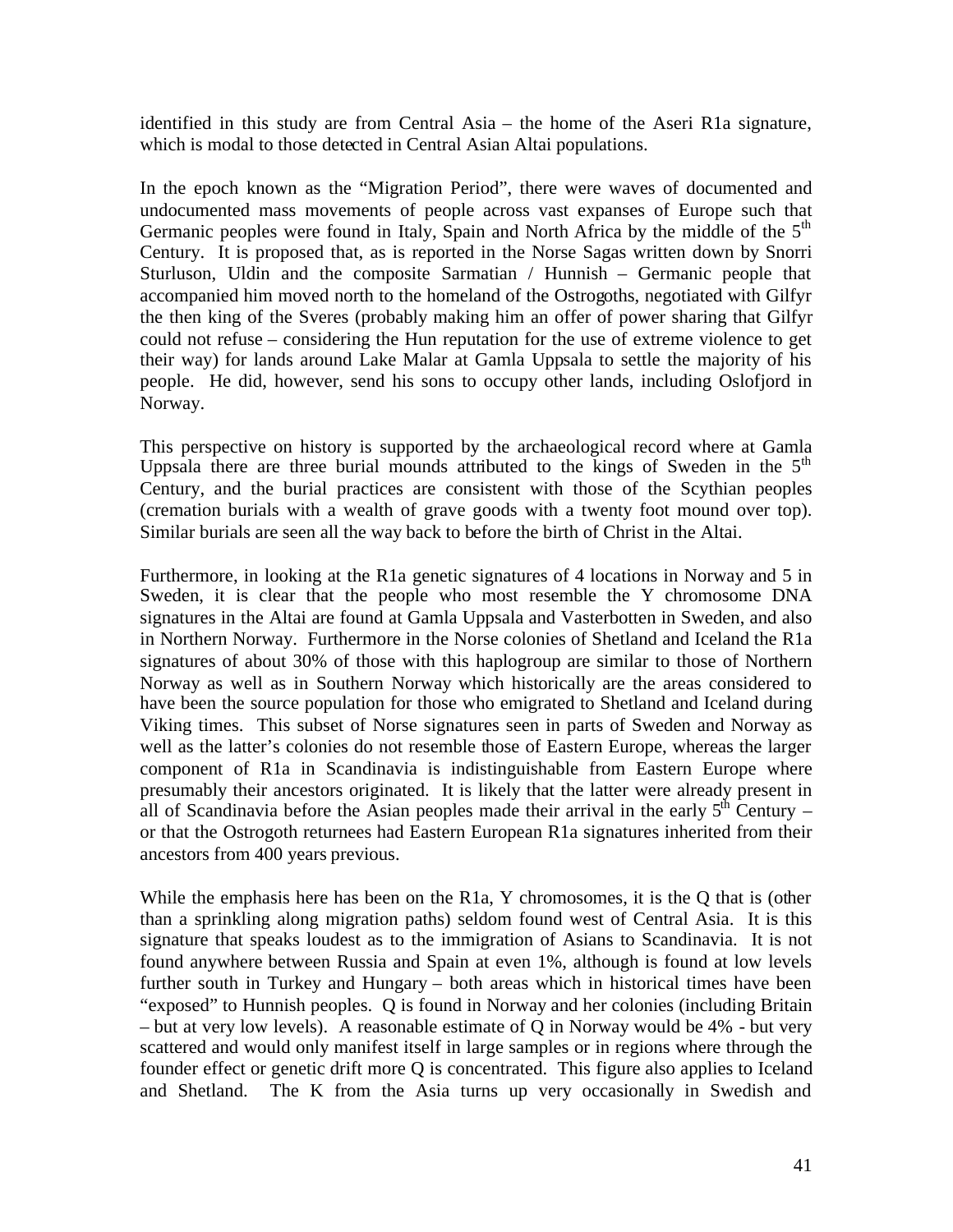identified in this study are from Central Asia – the home of the Aseri R1a signature, which is modal to those detected in Central Asian Altai populations.

In the epoch known as the "Migration Period", there were waves of documented and undocumented mass movements of people across vast expanses of Europe such that Germanic peoples were found in Italy, Spain and North Africa by the middle of the 5<sup>th</sup> Century. It is proposed that, as is reported in the Norse Sagas written down by Snorri Sturluson, Uldin and the composite Sarmatian / Hunnish – Germanic people that accompanied him moved north to the homeland of the Ostrogoths, negotiated with Gilfyr the then king of the Sveres (probably making him an offer of power sharing that Gilfyr could not refuse – considering the Hun reputation for the use of extreme violence to get their way) for lands around Lake Malar at Gamla Uppsala to settle the majority of his people. He did, however, send his sons to occupy other lands, including Oslofjord in Norway.

This perspective on history is supported by the archaeological record where at Gamla Uppsala there are three burial mounds attributed to the kings of Sweden in the  $5<sup>th</sup>$ Century, and the burial practices are consistent with those of the Scythian peoples (cremation burials with a wealth of grave goods with a twenty foot mound over top). Similar burials are seen all the way back to before the birth of Christ in the Altai.

Furthermore, in looking at the R1a genetic signatures of 4 locations in Norway and 5 in Sweden, it is clear that the people who most resemble the Y chromosome DNA signatures in the Altai are found at Gamla Uppsala and Vasterbotten in Sweden, and also in Northern Norway. Furthermore in the Norse colonies of Shetland and Iceland the R1a signatures of about 30% of those with this haplogroup are similar to those of Northern Norway as well as in Southern Norway which historically are the areas considered to have been the source population for those who emigrated to Shetland and Iceland during Viking times. This subset of Norse signatures seen in parts of Sweden and Norway as well as the latter's colonies do not resemble those of Eastern Europe, whereas the larger component of R1a in Scandinavia is indistinguishable from Eastern Europe where presumably their ancestors originated. It is likely that the latter were already present in all of Scandinavia before the Asian peoples made their arrival in the early  $5<sup>th</sup>$  Century – or that the Ostrogoth returnees had Eastern European R1a signatures inherited from their ancestors from 400 years previous.

While the emphasis here has been on the R<sub>1</sub>a, Y chromosomes, it is the Q that is (other than a sprinkling along migration paths) seldom found west of Central Asia. It is this signature that speaks loudest as to the immigration of Asians to Scandinavia. It is not found anywhere between Russia and Spain at even 1%, although is found at low levels further south in Turkey and Hungary – both areas which in historical times have been "exposed" to Hunnish peoples. Q is found in Norway and her colonies (including Britain – but at very low levels). A reasonable estimate of Q in Norway would be 4% - but very scattered and would only manifest itself in large samples or in regions where through the founder effect or genetic drift more Q is concentrated. This figure also applies to Iceland and Shetland. The K from the Asia turns up very occasionally in Swedish and